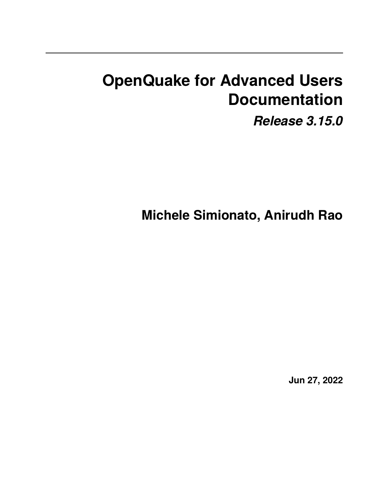# **OpenQuake for Advanced Users Documentation**

*Release 3.15.0*

**Michele Simionato, Anirudh Rao**

**Jun 27, 2022**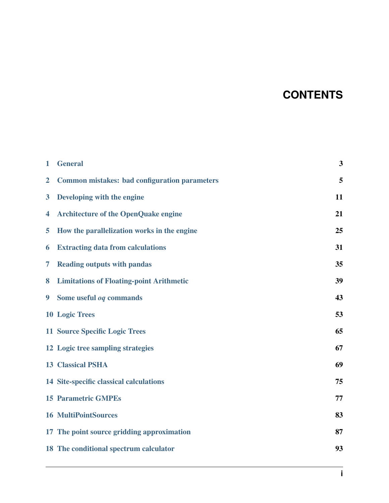### **CONTENTS**

| $\mathbf 1$             | <b>General</b>                                       | 3  |
|-------------------------|------------------------------------------------------|----|
| $\overline{2}$          | <b>Common mistakes: bad configuration parameters</b> | 5  |
| $\overline{\mathbf{3}}$ | Developing with the engine                           | 11 |
| $\overline{\mathbf{4}}$ | <b>Architecture of the OpenQuake engine</b>          | 21 |
| 5                       | How the parallelization works in the engine          | 25 |
| 6                       | <b>Extracting data from calculations</b>             | 31 |
| 7                       | <b>Reading outputs with pandas</b>                   | 35 |
| 8                       | <b>Limitations of Floating-point Arithmetic</b>      | 39 |
| $\boldsymbol{9}$        | Some useful og commands                              | 43 |
|                         | <b>10 Logic Trees</b>                                | 53 |
|                         | <b>11 Source Specific Logic Trees</b>                | 65 |
|                         | 12 Logic tree sampling strategies                    | 67 |
|                         | <b>13 Classical PSHA</b>                             | 69 |
|                         | 14 Site-specific classical calculations              | 75 |
|                         | <b>15 Parametric GMPEs</b>                           | 77 |
|                         | <b>16 MultiPointSources</b>                          | 83 |
|                         | 17 The point source gridding approximation           | 87 |
|                         | 18 The conditional spectrum calculator               | 93 |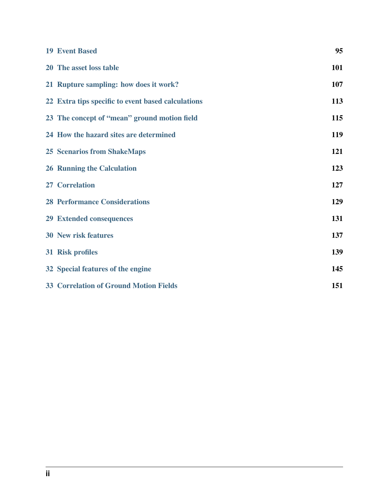| <b>19 Event Based</b>                              | 95  |
|----------------------------------------------------|-----|
| 20 The asset loss table                            | 101 |
| 21 Rupture sampling: how does it work?             | 107 |
| 22 Extra tips specific to event based calculations | 113 |
| 23 The concept of "mean" ground motion field       | 115 |
| 24 How the hazard sites are determined             | 119 |
| <b>25 Scenarios from ShakeMaps</b>                 | 121 |
| <b>26 Running the Calculation</b>                  | 123 |
| 27 Correlation                                     | 127 |
| <b>28 Performance Considerations</b>               | 129 |
| <b>29 Extended consequences</b>                    | 131 |
| <b>30 New risk features</b>                        | 137 |
| 31 Risk profiles                                   | 139 |
| 32 Special features of the engine                  | 145 |
| <b>33 Correlation of Ground Motion Fields</b>      | 151 |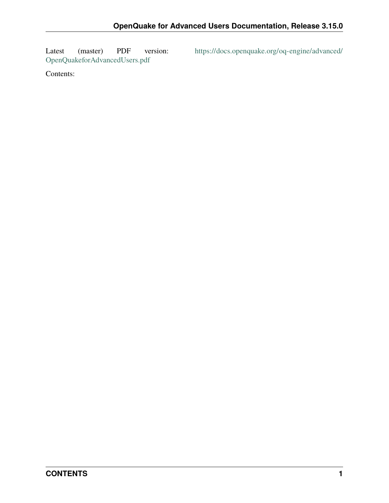[OpenQuakeforAdvancedUsers.pdf](https://docs.openquake.org/oq-engine/advanced/OpenQuakeforAdvancedUsers.pdf)

Latest (master) PDF version: [https://docs.openquake.org/oq-engine/advanced/](https://docs.openquake.org/oq-engine/advanced/OpenQuakeforAdvancedUsers.pdf)

Contents: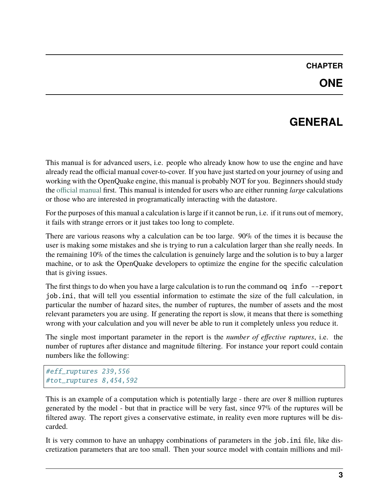#### **CHAPTER**

#### **GENERAL**

<span id="page-6-0"></span>This manual is for advanced users, i.e. people who already know how to use the engine and have already read the official manual cover-to-cover. If you have just started on your journey of using and working with the OpenQuake engine, this manual is probably NOT for you. Beginners should study the [official manual](https://www.globalquakemodel.org/single-post/OpenQuake-Engine-Manual) first. This manual is intended for users who are either running *large* calculations or those who are interested in programatically interacting with the datastore.

For the purposes of this manual a calculation is large if it cannot be run, i.e. if it runs out of memory, it fails with strange errors or it just takes too long to complete.

There are various reasons why a calculation can be too large. 90% of the times it is because the user is making some mistakes and she is trying to run a calculation larger than she really needs. In the remaining 10% of the times the calculation is genuinely large and the solution is to buy a larger machine, or to ask the OpenQuake developers to optimize the engine for the specific calculation that is giving issues.

The first things to do when you have a large calculation is to run the command oq info --report job.ini, that will tell you essential information to estimate the size of the full calculation, in particular the number of hazard sites, the number of ruptures, the number of assets and the most relevant parameters you are using. If generating the report is slow, it means that there is something wrong with your calculation and you will never be able to run it completely unless you reduce it.

The single most important parameter in the report is the *number of effective ruptures*, i.e. the number of ruptures after distance and magnitude filtering. For instance your report could contain numbers like the following:

```
#eff_ruptures 239,556
#tot_ruptures 8,454,592
```
This is an example of a computation which is potentially large - there are over 8 million ruptures generated by the model - but that in practice will be very fast, since 97% of the ruptures will be filtered away. The report gives a conservative estimate, in reality even more ruptures will be discarded.

It is very common to have an unhappy combinations of parameters in the job.ini file, like discretization parameters that are too small. Then your source model with contain millions and mil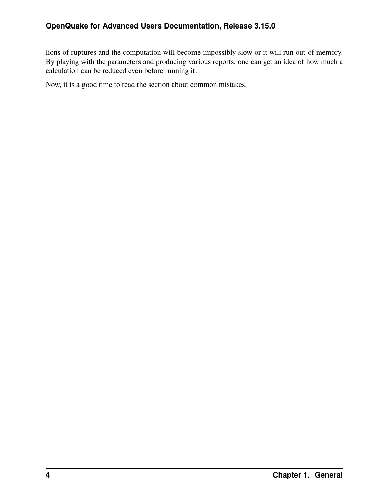lions of ruptures and the computation will become impossibly slow or it will run out of memory. By playing with the parameters and producing various reports, one can get an idea of how much a calculation can be reduced even before running it.

Now, it is a good time to read the section about common mistakes.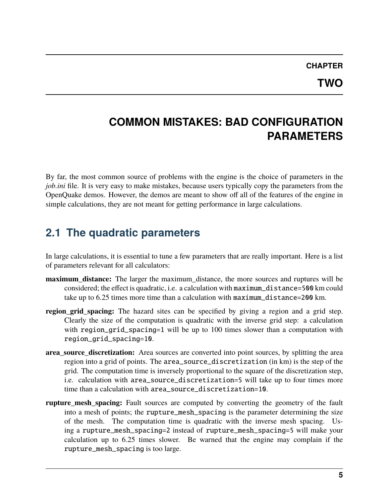#### **CHAPTER**

#### **TWO**

#### <span id="page-8-0"></span>**COMMON MISTAKES: BAD CONFIGURATION PARAMETERS**

By far, the most common source of problems with the engine is the choice of parameters in the *job.ini* file. It is very easy to make mistakes, because users typically copy the parameters from the OpenQuake demos. However, the demos are meant to show off all of the features of the engine in simple calculations, they are not meant for getting performance in large calculations.

#### **2.1 The quadratic parameters**

In large calculations, it is essential to tune a few parameters that are really important. Here is a list of parameters relevant for all calculators:

- **maximum\_distance:** The larger the maximum\_distance, the more sources and ruptures will be considered; the effect is quadratic, i.e. a calculation with maximum\_distance=500 km could take up to 6.25 times more time than a calculation with maximum\_distance=200 km.
- **region grid spacing:** The hazard sites can be specified by giving a region and a grid step. Clearly the size of the computation is quadratic with the inverse grid step: a calculation with region\_grid\_spacing=1 will be up to 100 times slower than a computation with region\_grid\_spacing=10.
- **area\_source\_discretization:** Area sources are converted into point sources, by splitting the area region into a grid of points. The area\_source\_discretization (in km) is the step of the grid. The computation time is inversely proportional to the square of the discretization step, i.e. calculation with area\_source\_discretization=5 will take up to four times more time than a calculation with area\_source\_discretization=10.
- **rupture\_mesh\_spacing:** Fault sources are computed by converting the geometry of the fault into a mesh of points; the rupture\_mesh\_spacing is the parameter determining the size of the mesh. The computation time is quadratic with the inverse mesh spacing. Using a rupture\_mesh\_spacing=2 instead of rupture\_mesh\_spacing=5 will make your calculation up to 6.25 times slower. Be warned that the engine may complain if the rupture\_mesh\_spacing is too large.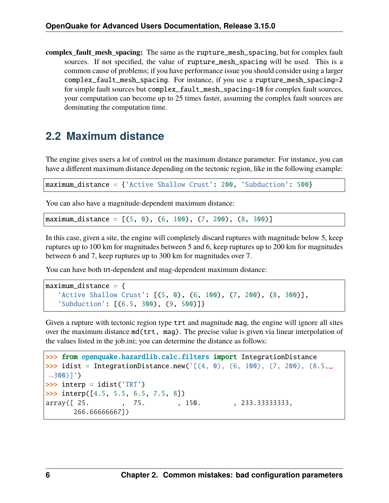**complex\_fault\_mesh\_spacing:** The same as the rupture\_mesh\_spacing, but for complex fault sources. If not specified, the value of rupture\_mesh\_spacing will be used. This is a common cause of problems; if you have performance issue you should consider using a larger complex\_fault\_mesh\_spacing. For instance, if you use a rupture\_mesh\_spacing=2 for simple fault sources but complex\_fault\_mesh\_spacing=10 for complex fault sources, your computation can become up to 25 times faster, assuming the complex fault sources are dominating the computation time.

### **2.2 Maximum distance**

The engine gives users a lot of control on the maximum distance parameter. For instance, you can have a different maximum distance depending on the tectonic region, like in the following example:

maximum\_distance = {'Active Shallow Crust': 200, 'Subduction': 500}

You can also have a magnitude-dependent maximum distance:

maximum\_distance =  $[(5, 0), (6, 100), (7, 200), (8, 300)]$ 

In this case, given a site, the engine will completely discard ruptures with magnitude below 5, keep ruptures up to 100 km for magnitudes between 5 and 6, keep ruptures up to 200 km for magnitudes between 6 and 7, keep ruptures up to 300 km for magnitudes over 7.

You can have both trt-dependent and mag-dependent maximum distance:

```
maximum\_distance = \{'Active Shallow Crust': [(5, 0), (6, 100), (7, 200), (8, 300)],
   'Subduction': [(6.5, 300), (9, 500)]}
```
Given a rupture with tectonic region type trt and magnitude mag, the engine will ignore all sites over the maximum distance md(trt, mag). The precise value is given via linear interpolation of the values listed in the job.ini; you can determine the distance as follows:

```
>>> from openquake.hazardlib.calc.filters import IntegrationDistance
>>> idist = IntegrationDistance.new('[(4, 0), (6, 100), (7, 200), (8.5, \_\rightarrow300)]')
>>> interp = idist('TRT')
\gg interp([4.5, 5.5, 6.5, 7.5, 8])
array([ 25. , 75. , 150. , 233.33333333,
      266.66666667])
```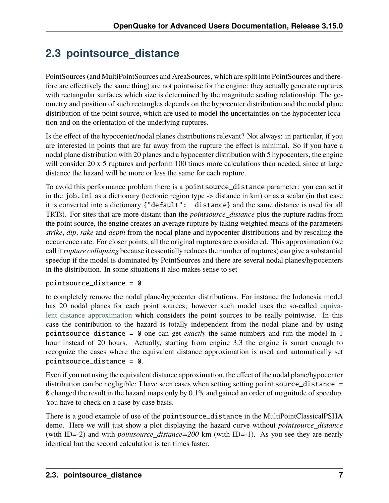# **2.3 pointsource\_distance**

PointSources (and MultiPointSources and AreaSources, which are split into PointSources and therefore are effectively the same thing) are not pointwise for the engine: they actually generate ruptures with rectangular surfaces which size is determined by the magnitude scaling relationship. The geometry and position of such rectangles depends on the hypocenter distribution and the nodal plane distribution of the point source, which are used to model the uncertainties on the hypocenter location and on the orientation of the underlying ruptures.

Is the effect of the hypocenter/nodal planes distributions relevant? Not always: in particular, if you are interested in points that are far away from the rupture the effect is minimal. So if you have a nodal plane distribution with 20 planes and a hypocenter distribution with 5 hypocenters, the engine will consider 20 x 5 ruptures and perform 100 times more calculations than needed, since at large distance the hazard will be more or less the same for each rupture.

To avoid this performance problem there is a pointsource\_distance parameter: you can set it in the job.ini as a dictionary (tectonic region type -> distance in km) or as a scalar (in that case it is converted into a dictionary {"default": distance} and the same distance is used for all TRTs). For sites that are more distant than the *pointsource\_distance* plus the rupture radius from the point source, the engine creates an average rupture by taking weighted means of the parameters *strike*, *dip*, *rake* and *depth* from the nodal plane and hypocenter distributions and by rescaling the occurrence rate. For closer points, all the original ruptures are considered. This approximation (we call it*rupture collapsing* because it essentially reduces the number of ruptures) can give a substantial speedup if the model is dominated by PointSources and there are several nodal planes/hypocenters in the distribution. In some situations it also makes sense to set

#### pointsource\_distance = 0

to completely remove the nodal plane/hypocenter distributions. For instance the Indonesia model has 20 nodal planes for each point sources; however such model uses the so-called [equiva](special-features.html#equivalent-epicenter-distance-approximation)[lent distance approximation](special-features.html#equivalent-epicenter-distance-approximation) which considers the point sources to be really pointwise. In this case the contribution to the hazard is totally independent from the nodal plane and by using pointsource\_distance = 0 one can get *exactly* the same numbers and run the model in 1 hour instead of 20 hours. Actually, starting from engine 3.3 the engine is smart enough to recognize the cases where the equivalent distance approximation is used and automatically set pointsource\_distance = 0.

Even if you not using the equivalent distance approximation, the effect of the nodal plane/hypocenter distribution can be negligible: I have seen cases when setting setting point source\_distance = 0 changed the result in the hazard maps only by 0.1% and gained an order of magnitude of speedup. You have to check on a case by case basis.

There is a good example of use of the point source\_distance in the MultiPointClassicalPSHA demo. Here we will just show a plot displaying the hazard curve without *pointsource\_distance* (with ID=-2) and with *pointsource\_distance=200* km (with ID=-1). As you see they are nearly identical but the second calculation is ten times faster.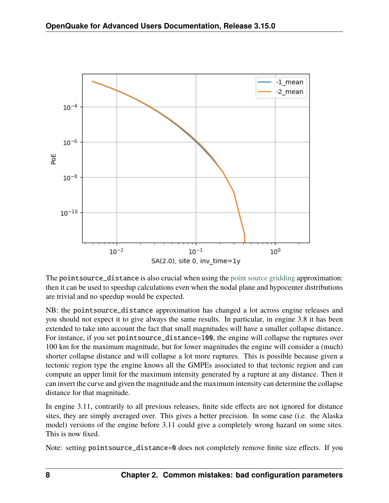

The pointsource\_distance is also crucial when using the [point source gridding](point-source-gridding.html) approximation: then it can be used to speedup calculations even when the nodal plane and hypocenter distributions are trivial and no speedup would be expected.

NB: the pointsource\_distance approximation has changed a lot across engine releases and you should not expect it to give always the same results. In particular, in engine 3.8 it has been extended to take into account the fact that small magnitudes will have a smaller collapse distance. For instance, if you set pointsource\_distance=100, the engine will collapse the ruptures over 100 km for the maximum magnitude, but for lower magnitudes the engine will consider a (much) shorter collapse distance and will collapse a lot more ruptures. This is possible because given a tectonic region type the engine knows all the GMPEs associated to that tectonic region and can compute an upper limit for the maximum intensity generated by a rupture at any distance. Then it can invert the curve and given the magnitude and the maximum intensity can determine the collapse distance for that magnitude.

In engine 3.11, contrarily to all previous releases, finite side effects are not ignored for distance sites, they are simply averaged over. This gives a better precision. In some case (i.e. the Alaska model) versions of the engine before 3.11 could give a completely wrong hazard on some sites. This is now fixed.

Note: setting pointsource\_distance=0 does not completely remove finite size effects. If you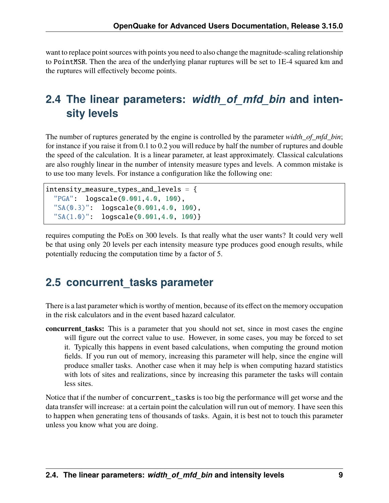want to replace point sources with points you need to also change the magnitude-scaling relationship to PointMSR. Then the area of the underlying planar ruptures will be set to 1E-4 squared km and the ruptures will effectively become points.

#### **2.4 The linear parameters:** *width\_of\_mfd\_bin* **and intensity levels**

The number of ruptures generated by the engine is controlled by the parameter *width of mfd bin*; for instance if you raise it from 0.1 to 0.2 you will reduce by half the number of ruptures and double the speed of the calculation. It is a linear parameter, at least approximately. Classical calculations are also roughly linear in the number of intensity measure types and levels. A common mistake is to use too many levels. For instance a configuration like the following one:

```
intensity_measure_types_and_tevels = \{"PGA": logscale(0.001,4.0, 100),
  "SA(0.3)": logscale(0.001,4.0, 100),
  "SA(1.0)": logscale(0.001,4.0, 100)}
```
requires computing the PoEs on 300 levels. Is that really what the user wants? It could very well be that using only 20 levels per each intensity measure type produces good enough results, while potentially reducing the computation time by a factor of 5.

#### **2.5 concurrent\_tasks parameter**

There is a last parameter which is worthy of mention, because of its effect on the memory occupation in the risk calculators and in the event based hazard calculator.

**concurrent\_tasks:** This is a parameter that you should not set, since in most cases the engine will figure out the correct value to use. However, in some cases, you may be forced to set it. Typically this happens in event based calculations, when computing the ground motion fields. If you run out of memory, increasing this parameter will help, since the engine will produce smaller tasks. Another case when it may help is when computing hazard statistics with lots of sites and realizations, since by increasing this parameter the tasks will contain less sites.

Notice that if the number of concurrent\_tasks is too big the performance will get worse and the data transfer will increase: at a certain point the calculation will run out of memory. I have seen this to happen when generating tens of thousands of tasks. Again, it is best not to touch this parameter unless you know what you are doing.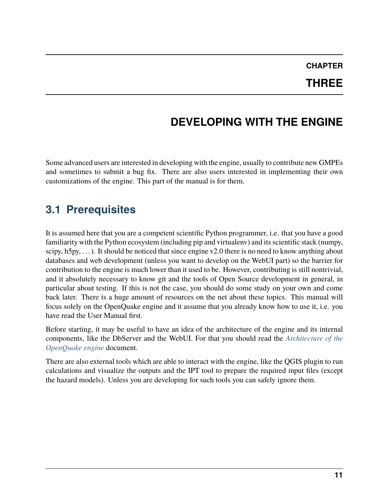#### **CHAPTER THREE**

# **DEVELOPING WITH THE ENGINE**

<span id="page-14-0"></span>Some advanced users are interested in developing with the engine, usually to contribute new GMPEs and sometimes to submit a bug fix. There are also users interested in implementing their own customizations of the engine. This part of the manual is for them.

### **3.1 Prerequisites**

It is assumed here that you are a competent scientific Python programmer, i.e. that you have a good familiarity with the Python ecosystem (including pip and virtualenv) and its scientific stack (numpy, scipy, h5py, ...). It should be noticed that since engine v2.0 there is no need to know anything about databases and web development (unless you want to develop on the WebUI part) so the barrier for contribution to the engine is much lower than it used to be. However, contributing is still nontrivial, and it absolutely necessary to know git and the tools of Open Source development in general, in particular about testing. If this is not the case, you should do some study on your own and come back later. There is a huge amount of resources on the net about these topics. This manual will focus solely on the OpenQuake engine and it assume that you already know how to use it, i.e. you have read the User Manual first.

Before starting, it may be useful to have an idea of the architecture of the engine and its internal components, like the DbServer and the WebUI. For that you should read the *[Architecture of the](#page-24-0) [OpenQuake engine](#page-24-0)* document.

There are also external tools which are able to interact with the engine, like the QGIS plugin to run calculations and visualize the outputs and the IPT tool to prepare the required input files (except the hazard models). Unless you are developing for such tools you can safely ignore them.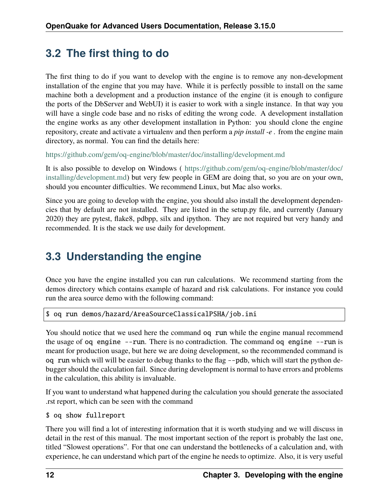### **3.2 The first thing to do**

The first thing to do if you want to develop with the engine is to remove any non-development installation of the engine that you may have. While it is perfectly possible to install on the same machine both a development and a production instance of the engine (it is enough to configure the ports of the DbServer and WebUI) it is easier to work with a single instance. In that way you will have a single code base and no risks of editing the wrong code. A development installation the engine works as any other development installation in Python: you should clone the engine repository, create and activate a virtualenv and then perform a *pip install -e .* from the engine main directory, as normal. You can find the details here:

<https://github.com/gem/oq-engine/blob/master/doc/installing/development.md>

It is also possible to develop on Windows ( [https://github.com/gem/oq-engine/blob/master/doc/](https://github.com/gem/oq-engine/blob/master/doc/installing/development.md) [installing/development.md\)](https://github.com/gem/oq-engine/blob/master/doc/installing/development.md) but very few people in GEM are doing that, so you are on your own, should you encounter difficulties. We recommend Linux, but Mac also works.

Since you are going to develop with the engine, you should also install the development dependencies that by default are not installed. They are listed in the setup.py file, and currently (January 2020) they are pytest, flake8, pdbpp, silx and ipython. They are not required but very handy and recommended. It is the stack we use daily for development.

#### **3.3 Understanding the engine**

Once you have the engine installed you can run calculations. We recommend starting from the demos directory which contains example of hazard and risk calculations. For instance you could run the area source demo with the following command:

```
$ oq run demos/hazard/AreaSourceClassicalPSHA/job.ini
```
You should notice that we used here the command oq run while the engine manual recommend the usage of oq engine --run. There is no contradiction. The command oq engine --run is meant for production usage, but here we are doing development, so the recommended command is oq run which will will be easier to debug thanks to the flag --pdb, which will start the python debugger should the calculation fail. Since during development is normal to have errors and problems in the calculation, this ability is invaluable.

If you want to understand what happened during the calculation you should generate the associated .rst report, which can be seen with the command

```
$ oq show fullreport
```
There you will find a lot of interesting information that it is worth studying and we will discuss in detail in the rest of this manual. The most important section of the report is probably the last one, titled "Slowest operations". For that one can understand the bottlenecks of a calculation and, with experience, he can understand which part of the engine he needs to optimize. Also, it is very useful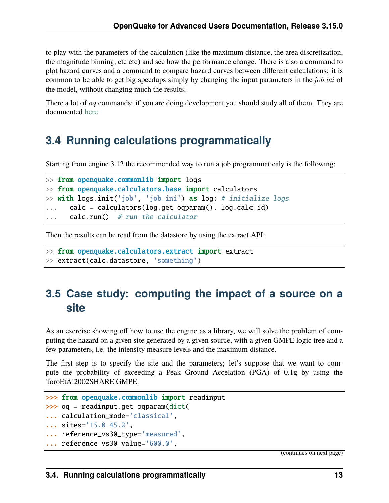to play with the parameters of the calculation (like the maximum distance, the area discretization, the magnitude binning, etc etc) and see how the performance change. There is also a command to plot hazard curves and a command to compare hazard curves between different calculations: it is common to be able to get big speedups simply by changing the input parameters in the *job.ini* of the model, without changing much the results.

There a lot of *oq* commands: if you are doing development you should study all of them. They are documented [here.](oq-commands.md)

#### **3.4 Running calculations programmatically**

Starting from engine 3.12 the recommended way to run a job programmaticaly is the following:

```
\gg from openquake.commonlib import logs
>> from openquake.calculators.base import calculators
\gg with logs.init('job', 'job_ini') as log: # initialize logs
... calc = calculators(log.get_oqparam(), log.calc_id)
... calc.run() # run the calculator
```
Then the results can be read from the datastore by using the extract API:

```
>> from openquake.calculators.extract import extract
>> extract(calc.datastore, 'something')
```
### **3.5 Case study: computing the impact of a source on a site**

As an exercise showing off how to use the engine as a library, we will solve the problem of computing the hazard on a given site generated by a given source, with a given GMPE logic tree and a few parameters, i.e. the intensity measure levels and the maximum distance.

The first step is to specify the site and the parameters; let's suppose that we want to compute the probability of exceeding a Peak Ground Accelation (PGA) of 0.1g by using the ToroEtAl2002SHARE GMPE:

```
>>> from openquake.commonlib import readinput
>>> oq = readinput.get_oqparam(dict(
... calculation_mode='classical',
... sites='15.0 45.2',
... reference_vs30_type='measured',
... reference_vs30_value='600.0',
```
(continues on next page)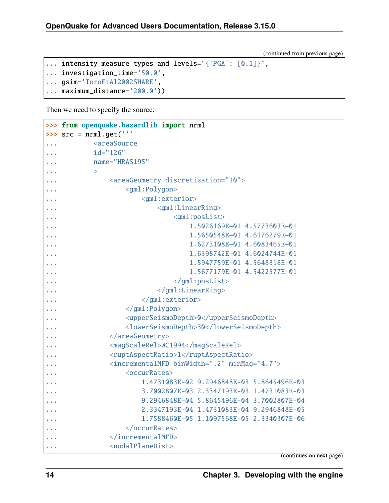(continued from previous page)

```
... intensity_measure_types_and_levels="{'PGA': [0.1]}",
... investigation_time='50.0',
... gsim='ToroEtAl2002SHARE',
```
... maximum\_distance='200.0'))

Then we need to specify the source:

```
>>> from openquake.hazardlib import nrml
\gg src = nrml.get('''
... <areaSource>
... id="126"
... name="HRAS195"
\ldots >... <areaGeometry discretization="10">
... \langle \text{gml:Polygon} \rangle... \langle \text{gml:exterior} \rangle... \langlegml:LinearRing>
... \langle \text{gml:posList}\rangle\, \ldots \, 1.5026169E+01 4.5773603E+01 \,\, ... \, 1.5650548E+01 4.6176279E+01 \,... 1.6273108E+01 4.6083465E+01
1.6398742E+01 4.6024744E+01
... 1.5947759E+01 4.5648318E+01
1.5677179E+01 4.5422577E+01
... \langle\gamma_{\rm qml:posList}\rangle... </gml:LinearRing>
... </gml:exterior>
... \langle\gamma_{\rm qml}:\text{Polygon}\rangle... <upperSeismoDepth>0</upperSeismoDepth>
... <lowerSeismoDepth>30</lowerSeismoDepth>
... </areaGeometry>
... <magScaleRel>WC1994</magScaleRel>
... \langle \text{ruptAspectRatio} \rangle 1 \langle \text{ruptAspectRatio} \rangle... <incrementalMFD binWidth=".2" minMag="4.7">
... <occurRates>
... 1.4731083E-02 9.2946848E-03 5.8645496E-03
... 3.7002807E-03 2.3347193E-03 1.4731083E-03
... 9.2946848E-04 5.8645496E-04 3.7002807E-04
... 2.3347193E-04 1.4731083E-04 9.2946848E-05
... 1.7588460E-05 1.1097568E-05 2.3340307E-06
... </occurRates>
... </incrementalMFD>
... <nodalPlaneDist>
```
(continues on next page)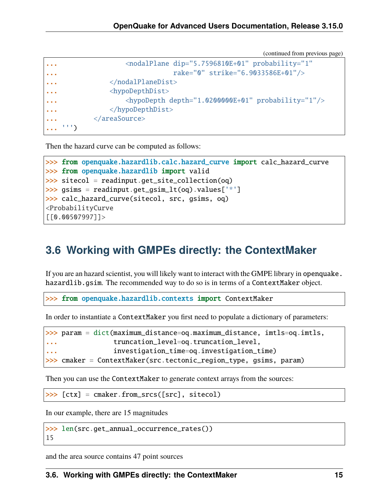(continued from previous page)

```
... \sim <nodalPlane dip="5.7596810E+01" probability="1"
... rake="0" strike="6.9033586E+01"/>
... </nodalPlaneDist>
            \n  <hypoDepthDist><hypoDepth depth="1.0200000E+01" probability="1"/>
... </hypoDepthDist>
... </areaSource>
... ''')
```
Then the hazard curve can be computed as follows:

```
>>> from openquake.hazardlib.calc.hazard_curve import calc_hazard_curve
>>> from openquake.hazardlib import valid
\gg sitecol = readinput.get_site_collection(oq)
\gg gsims = readinput.get_gsim_lt(oq).values['*']
>>> calc_hazard_curve(sitecol, src, gsims, oq)
<ProbabilityCurve
[[0.00507997]]>
```
#### **3.6 Working with GMPEs directly: the ContextMaker**

If you are an hazard scientist, you will likely want to interact with the GMPE library in openquake. hazardlib.gsim. The recommended way to do so is in terms of a ContextMaker object.

>>> from openquake.hazardlib.contexts import ContextMaker

In order to instantiate a ContextMaker you first need to populate a dictionary of parameters:

```
>>> param = dict(maximum_distance=oq.maximum_distance, imtls=oq.imtls,
... truncation_level=oq.truncation_level,
... investigation_time=oq.investigation_time)
>>> cmaker = ContextMaker(src.tectonic_region_type, gsims, param)
```
Then you can use the ContextMaker to generate context arrays from the sources:

 $\gg$  [ctx] = cmaker.from\_srcs([src], sitecol)

In our example, there are 15 magnitudes

>>> len(src.get\_annual\_occurrence\_rates()) 15

and the area source contains 47 point sources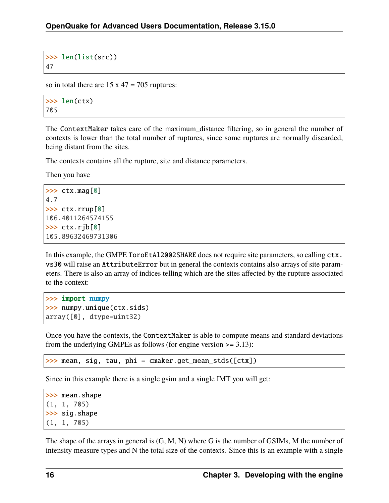```
>>> len(list(src))
47
```
so in total there are  $15 \times 47 = 705$  ruptures:

```
>>> len(ctx)
705
```
The ContextMaker takes care of the maximum\_distance filtering, so in general the number of contexts is lower than the total number of ruptures, since some ruptures are normally discarded, being distant from the sites.

The contexts contains all the rupture, site and distance parameters.

Then you have

```
>> ctx.mag[0]
4.7
>>> ctx.rrup[0]
106.4011264574155
\gg ctx.rjb[0]105.89632469731306
```
In this example, the GMPE ToroEtAl2002SHARE does not require site parameters, so calling  $ctx$ . vs30 will raise an AttributeError but in general the contexts contains also arrays of site parameters. There is also an array of indices telling which are the sites affected by the rupture associated to the context:

```
>>> import numpy
>>> numpy.unique(ctx.sids)
array([0], dtype=uint32)
```
Once you have the contexts, the ContextMaker is able to compute means and standard deviations from the underlying GMPEs as follows (for engine version >= 3.13):

>>> mean, sig, tau, phi = cmaker.get\_mean\_stds([ctx])

Since in this example there is a single gsim and a single IMT you will get:

```
>>> mean.shape
(1, 1, 705)
>>> sig.shape
(1, 1, 705)
```
The shape of the arrays in general is (G, M, N) where G is the number of GSIMs, M the number of intensity measure types and N the total size of the contexts. Since this is an example with a single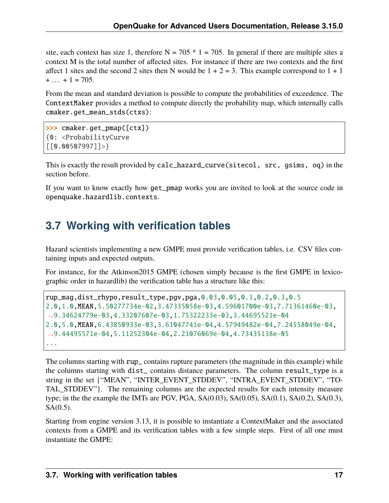site, each context has size 1, therefore  $N = 705 * 1 = 705$ . In general if there are multiple sites a context M is the total number of affected sites. For instance if there are two contexts and the first affect 1 sites and the second 2 sites then N would be  $1 + 2 = 3$ . This example correspond to  $1 + 1$  $+ \dots$  + 1 = 705.

From the mean and standard deviation is possible to compute the probabilities of exceedence. The ContextMaker provides a method to compute directly the probability map, which internally calls cmaker.get\_mean\_stds(ctxs):

```
>>> cmaker.get_pmap([ctx])
{0: <ProbabilityCurve
[[0.00507997]]>}
```
This is exactly the result provided by calc\_hazard\_curve(sitecol, src, gsims, oq) in the section before.

If you want to know exactly how get\_pmap works you are invited to look at the source code in openquake.hazardlib.contexts.

# **3.7 Working with verification tables**

Hazard scientists implementing a new GMPE must provide verification tables, i.e. CSV files containing inputs and expected outputs.

For instance, for the Atkinson2015 GMPE (chosen simply because is the first GMPE in lexicographic order in hazardlib) the verification table has a structure like this:

```
rup_mag,dist_rhypo,result_type,pgv,pga,0.03,0.05,0.1,0.2,0.3,0.5
2.0,1.0,MEAN,5.50277734e-02,3.47335058e-03,4.59601700e-03,7.71361460e-03,
˓→9.34624779e-03,4.33207607e-03,1.75322233e-03,3.44695521e-04
2.0,5.0,MEAN,6.43850933e-03,3.61047741e-04,4.57949482e-04,7.24558049e-04,
˓→9.44495571e-04,5.11252304e-04,2.21076069e-04,4.73435138e-05
...
```
The columns starting with rup\_ contains rupture parameters (the magnitude in this example) while the columns starting with dist\_ contains distance parameters. The column result\_type is a string in the set {"MEAN", "INTER\_EVENT\_STDDEV", "INTRA\_EVENT\_STDDEV", "TO-TAL STDDEV"}. The remaining columns are the expected results for each intensity measure type; in the the example the IMTs are PGV, PGA,  $SA(0.03)$ ,  $SA(0.05)$ ,  $SA(0.1)$ ,  $SA(0.2)$ ,  $SA(0.3)$ ,  $SA(0.5)$ .

Starting from engine version 3.13, it is possible to instantiate a ContextMaker and the associated contexts from a GMPE and its verification tables with a few simple steps. First of all one must instantiate the GMPE: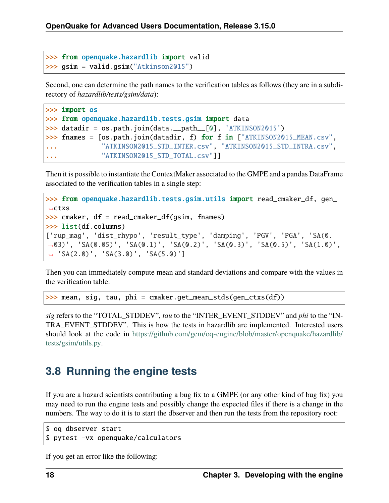```
>>> from openquake.hazardlib import valid
>>> gsim = valid.gsim("Atkinson2015")
```
Second, one can determine the path names to the verification tables as follows (they are in a subdirectory of *hazardlib/tests/gsim/data*):

```
>>> import os
>>> from openquake.hazardlib.tests.gsim import data
>>> datadir = os.path.join(data.__path_[0], 'ATKINSON2015')
>>> fnames = [os.path.join(datadir, f) for f in ["ATKINSON2015_MEAN.csv",
... "ATKINSON2015_STD_INTER.csv", "ATKINSON2015_STD_INTRA.csv",
... "ATKINSON2015_STD_TOTAL.csv"]]
```
Then it is possible to instantiate the ContextMaker associated to the GMPE and a pandas DataFrame associated to the verification tables in a single step:

```
>>> from openquake.hazardlib.tests.gsim.utils import read_cmaker_df, gen_
˓→ctxs
\gg cmaker, df = read\_cmaker_df(gsim, frames)>>> list(df.columns)
['rup_mag', 'dist_rhypo', 'result_type', 'damping', 'PGV', 'PGA', 'SA(0.
˓→03)', 'SA(0.05)', 'SA(0.1)', 'SA(0.2)', 'SA(0.3)', 'SA(0.5)', 'SA(1.0)',
˓→ 'SA(2.0)', 'SA(3.0)', 'SA(5.0)']
```
Then you can immediately compute mean and standard deviations and compare with the values in the verification table:

 $\gg$  mean, sig, tau, phi = cmaker.get\_mean\_stds(gen\_ctxs(df))

*sig* refers to the "TOTAL\_STDDEV", *tau* to the "INTER\_EVENT\_STDDEV" and *phi* to the "IN-TRA\_EVENT\_STDDEV". This is how the tests in hazardlib are implemented. Interested users should look at the code in [https://github.com/gem/oq-engine/blob/master/openquake/hazardlib/](https://github.com/gem/oq-engine/blob/master/openquake/hazardlib/tests/gsim/utils.py) [tests/gsim/utils.py.](https://github.com/gem/oq-engine/blob/master/openquake/hazardlib/tests/gsim/utils.py)

#### **3.8 Running the engine tests**

If you are a hazard scientists contributing a bug fix to a GMPE (or any other kind of bug fix) you may need to run the engine tests and possibly change the expected files if there is a change in the numbers. The way to do it is to start the dbserver and then run the tests from the repository root:

```
$ oq dbserver start
$ pytest -vx openquake/calculators
```
If you get an error like the following: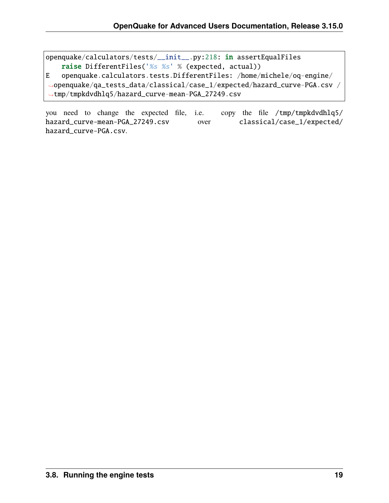```
openquake/calculators/tests/__init__.py:218: in assertEqualFiles
    raise DifferentFiles('%s %s' % (expected, actual))
E openquake.calculators.tests.DifferentFiles: /home/michele/oq-engine/
˓→openquake/qa_tests_data/classical/case_1/expected/hazard_curve-PGA.csv /
˓→tmp/tmpkdvdhlq5/hazard_curve-mean-PGA_27249.csv
```
you need to change the expected file, i.e. copy the file /tmp/tmpkdvdhlq5/ hazard\_curve-mean-PGA\_27249.csv over classical/case\_1/expected/ hazard\_curve-PGA.csv.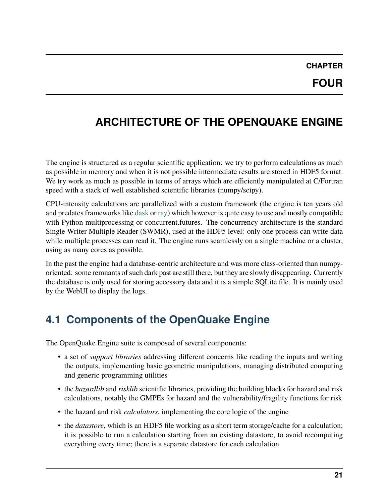#### **CHAPTER FOUR**

# <span id="page-24-0"></span>**ARCHITECTURE OF THE OPENQUAKE ENGINE**

The engine is structured as a regular scientific application: we try to perform calculations as much as possible in memory and when it is not possible intermediate results are stored in HDF5 format. We try work as much as possible in terms of arrays which are efficiently manipulated at C/Fortran speed with a stack of well established scientific libraries (numpy/scipy).

CPU-intensity calculations are parallelized with a custom framework (the engine is ten years old and predates frameworks like [dask](https://dask.org/) or [ray\)](https://ray.readthedocs.io/en/latest/) which however is quite easy to use and mostly compatible with Python multiprocessing or concurrent.futures. The concurrency architecture is the standard Single Writer Multiple Reader (SWMR), used at the HDF5 level: only one process can write data while multiple processes can read it. The engine runs seamlessly on a single machine or a cluster, using as many cores as possible.

In the past the engine had a database-centric architecture and was more class-oriented than numpyoriented: some remnants of such dark past are still there, but they are slowly disappearing. Currently the database is only used for storing accessory data and it is a simple SQLite file. It is mainly used by the WebUI to display the logs.

#### **4.1 Components of the OpenQuake Engine**

The OpenQuake Engine suite is composed of several components:

- a set of *support libraries* addressing different concerns like reading the inputs and writing the outputs, implementing basic geometric manipulations, managing distributed computing and generic programming utilities
- the *hazardlib* and *risklib* scientific libraries, providing the building blocks for hazard and risk calculations, notably the GMPEs for hazard and the vulnerability/fragility functions for risk
- the hazard and risk *calculators*, implementing the core logic of the engine
- the *datastore*, which is an HDF5 file working as a short term storage/cache for a calculation; it is possible to run a calculation starting from an existing datastore, to avoid recomputing everything every time; there is a separate datastore for each calculation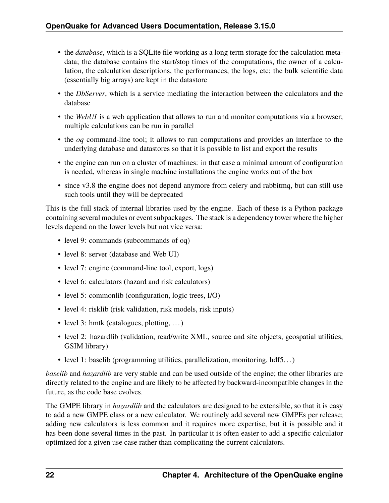- the *database*, which is a SQLite file working as a long term storage for the calculation metadata; the database contains the start/stop times of the computations, the owner of a calculation, the calculation descriptions, the performances, the logs, etc; the bulk scientific data (essentially big arrays) are kept in the datastore
- the *DbServer*, which is a service mediating the interaction between the calculators and the database
- the *WebUI* is a web application that allows to run and monitor computations via a browser; multiple calculations can be run in parallel
- the *oq* command-line tool; it allows to run computations and provides an interface to the underlying database and datastores so that it is possible to list and export the results
- the engine can run on a cluster of machines: in that case a minimal amount of configuration is needed, whereas in single machine installations the engine works out of the box
- since v3.8 the engine does not depend anymore from celery and rabbitmq, but can still use such tools until they will be deprecated

This is the full stack of internal libraries used by the engine. Each of these is a Python package containing several modules or event subpackages. The stack is a dependency tower where the higher levels depend on the lower levels but not vice versa:

- level 9: commands (subcommands of oq)
- level 8: server (database and Web UI)
- level 7: engine (command-line tool, export, logs)
- level 6: calculators (hazard and risk calculators)
- level 5: commonlib (configuration, logic trees, I/O)
- level 4: risklib (risk validation, risk models, risk inputs)
- level 3: hmtk (catalogues, plotting, ...)
- level 2: hazardlib (validation, read/write XML, source and site objects, geospatial utilities, GSIM library)
- level 1: baselib (programming utilities, parallelization, monitoring, hdf5...)

*baselib* and *hazardlib* are very stable and can be used outside of the engine; the other libraries are directly related to the engine and are likely to be affected by backward-incompatible changes in the future, as the code base evolves.

The GMPE library in *hazardlib* and the calculators are designed to be extensible, so that it is easy to add a new GMPE class or a new calculator. We routinely add several new GMPEs per release; adding new calculators is less common and it requires more expertise, but it is possible and it has been done several times in the past. In particular it is often easier to add a specific calculator optimized for a given use case rather than complicating the current calculators.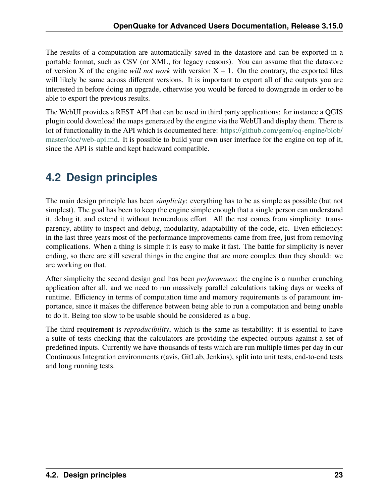The results of a computation are automatically saved in the datastore and can be exported in a portable format, such as CSV (or XML, for legacy reasons). You can assume that the datastore of version X of the engine *will not work* with version  $X + 1$ . On the contrary, the exported files will likely be same across different versions. It is important to export all of the outputs you are interested in before doing an upgrade, otherwise you would be forced to downgrade in order to be able to export the previous results.

The WebUI provides a REST API that can be used in third party applications: for instance a QGIS plugin could download the maps generated by the engine via the WebUI and display them. There is lot of functionality in the API which is documented here: [https://github.com/gem/oq-engine/blob/](https://github.com/gem/oq-engine/blob/master/doc/web-api.md) [master/doc/web-api.md.](https://github.com/gem/oq-engine/blob/master/doc/web-api.md) It is possible to build your own user interface for the engine on top of it, since the API is stable and kept backward compatible.

### **4.2 Design principles**

The main design principle has been *simplicity*: everything has to be as simple as possible (but not simplest). The goal has been to keep the engine simple enough that a single person can understand it, debug it, and extend it without tremendous effort. All the rest comes from simplicity: transparency, ability to inspect and debug, modularity, adaptability of the code, etc. Even efficiency: in the last three years most of the performance improvements came from free, just from removing complications. When a thing is simple it is easy to make it fast. The battle for simplicity is never ending, so there are still several things in the engine that are more complex than they should: we are working on that.

After simplicity the second design goal has been *performance*: the engine is a number crunching application after all, and we need to run massively parallel calculations taking days or weeks of runtime. Efficiency in terms of computation time and memory requirements is of paramount importance, since it makes the difference between being able to run a computation and being unable to do it. Being too slow to be usable should be considered as a bug.

The third requirement is *reproducibility*, which is the same as testability: it is essential to have a suite of tests checking that the calculators are providing the expected outputs against a set of predefined inputs. Currently we have thousands of tests which are run multiple times per day in our Continuous Integration environments r(avis, GitLab, Jenkins), split into unit tests, end-to-end tests and long running tests.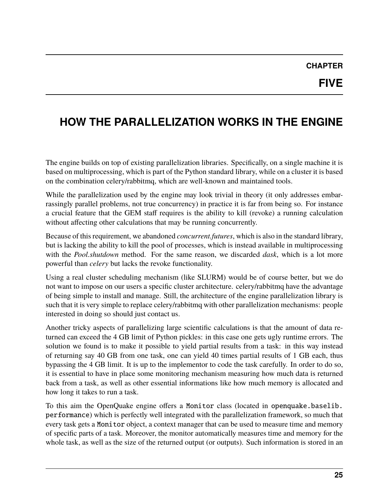### **CHAPTER**

# <span id="page-28-0"></span>**HOW THE PARALLELIZATION WORKS IN THE ENGINE**

The engine builds on top of existing parallelization libraries. Specifically, on a single machine it is based on multiprocessing, which is part of the Python standard library, while on a cluster it is based on the combination celery/rabbitmq, which are well-known and maintained tools.

While the parallelization used by the engine may look trivial in theory (it only addresses embarrassingly parallel problems, not true concurrency) in practice it is far from being so. For instance a crucial feature that the GEM staff requires is the ability to kill (revoke) a running calculation without affecting other calculations that may be running concurrently.

Because of this requirement, we abandoned *concurrent.futures*, which is also in the standard library, but is lacking the ability to kill the pool of processes, which is instead available in multiprocessing with the *Pool.shutdown* method. For the same reason, we discarded *dask*, which is a lot more powerful than *celery* but lacks the revoke functionality.

Using a real cluster scheduling mechanism (like SLURM) would be of course better, but we do not want to impose on our users a specific cluster architecture. celery/rabbitmq have the advantage of being simple to install and manage. Still, the architecture of the engine parallelization library is such that it is very simple to replace celery/rabbitmq with other parallelization mechanisms: people interested in doing so should just contact us.

Another tricky aspects of parallelizing large scientific calculations is that the amount of data returned can exceed the 4 GB limit of Python pickles: in this case one gets ugly runtime errors. The solution we found is to make it possible to yield partial results from a task: in this way instead of returning say 40 GB from one task, one can yield 40 times partial results of 1 GB each, thus bypassing the 4 GB limit. It is up to the implementor to code the task carefully. In order to do so, it is essential to have in place some monitoring mechanism measuring how much data is returned back from a task, as well as other essential informations like how much memory is allocated and how long it takes to run a task.

To this aim the OpenQuake engine offers a Monitor class (located in openquake.baselib. performance) which is perfectly well integrated with the parallelization framework, so much that every task gets a Monitor object, a context manager that can be used to measure time and memory of specific parts of a task. Moreover, the monitor automatically measures time and memory for the whole task, as well as the size of the returned output (or outputs). Such information is stored in an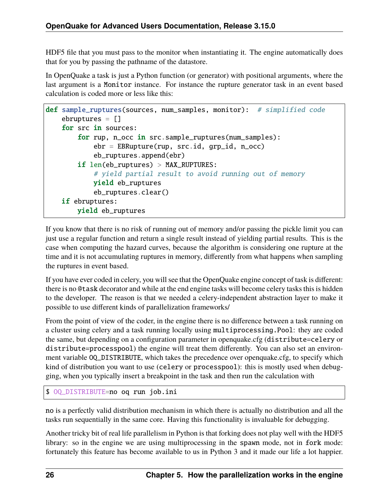HDF5 file that you must pass to the monitor when instantiating it. The engine automatically does that for you by passing the pathname of the datastore.

In OpenQuake a task is just a Python function (or generator) with positional arguments, where the last argument is a Monitor instance. For instance the rupture generator task in an event based calculation is coded more or less like this:

```
def sample_ruptures(sources, num_samples, monitor): # simplified code
    ebruptures = []
    for src in sources:
        for rup, n_occ in src.sample_ruptures(num_samples):
            ebr = EBRupture(rup, src.id, grp_id, n_occ)
            eb_ruptures.append(ebr)
        if len(eb_ruptures) > MAX_RUPTURES:
            # yield partial result to avoid running out of memory
            yield eb_ruptures
            eb_ruptures.clear()
    if ebruptures:
       yield eb_ruptures
```
If you know that there is no risk of running out of memory and/or passing the pickle limit you can just use a regular function and return a single result instead of yielding partial results. This is the case when computing the hazard curves, because the algorithm is considering one rupture at the time and it is not accumulating ruptures in memory, differently from what happens when sampling the ruptures in event based.

If you have ever coded in celery, you will see that the OpenQuake engine concept of task is different: there is no @task decorator and while at the end engine tasks will become celery tasks this is hidden to the developer. The reason is that we needed a celery-independent abstraction layer to make it possible to use different kinds of parallelization frameworks/

From the point of view of the coder, in the engine there is no difference between a task running on a cluster using celery and a task running locally using multiprocessing.Pool: they are coded the same, but depending on a configuration parameter in openquake.cfg (distribute=celery or distribute=processpool) the engine will treat them differently. You can also set an environment variable OQ\_DISTRIBUTE, which takes the precedence over openquake.cfg, to specify which kind of distribution you want to use (celery or processpool): this is mostly used when debugging, when you typically insert a breakpoint in the task and then run the calculation with

```
$ OQ_DISTRIBUTE=no oq run job.ini
```
no is a perfectly valid distribution mechanism in which there is actually no distribution and all the tasks run sequentially in the same core. Having this functionality is invaluable for debugging.

Another tricky bit of real life parallelism in Python is that forking does not play well with the HDF5 library: so in the engine we are using multiprocessing in the spawn mode, not in fork mode: fortunately this feature has become available to us in Python 3 and it made our life a lot happier.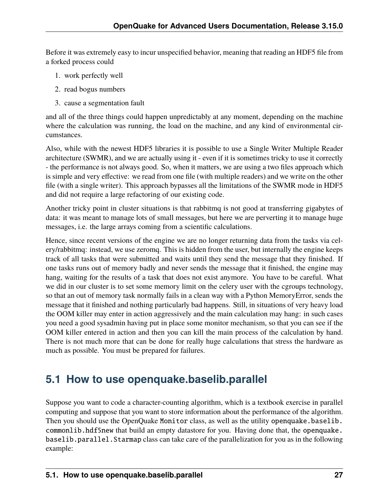Before it was extremely easy to incur unspecified behavior, meaning that reading an HDF5 file from a forked process could

- 1. work perfectly well
- 2. read bogus numbers
- 3. cause a segmentation fault

and all of the three things could happen unpredictably at any moment, depending on the machine where the calculation was running, the load on the machine, and any kind of environmental circumstances.

Also, while with the newest HDF5 libraries it is possible to use a Single Writer Multiple Reader architecture (SWMR), and we are actually using it - even if it is sometimes tricky to use it correctly - the performance is not always good. So, when it matters, we are using a two files approach which is simple and very effective: we read from one file (with multiple readers) and we write on the other file (with a single writer). This approach bypasses all the limitations of the SWMR mode in HDF5 and did not require a large refactoring of our existing code.

Another tricky point in cluster situations is that rabbitmq is not good at transferring gigabytes of data: it was meant to manage lots of small messages, but here we are perverting it to manage huge messages, i.e. the large arrays coming from a scientific calculations.

Hence, since recent versions of the engine we are no longer returning data from the tasks via celery/rabbitmq: instead, we use zeromq. This is hidden from the user, but internally the engine keeps track of all tasks that were submitted and waits until they send the message that they finished. If one tasks runs out of memory badly and never sends the message that it finished, the engine may hang, waiting for the results of a task that does not exist anymore. You have to be careful. What we did in our cluster is to set some memory limit on the celery user with the cgroups technology, so that an out of memory task normally fails in a clean way with a Python MemoryError, sends the message that it finished and nothing particularly bad happens. Still, in situations of very heavy load the OOM killer may enter in action aggressively and the main calculation may hang: in such cases you need a good sysadmin having put in place some monitor mechanism, so that you can see if the OOM killer entered in action and then you can kill the main process of the calculation by hand. There is not much more that can be done for really huge calculations that stress the hardware as much as possible. You must be prepared for failures.

#### **5.1 How to use openquake.baselib.parallel**

Suppose you want to code a character-counting algorithm, which is a textbook exercise in parallel computing and suppose that you want to store information about the performance of the algorithm. Then you should use the OpenQuake Monitor class, as well as the utility openquake.baselib. commonlib.hdf5new that build an empty datastore for you. Having done that, the openquake. baselib.parallel.Starmap class can take care of the parallelization for you as in the following example: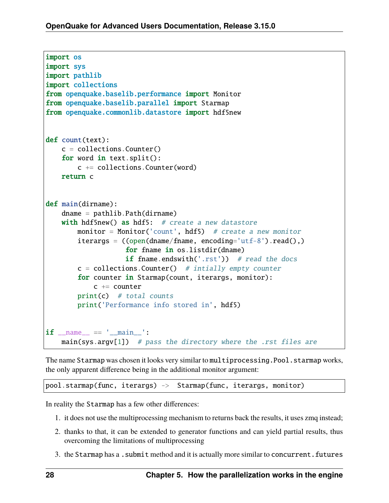```
import os
import sys
import pathlib
import collections
from openquake.baselib.performance import Monitor
from openquake.baselib.parallel import Starmap
from openquake.commonlib.datastore import hdf5new
def count(text):
   c = collections.Counter()for word in text.split():
       c += collections. Counter(word)
   return c
def main(dirname):
   dname = pathlib.Path(dirname)
   with hdf5new() as hdf5: # create a new datastore
       monitor = Monitor('count', hdf5) # create a new monitor
       iterargs = ((open(dname/frame, encoding='utf-8').read(),)for fname in os.listdir(dname)
                   if fname.endswith('.rst')) # read the docs
       c = collections.Counter() # intially empty counter
       for counter in Starmap(count, iterargs, monitor):
           c += counter
       print(c) # total counts
       print('Performance info stored in', hdf5)
if _name_ = ' \_main_main(sys.argv[1]) # pass the directory where the .rst files are
```
The name Starmap was chosen it looks very similar to multiprocessing. Pool. starmap works, the only apparent difference being in the additional monitor argument:

pool.starmap(func, iterargs) -> Starmap(func, iterargs, monitor)

In reality the Starmap has a few other differences:

- 1. it does not use the multiprocessing mechanism to returns back the results, it uses zmq instead;
- 2. thanks to that, it can be extended to generator functions and can yield partial results, thus overcoming the limitations of multiprocessing
- 3. the Starmap has a . submit method and it is actually more similar to concurrent. futures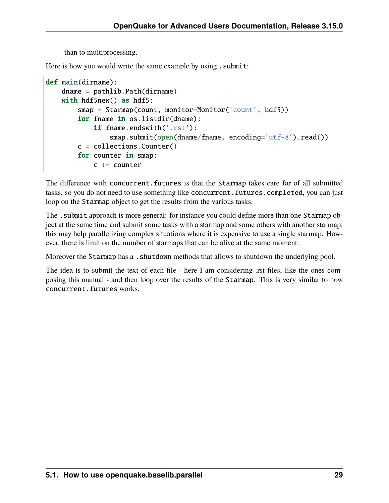than to multiprocessing.

Here is how you would write the same example by using . submit:

```
def main(dirname):
   dname = pathlib.Path(dirname)
   with hdf5new() as hdf5:
        smap = Starmap(count, monitor=Monitor('count', hdf5))
        for fname in os.listdir(dname):
            if fname.endswith('.rst'):
                smap.submit(open(dname/fname, encoding='utf-8').read())
        c = collections.Counter()for counter in smap:
            c += counter
```
The difference with concurrent. futures is that the Starmap takes care for of all submitted tasks, so you do not need to use something like concurrent. futures. completed, you can just loop on the Starmap object to get the results from the various tasks.

The submit approach is more general: for instance you could define more than one Starmap object at the same time and submit some tasks with a starmap and some others with another starmap: this may help parallelizing complex situations where it is expensive to use a single starmap. However, there is limit on the number of starmaps that can be alive at the same moment.

Moreover the Starmap has a .shutdown methods that allows to shutdown the underlying pool.

The idea is to submit the text of each file - here I am considering .rst files, like the ones composing this manual - and then loop over the results of the Starmap. This is very similar to how concurrent.futures works.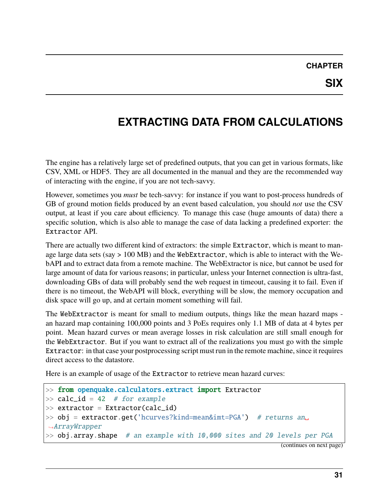# <span id="page-34-0"></span>**EXTRACTING DATA FROM CALCULATIONS**

The engine has a relatively large set of predefined outputs, that you can get in various formats, like CSV, XML or HDF5. They are all documented in the manual and they are the recommended way of interacting with the engine, if you are not tech-savvy.

However, sometimes you *must* be tech-savvy: for instance if you want to post-process hundreds of GB of ground motion fields produced by an event based calculation, you should *not* use the CSV output, at least if you care about efficiency. To manage this case (huge amounts of data) there a specific solution, which is also able to manage the case of data lacking a predefined exporter: the Extractor API.

There are actually two different kind of extractors: the simple Extractor, which is meant to manage large data sets (say > 100 MB) and the WebExtractor, which is able to interact with the WebAPI and to extract data from a remote machine. The WebExtractor is nice, but cannot be used for large amount of data for various reasons; in particular, unless your Internet connection is ultra-fast, downloading GBs of data will probably send the web request in timeout, causing it to fail. Even if there is no timeout, the WebAPI will block, everything will be slow, the memory occupation and disk space will go up, and at certain moment something will fail.

The WebExtractor is meant for small to medium outputs, things like the mean hazard maps an hazard map containing 100,000 points and 3 PoEs requires only 1.1 MB of data at 4 bytes per point. Mean hazard curves or mean average losses in risk calculation are still small enough for the WebExtractor. But if you want to extract all of the realizations you must go with the simple Extractor: in that case your postprocessing script must run in the remote machine, since it requires direct access to the datastore.

Here is an example of usage of the Extractor to retrieve mean hazard curves:

```
>> from openquake.calculators.extract import Extractor
\gg calc_id = 42 # for example
>> extractor = Extractor(calc_id)
>> obj = extractor.get('hcurves?kind=mean&imt=PGA') # returns an
˓→ArrayWrapper
>> obj.array.shape # an example with 10,000 sites and 20 levels per PGA
```
(continues on next page)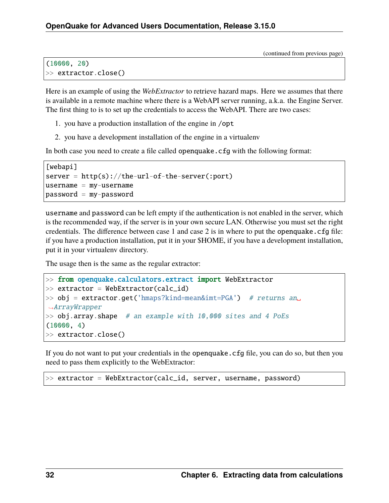(continued from previous page)

```
(10000, 20)
>> extractor.close()
```
Here is an example of using the *WebExtractor* to retrieve hazard maps. Here we assumes that there is available in a remote machine where there is a WebAPI server running, a.k.a. the Engine Server. The first thing to is to set up the credentials to access the WebAPI. There are two cases:

- 1. you have a production installation of the engine in /opt
- 2. you have a development installation of the engine in a virtualenv

In both case you need to create a file called openquake.cfg with the following format:

```
[webapi]
server = http(s)/(the-url-of-the-server(:port)usename = my-usernamepassword = my-password
```
username and password can be left empty if the authentication is not enabled in the server, which is the recommended way, if the server is in your own secure LAN. Otherwise you must set the right credentials. The difference between case 1 and case 2 is in where to put the openquake.  $cfq$  file: if you have a production installation, put it in your \$HOME, if you have a development installation, put it in your virtualenv directory.

The usage then is the same as the regular extractor:

```
>> from openquake.calculators.extract import WebExtractor
\gg extractor = WebExtractor(calc_id)
\gg obj = extractor.get('hmaps?kind=mean&imt=PGA') # returns an
˓→ArrayWrapper
\gg obj.array.shape # an example with 10,000 sites and 4 PoEs
(10000, 4)
>> extractor.close()
```
If you do not want to put your credentials in the openquake.cfg file, you can do so, but then you need to pass them explicitly to the WebExtractor:

>> extractor = WebExtractor(calc\_id, server, username, password)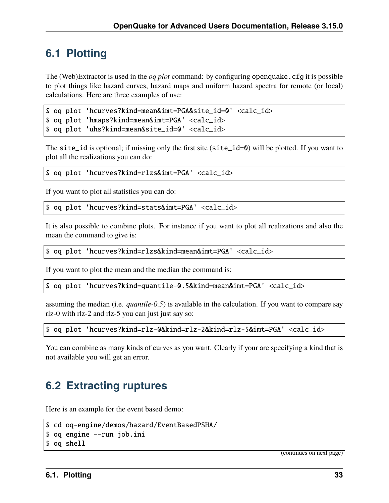## **6.1 Plotting**

The (Web)Extractor is used in the *oq plot* command: by configuring openquake.cfg it is possible to plot things like hazard curves, hazard maps and uniform hazard spectra for remote (or local) calculations. Here are three examples of use:

```
$ oq plot 'hcurves?kind=mean&imt=PGA&site_id=0' <calc_id>
```

```
$ oq plot 'hmaps?kind=mean&imt=PGA' <calc_id>
```

```
$ oq plot 'uhs?kind=mean&site_id=0' <calc_id>
```
The site\_id is optional; if missing only the first site (site\_id=0) will be plotted. If you want to plot all the realizations you can do:

```
$ oq plot 'hcurves?kind=rlzs&imt=PGA' <calc_id>
```
If you want to plot all statistics you can do:

```
$ oq plot 'hcurves?kind=stats&imt=PGA' <calc_id>
```
It is also possible to combine plots. For instance if you want to plot all realizations and also the mean the command to give is:

\$ oq plot 'hcurves?kind=rlzs&kind=mean&imt=PGA' <calc\_id>

If you want to plot the mean and the median the command is:

\$ oq plot 'hcurves?kind=quantile-0.5&kind=mean&imt=PGA' <calc\_id>

assuming the median (i.e. *quantile-0.5*) is available in the calculation. If you want to compare say rlz-0 with rlz-2 and rlz-5 you can just just say so:

\$ oq plot 'hcurves?kind=rlz-0&kind=rlz-2&kind=rlz-5&imt=PGA' <calc\_id>

You can combine as many kinds of curves as you want. Clearly if your are specifying a kind that is not available you will get an error.

### **6.2 Extracting ruptures**

Here is an example for the event based demo:

```
$ cd oq-engine/demos/hazard/EventBasedPSHA/
$ oq engine --run job.ini
$ oq shell
```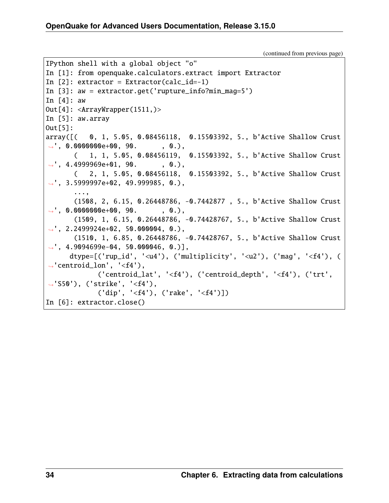```
IPython shell with a global object "o"
In [1]: from openquake.calculators.extract import Extractor
In [2]: extractor = Extractor(calc_id=-1)
In [3]: aw = extractor.get('rupture_info?min_mag=5')
In \lceil 4 \rceil: aw
Out[4]: <ArrayWrapper(1511,)>In [5]: aw.array
Out[5]:
array([( 0, 1, 5.05, 0.08456118, 0.15503392, 5., b'Active Shallow Crust
\rightarrow', 0.0000000e+00, 90. , 0.),
       ( 1, 1, 5.05, 0.08456119, 0.15503392, 5., b'Active Shallow Crust
\rightarrow', 4.4999969e+01, 90. , 0.),
      ( 2, 1, 5.05, 0.08456118, 0.15503392, 5., b'Active Shallow Crust
\rightarrow', 3.5999997e+02, 49.999985, 0.),
       ...,
       (1508, 2, 6.15, 0.26448786, -0.7442877 , 5., b'Active Shallow Crust
\rightarrow', 0.0000000e+00, 90. , 0.),
       (1509, 1, 6.15, 0.26448786, -0.74428767, 5., b'Active Shallow Crust
\rightarrow', 2.2499924e+02, 50.000004, 0.),
       (1510, 1, 6.85, 0.26448786, -0.74428767, 5., b'Active Shallow Crust
\rightarrow', 4.9094699e-04, 50.000046, 0.)],
      dtype=\lceil ('rup_id', '<u4'), ('multiplicity', '<u2'), ('maq', '<f4'), (
˓→'centroid_lon', '<f4'),
             ('centroid_lat', '<f4'), ('centroid_depth', '<f4'), ('trt',
˓→'S50'), ('strike', '<f4'),
             ('dip', '<f4'), ('rake', '<f4')])
In [6]: extractor.close()
```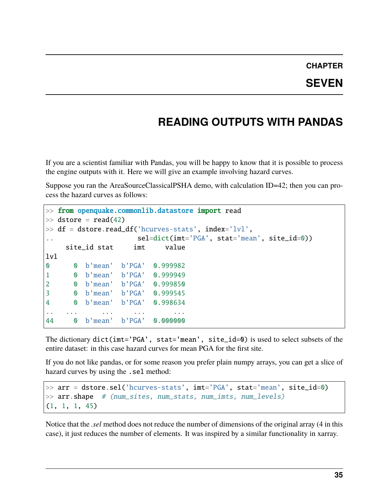# **CHAPTER**

## **READING OUTPUTS WITH PANDAS**

If you are a scientist familiar with Pandas, you will be happy to know that it is possible to process the engine outputs with it. Here we will give an example involving hazard curves.

Suppose you ran the AreaSourceClassicalPSHA demo, with calculation ID=42; then you can process the hazard curves as follows:

```
>> from openquake.commonlib.datastore import read
\gg dstore = read(42)
>> df = dstore.read_df('hcurves-stats', index='lvl',
.. sel=dict(imt='PGA', stat='mean', site_id=0))
    site_id stat imt value
lvl
0 0 b'mean' b'PGA' 0.999982
1 0 b'mean' b'PGA' 0.999949
2 0 b'mean' b'PGA' 0.999850
3 0 b'mean' b'PGA' 0.999545
4 0 b'mean' b'PGA' 0.998634
.. ... ... ... ...
44 0 b'mean' b'PGA' 0.000000
```
The dictionary dict(imt='PGA', stat='mean', site\_id=0) is used to select subsets of the entire dataset: in this case hazard curves for mean PGA for the first site.

If you do not like pandas, or for some reason you prefer plain numpy arrays, you can get a slice of hazard curves by using the .sel method:

```
>> arr = dstore.sel('hcurves-stats', imt='PGA', stat='mean', site_id=0)
>> arr.shape # (num_sites, num_stats, num_imts, num_levels)
(1, 1, 1, 45)
```
Notice that the *.sel* method does not reduce the number of dimensions of the original array (4 in this case), it just reduces the number of elements. It was inspired by a similar functionality in xarray.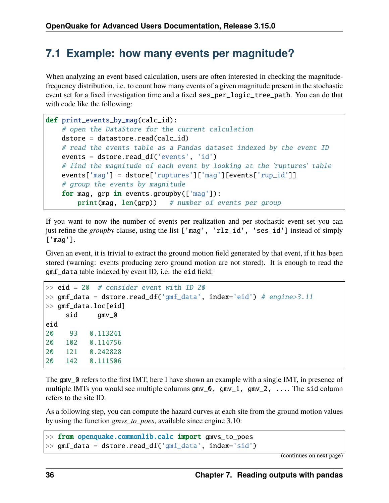### **7.1 Example: how many events per magnitude?**

When analyzing an event based calculation, users are often interested in checking the magnitudefrequency distribution, i.e. to count how many events of a given magnitude present in the stochastic event set for a fixed investigation time and a fixed ses\_per\_logic\_tree\_path. You can do that with code like the following:

```
def print_events_by_mag(calc_id):
   # open the DataStore for the current calculation
   dstore = datasetore.read(calc_id)# read the events table as a Pandas dataset indexed by the event ID
   events = dstore.read_df('events', 'id')
    # find the magnitude of each event by looking at the 'ruptures' table
   events['mag'] = dstore['ruptures']['mag'][events['rup_id']]
   # group the events by magnitude
   for mag, grp in events.groupby(['mag']):
       print(mag, len(grp)) # number of events per group
```
If you want to now the number of events per realization and per stochastic event set you can just refine the *groupby* clause, using the list ['mag', 'rlz\_id', 'ses\_id'] instead of simply ['mag'].

Given an event, it is trivial to extract the ground motion field generated by that event, if it has been stored (warning: events producing zero ground motion are not stored). It is enough to read the gmf\_data table indexed by event ID, i.e. the eid field:

```
\gg eid = 20 # consider event with ID 20
\gg gmf_data = dstore.read_df('gmf_data', index='eid') # engine>3.11
>> gmf_data.loc[eid]
    sid gmv_0
eid
20 93 0.113241
20 102 0.114756
20 121 0.242828
20 142 0.111506
```
The gmv\_0 refers to the first IMT; here I have shown an example with a single IMT, in presence of multiple IMTs you would see multiple columns gmv\_0, gmv\_1, gmv\_2, .... The sid column refers to the site ID.

As a following step, you can compute the hazard curves at each site from the ground motion values by using the function *gmvs\_to\_poes*, available since engine 3.10:

```
>> from openquake.commonlib.calc import gmvs_to_poes
>> gmf_data = dstore.read_df('gmf_data', index='sid')
```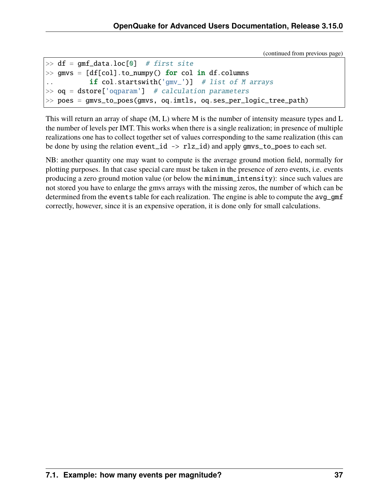```
\gg df = qmf_data.loc[0] # first site
\gg gmvs = [df[col].to_numpy() for col in df.columns
.. if col.startswith('gmv_')] # list of M arrays
\gg oq = dstore['oqparam'] # calculation parameters
>> poes = gmvs_to_poes(gmvs, oq.imtls, oq.ses_per_logic_tree_path)
```
This will return an array of shape (M, L) where M is the number of intensity measure types and L the number of levels per IMT. This works when there is a single realization; in presence of multiple realizations one has to collect together set of values corresponding to the same realization (this can be done by using the relation event\_id -> rlz\_id) and apply gmvs\_to\_poes to each set.

NB: another quantity one may want to compute is the average ground motion field, normally for plotting purposes. In that case special care must be taken in the presence of zero events, i.e. events producing a zero ground motion value (or below the minimum\_intensity): since such values are not stored you have to enlarge the gmvs arrays with the missing zeros, the number of which can be determined from the events table for each realization. The engine is able to compute the avg\_gmf correctly, however, since it is an expensive operation, it is done only for small calculations.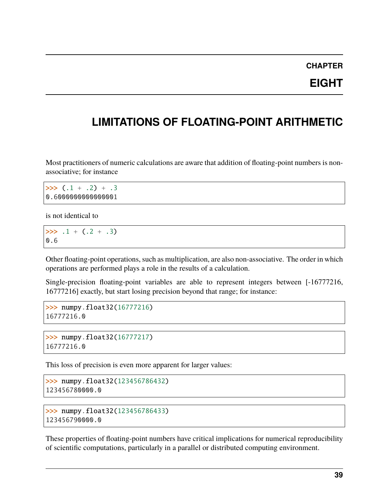### **CHAPTER**

### **EIGHT**

## **LIMITATIONS OF FLOATING-POINT ARITHMETIC**

Most practitioners of numeric calculations are aware that addition of floating-point numbers is nonassociative; for instance

```
\gg (.1 + .2) + .3
0.6000000000000001
```
is not identical to

```
\gg .1 + (.2 + .3)
0.6
```
Other floating-point operations, such as multiplication, are also non-associative. The order in which operations are performed plays a role in the results of a calculation.

Single-precision floating-point variables are able to represent integers between [-16777216, 16777216] exactly, but start losing precision beyond that range; for instance:

```
>>> numpy.float32(16777216)
16777216.0
```

```
>>> numpy.float32(16777217)
16777216.0
```
This loss of precision is even more apparent for larger values:

```
>>> numpy.float32(123456786432)
123456780000.0
```

```
>>> numpy.float32(123456786433)
123456790000.0
```
These properties of floating-point numbers have critical implications for numerical reproducibility of scientific computations, particularly in a parallel or distributed computing environment.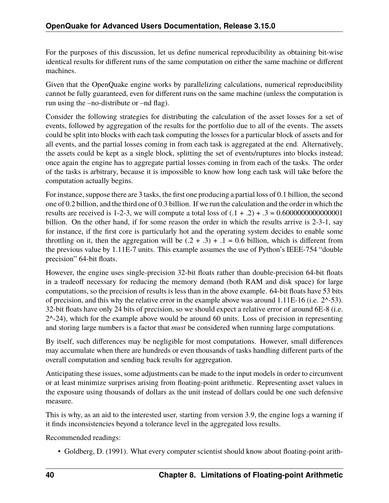For the purposes of this discussion, let us define numerical reproducibility as obtaining bit-wise identical results for different runs of the same computation on either the same machine or different machines.

Given that the OpenQuake engine works by parallelizing calculations, numerical reproducibility cannot be fully guaranteed, even for different runs on the same machine (unless the computation is run using the –no-distribute or –nd flag).

Consider the following strategies for distributing the calculation of the asset losses for a set of events, followed by aggregation of the results for the portfolio due to all of the events. The assets could be split into blocks with each task computing the losses for a particular block of assets and for all events, and the partial losses coming in from each task is aggregated at the end. Alternatively, the assets could be kept as a single block, splitting the set of events/ruptures into blocks instead; once again the engine has to aggregate partial losses coming in from each of the tasks. The order of the tasks is arbitrary, because it is impossible to know how long each task will take before the computation actually begins.

For instance, suppose there are 3 tasks, the first one producing a partial loss of 0.1 billion, the second one of 0.2 billion, and the third one of 0.3 billion. If we run the calculation and the order in which the results are received is 1-2-3, we will compute a total loss of  $(.1 + .2) + .3 = 0.6000000000000001$ billion. On the other hand, if for some reason the order in which the results arrive is 2-3-1, say for instance, if the first core is particularly hot and the operating system decides to enable some throttling on it, then the aggregation will be  $(2 + .3) + .1 = 0.6$  billion, which is different from the previous value by 1.11E-7 units. This example assumes the use of Python's IEEE-754 "double precision" 64-bit floats.

However, the engine uses single-precision 32-bit floats rather than double-precision 64-bit floats in a tradeoff necessary for reducing the memory demand (both RAM and disk space) for large computations, so the precision of results is less than in the above example. 64-bit floats have 53 bits of precision, and this why the relative error in the example above was around 1.11E-16 (i.e. 2^-53). 32-bit floats have only 24 bits of precision, so we should expect a relative error of around 6E-8 (i.e.  $2^{\wedge}$ -24), which for the example above would be around 60 units. Loss of precision in representing and storing large numbers is a factor that *must* be considered when running large computations.

By itself, such differences may be negligible for most computations. However, small differences may accumulate when there are hundreds or even thousands of tasks handling different parts of the overall computation and sending back results for aggregation.

Anticipating these issues, some adjustments can be made to the input models in order to circumvent or at least minimize surprises arising from floating-point arithmetic. Representing asset values in the exposure using thousands of dollars as the unit instead of dollars could be one such defensive measure.

This is why, as an aid to the interested user, starting from version 3.9, the engine logs a warning if it finds inconsistencies beyond a tolerance level in the aggregated loss results.

Recommended readings:

• Goldberg, D. (1991). What every computer scientist should know about floating-point arith-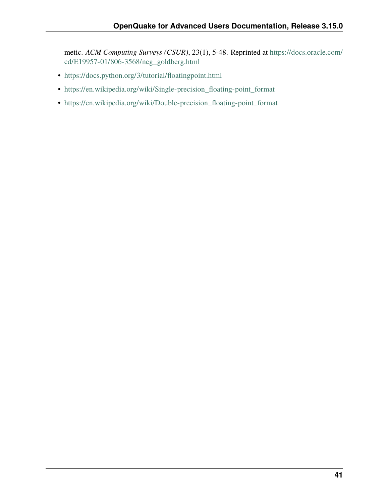metic. *ACM Computing Surveys (CSUR)*, 23(1), 5-48. Reprinted at [https://docs.oracle.com/](https://docs.oracle.com/cd/E19957-01/806-3568/ncg_goldberg.html) [cd/E19957-01/806-3568/ncg\\_goldberg.html](https://docs.oracle.com/cd/E19957-01/806-3568/ncg_goldberg.html)

- <https://docs.python.org/3/tutorial/floatingpoint.html>
- [https://en.wikipedia.org/wiki/Single-precision\\_floating-point\\_format](https://en.wikipedia.org/wiki/Single-precision_floating-point_format)
- [https://en.wikipedia.org/wiki/Double-precision\\_floating-point\\_format](https://en.wikipedia.org/wiki/Double-precision_floating-point_format)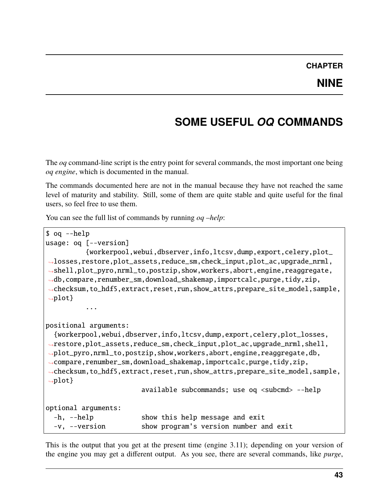## **SOME USEFUL** *OQ* **COMMANDS**

The *oq* command-line script is the entry point for several commands, the most important one being *oq engine*, which is documented in the manual.

The commands documented here are not in the manual because they have not reached the same level of maturity and stability. Still, some of them are quite stable and quite useful for the final users, so feel free to use them.

You can see the full list of commands by running *og –help*:

```
$ oq --help
usage: oq [--version]
          {workerpool,webui,dbserver,info,ltcsv,dump,export,celery,plot_
˓→losses,restore,plot_assets,reduce_sm,check_input,plot_ac,upgrade_nrml,
˓→shell,plot_pyro,nrml_to,postzip,show,workers,abort,engine,reaggregate,
˓→db,compare,renumber_sm,download_shakemap,importcalc,purge,tidy,zip,
˓→checksum,to_hdf5,extract,reset,run,show_attrs,prepare_site_model,sample,
\rightarrowplot}
          ...
positional arguments:
  {workerpool,webui,dbserver,info,ltcsv,dump,export,celery,plot_losses,
˓→restore,plot_assets,reduce_sm,check_input,plot_ac,upgrade_nrml,shell,
˓→plot_pyro,nrml_to,postzip,show,workers,abort,engine,reaggregate,db,
˓→compare,renumber_sm,download_shakemap,importcalc,purge,tidy,zip,
˓→checksum,to_hdf5,extract,reset,run,show_attrs,prepare_site_model,sample,
\rightarrowplot}
                        available subcommands; use oq <subcmd> --help
optional arguments:
  -h, --help show this help message and exit
  -v, --version show program's version number and exit
```
This is the output that you get at the present time (engine 3.11); depending on your version of the engine you may get a different output. As you see, there are several commands, like *purge*,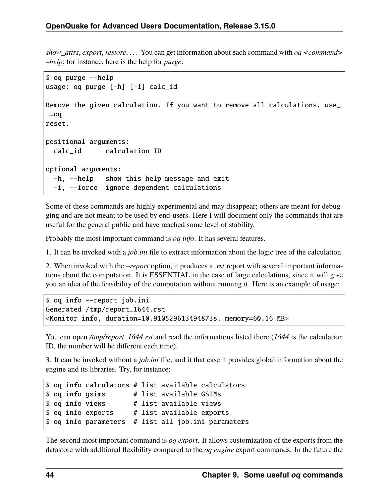*show\_attrs*, *export*, *restore*, . . . You can get information about each command with *oq <command> –help*; for instance, here is the help for *purge*:

```
$ oq purge --help
usage: oq purge [-h] [-f] calc_id
Remove the given calculation. If you want to remove all calculations, use␣
˓→oq
reset.
positional arguments:
  calc_id calculation ID
optional arguments:
  -h, --help show this help message and exit
  -f, --force ignore dependent calculations
```
Some of these commands are highly experimental and may disappear; others are meant for debugging and are not meant to be used by end-users. Here I will document only the commands that are useful for the general public and have reached some level of stability.

Probably the most important command is *oq info*. It has several features.

1. It can be invoked with a *job.ini* file to extract information about the logic tree of the calculation.

2. When invoked with the *–report* option, it produces a *.rst* report with several important informations about the computation. It is ESSENTIAL in the case of large calculations, since it will give you an idea of the feasibility of the computation without running it. Here is an example of usage:

```
$ oq info --report job.ini
Generated /tmp/report_1644.rst
<Monitor info, duration=10.910529613494873s, memory=60.16 MB>
```
You can open */tmp/report\_1644.rst* and read the informations listed there (*1644* is the calculation ID, the number will be different each time).

3. It can be invoked without a *job.ini* file, and it that case it provides global information about the engine and its libraries. Try, for instance:

```
$ oq info calculators # list available calculators
$ oq info gsims # list available GSIMs
$ oq info views # list available views
$ oq info exports # list available exports
$ oq info parameters # list all job.ini parameters
```
The second most important command is *oq export*. It allows customization of the exports from the datastore with additional flexibility compared to the *oq engine* export commands. In the future the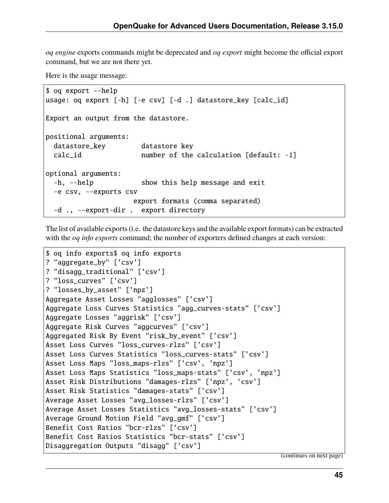*oq engine* exports commands might be deprecated and *oq export* might become the official export command, but we are not there yet.

Here is the usage message:

```
$ oq export --help
usage: oq export [-h] [-e csv] [-d .] datastore_key [calc_id]
Export an output from the datastore.
positional arguments:
 datastore_key datastore key
 calc_id number of the calculation [default: -1]
optional arguments:
 -h, --help show this help message and exit
 -e csv, --exports csv
                    export formats (comma separated)
 -d ., --export-dir . export directory
```
The list of available exports (i.e. the datastore keys and the available export formats) can be extracted with the *oq info exports* command; the number of exporters defined changes at each version:

```
$ oq info exports$ oq info exports
? "aggregate_by" ['csv']
? "disagg_traditional" ['csv']
? "loss_curves" ['csv']
? "losses_by_asset" ['npz']
Aggregate Asset Losses "agglosses" ['csv']
Aggregate Loss Curves Statistics "agg_curves-stats" ['csv']
Aggregate Losses "aggrisk" ['csv']
Aggregate Risk Curves "aggcurves" ['csv']
Aggregated Risk By Event "risk_by_event" ['csv']
Asset Loss Curves "loss_curves-rlzs" ['csv']
Asset Loss Curves Statistics "loss_curves-stats" ['csv']
Asset Loss Maps "loss_maps-rlzs" ['csv', 'npz']
Asset Loss Maps Statistics "loss_maps-stats" ['csv', 'npz']
Asset Risk Distributions "damages-rlzs" ['npz', 'csv']
Asset Risk Statistics "damages-stats" ['csv']
Average Asset Losses "avg_losses-rlzs" ['csv']
Average Asset Losses Statistics "avg_losses-stats" ['csv']
Average Ground Motion Field "avg_gmf" ['csv']
Benefit Cost Ratios "bcr-rlzs" ['csv']
Benefit Cost Ratios Statistics "bcr-stats" ['csv']
Disaggregation Outputs "disagg" ['csv']
```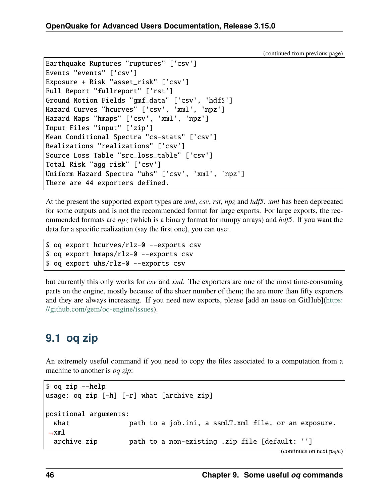```
Earthquake Ruptures "ruptures" ['csv']
Events "events" ['csv']
Exposure + Risk "asset_risk" ['csv']
Full Report "fullreport" ['rst']
Ground Motion Fields "gmf_data" ['csv', 'hdf5']
Hazard Curves "hcurves" ['csv', 'xml', 'npz']
Hazard Maps "hmaps" ['csv', 'xml', 'npz']
Input Files "input" ['zip']
Mean Conditional Spectra "cs-stats" ['csv']
Realizations "realizations" ['csv']
Source Loss Table "src_loss_table" ['csv']
Total Risk "agg_risk" ['csv']
Uniform Hazard Spectra "uhs" ['csv', 'xml', 'npz']
There are 44 exporters defined.
```
At the present the supported export types are *xml*, *csv*, *rst*, *npz* and *hdf5*. *xml* has been deprecated for some outputs and is not the recommended format for large exports. For large exports, the recommended formats are *npz* (which is a binary format for numpy arrays) and *hdf5*. If you want the data for a specific realization (say the first one), you can use:

```
$ oq export hcurves/rlz-0 --exports csv
$ oq export hmaps/rlz-0 --exports csv
$ oq export uhs/rlz-0 --exports csv
```
but currently this only works for *csv* and *xml*. The exporters are one of the most time-consuming parts on the engine, mostly because of the sheer number of them; the are more than fifty exporters and they are always increasing. If you need new exports, please [add an issue on GitHub][\(https:](https://github.com/gem/oq-engine/issues) [//github.com/gem/oq-engine/issues\)](https://github.com/gem/oq-engine/issues).

# **9.1 oq zip**

An extremely useful command if you need to copy the files associated to a computation from a machine to another is *oq zip*:

```
$ oq zip --help
usage: oq zip [-h] [-r] what [archive_zip]
positional arguments:
 what path to a job.ini, a ssmLT.xml file, or an exposure.
\rightarrowxml
  archive_zip path to a non-existing .zip file [default: '']
```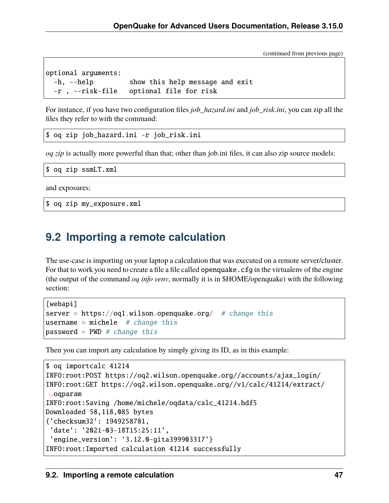```
optional arguments:
 -h, --help show this help message and exit
 -r , --risk-file optional file for risk
```
For instance, if you have two configuration files *job\_hazard.ini* and *job\_risk.ini*, you can zip all the files they refer to with the command:

\$ oq zip job\_hazard.ini -r job\_risk.ini

*oq zip* is actually more powerful than that; other than job.ini files, it can also zip source models:

```
$ oq zip ssmLT.xml
```
and exposures:

\$ oq zip my\_exposure.xml

### **9.2 Importing a remote calculation**

The use-case is importing on your laptop a calculation that was executed on a remote server/cluster. For that to work you need to create a file a file called openquake.cfg in the virtualenv of the engine (the output of the command *oq info venv*, normally it is in \$HOME/openquake) with the following section:

```
[webapi]
server = https://oq1.wilson.openquake.org/ # change this
username = michele # change thispassword = PWD \# change this
```
Then you can import any calculation by simply giving its ID, as in this example:

```
$ oq importcalc 41214
INFO:root:POST https://oq2.wilson.openquake.org//accounts/ajax_login/
INFO:root:GET https://oq2.wilson.openquake.org//v1/calc/41214/extract/
\rightarrowoqparam
INFO:root:Saving /home/michele/oqdata/calc_41214.hdf5
Downloaded 58,118,085 bytes
{'checksum32': 1949258781,
 'date': '2021-03-18T15:25:11',
 'engine_version': '3.12.0-gita399903317'}
INFO:root:Imported calculation 41214 successfully
```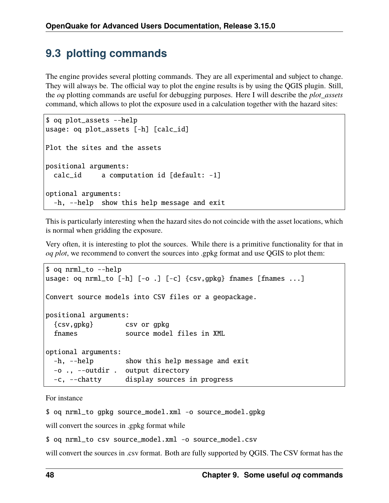## **9.3 plotting commands**

The engine provides several plotting commands. They are all experimental and subject to change. They will always be. The official way to plot the engine results is by using the QGIS plugin. Still, the *oq* plotting commands are useful for debugging purposes. Here I will describe the *plot\_assets* command, which allows to plot the exposure used in a calculation together with the hazard sites:

```
$ oq plot_assets --help
usage: oq plot_assets [-h] [calc_id]
Plot the sites and the assets
positional arguments:
 calc_id a computation id [default: -1]
optional arguments:
  -h, --help show this help message and exit
```
This is particularly interesting when the hazard sites do not coincide with the asset locations, which is normal when gridding the exposure.

Very often, it is interesting to plot the sources. While there is a primitive functionality for that in *oq plot*, we recommend to convert the sources into .gpkg format and use QGIS to plot them:

```
$ oq nrml_to --help
usage: oq nrml_to [-h] [-o .] [-c] {csv,gpkg} fnames [fnames ...]
Convert source models into CSV files or a geopackage.
positional arguments:
  {csv,gpkg} csv or gpkg
  fnames source model files in XML
optional arguments:
 -h, --help show this help message and exit
 -o ., --outdir . output directory
 -c, --chatty display sources in progress
```
For instance

\$ oq nrml\_to gpkg source\_model.xml -o source\_model.gpkg

will convert the sources in .gpkg format while

\$ oq nrml\_to csv source\_model.xml -o source\_model.csv

will convert the sources in .csv format. Both are fully supported by QGIS. The CSV format has the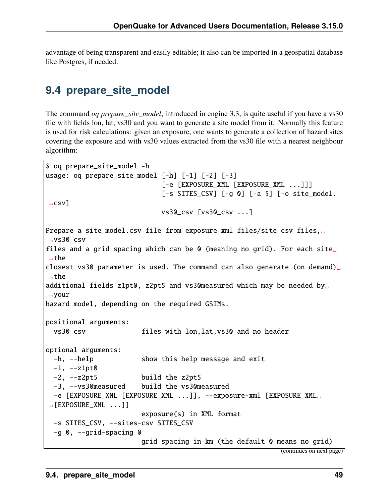advantage of being transparent and easily editable; it also can be imported in a geospatial database like Postgres, if needed.

### **9.4 prepare\_site\_model**

The command *oq prepare\_site\_model*, introduced in engine 3.3, is quite useful if you have a vs30 file with fields lon, lat, vs30 and you want to generate a site model from it. Normally this feature is used for risk calculations: given an exposure, one wants to generate a collection of hazard sites covering the exposure and with vs30 values extracted from the vs30 file with a nearest neighbour algorithm:

```
$ oq prepare_site_model -h
usage: oq prepare_site_model [-h] [-1] [-2] [-3]
                            [-e [EXPOSURE_XML [EXPOSURE_XML ...]]]
                            [-s SITES_CSV] [-g 0] [-a 5] [-o site_model.
\rightarrowcsv]
                            vs30_csv [vs30_csv ...]
Prepare a site_model.csv file from exposure xml files/site csv files,␣
\rightarrowvs30 csv
files and a grid spacing which can be 0 (meaning no grid). For each site
˓→the
closest vs30 parameter is used. The command can also generate (on demand)
˓→the
additional fields z1pt0, z2pt5 and vs30measured which may be needed by
˓→your
hazard model, depending on the required GSIMs.
positional arguments:
 vs30_csv files with lon,lat,vs30 and no header
optional arguments:
  -h, --help show this help message and exit
  -1, -21pt0-2, --z2pt5 build the z2pt5
 -3, --vs30measured build the vs30measured
  -e [EXPOSURE_XML [EXPOSURE_XML ...]], --exposure-xml [EXPOSURE_XML␣
→[EXPOSURE_XML ...]]
                       exposure(s) in XML format
 -s SITES_CSV, --sites-csv SITES_CSV
  -g 0, --grid-spacing 0
                       grid spacing in km (the default 0 means no grid)
```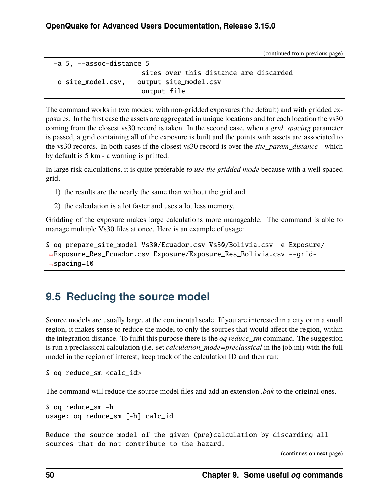```
-a 5, --assoc-distance 5
                      sites over this distance are discarded
-o site_model.csv, --output site_model.csv
                      output file
```
The command works in two modes: with non-gridded exposures (the default) and with gridded exposures. In the first case the assets are aggregated in unique locations and for each location the vs30 coming from the closest vs30 record is taken. In the second case, when a *grid\_spacing* parameter is passed, a grid containing all of the exposure is built and the points with assets are associated to the vs30 records. In both cases if the closest vs30 record is over the *site\_param\_distance* - which by default is 5 km - a warning is printed.

In large risk calculations, it is quite preferable *to use the gridded mode* because with a well spaced grid,

- 1) the results are the nearly the same than without the grid and
- 2) the calculation is a lot faster and uses a lot less memory.

Gridding of the exposure makes large calculations more manageable. The command is able to manage multiple Vs30 files at once. Here is an example of usage:

\$ oq prepare\_site\_model Vs30/Ecuador.csv Vs30/Bolivia.csv -e Exposure/ ˓<sup>→</sup>Exposure\_Res\_Ecuador.csv Exposure/Exposure\_Res\_Bolivia.csv --grid-  $\rightarrow$ spacing=10

### **9.5 Reducing the source model**

Source models are usually large, at the continental scale. If you are interested in a city or in a small region, it makes sense to reduce the model to only the sources that would affect the region, within the integration distance. To fulfil this purpose there is the *oq reduce\_sm* command. The suggestion is run a preclassical calculation (i.e. set *calculation\_mode=preclassical* in the job.ini) with the full model in the region of interest, keep track of the calculation ID and then run:

\$ oq reduce\_sm <calc\_id>

The command will reduce the source model files and add an extension *.bak* to the original ones.

```
$ oq reduce_sm -h
usage: oq reduce_sm [-h] calc_id
Reduce the source model of the given (pre)calculation by discarding all
sources that do not contribute to the hazard.
```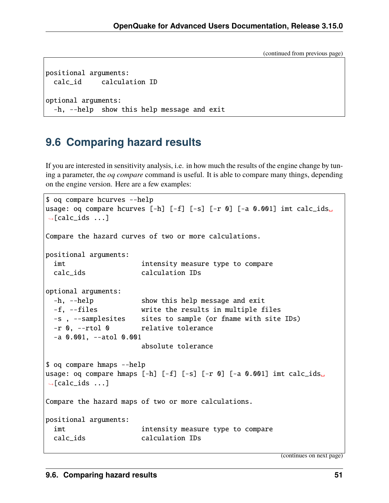```
positional arguments:
 calc_id calculation ID
optional arguments:
  -h, --help show this help message and exit
```
### **9.6 Comparing hazard results**

If you are interested in sensitivity analysis, i.e. in how much the results of the engine change by tuning a parameter, the *oq compare* command is useful. It is able to compare many things, depending on the engine version. Here are a few examples:

```
$ oq compare hcurves --help
usage: oq compare hcurves [-h] [-f] [-s] [-r 0] [-a 0.001] imt calc_ids␣
\rightarrow[calc_ids ...]
Compare the hazard curves of two or more calculations.
positional arguments:
 imt intensity measure type to compare
 calc_ids calculation IDs
optional arguments:
 -h, --help show this help message and exit
 -f, --files write the results in multiple files
 -s , --samplesites sites to sample (or fname with site IDs)
 -r 0, --rtol 0 relative tolerance
 -a 0.001, --atol 0.001
                      absolute tolerance
$ oq compare hmaps --help
usage: oq compare hmaps [-h] [-f] [-s] [-r 0] [-a 0.001] imt calc_ids␣
\rightarrow[calc_ids ...]
Compare the hazard maps of two or more calculations.
positional arguments:
 imt intensity measure type to compare
 calc_ids calculation IDs
```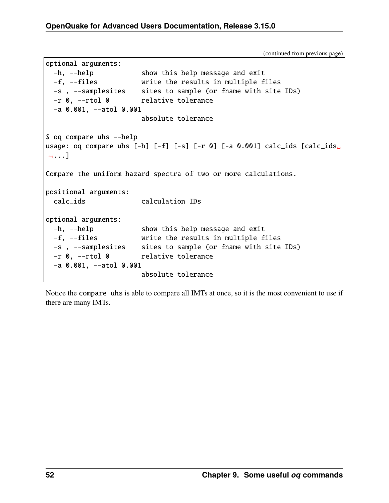```
optional arguments:
 -h, --help show this help message and exit
 -f, --files write the results in multiple files
 -s , --samplesites sites to sample (or fname with site IDs)
 -r 0, --rtol 0 relative tolerance
 -a 0.001, --atol 0.001
                     absolute tolerance
$ oq compare uhs --help
usage: oq compare uhs [-h] [-f] [-s] [-r 0] [-a 0.001] calc_ids [calc_ids␣
˓→...]
Compare the uniform hazard spectra of two or more calculations.
positional arguments:
 calc_ids calculation IDs
optional arguments:
 -h, --help show this help message and exit
 -f, --files write the results in multiple files
 -s , --samplesites sites to sample (or fname with site IDs)
 -r 0, --rtol 0 relative tolerance
 -a 0.001, --atol 0.001
                     absolute tolerance
```
Notice the compare uhs is able to compare all IMTs at once, so it is the most convenient to use if there are many IMTs.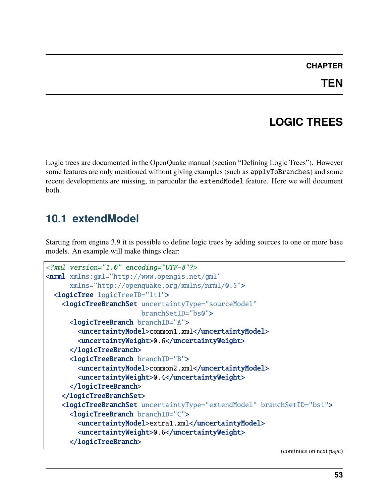#### **CHAPTER**

## **LOGIC TREES**

Logic trees are documented in the OpenQuake manual (section "Defining Logic Trees"). However some features are only mentioned without giving examples (such as applyToBranches) and some recent developments are missing, in particular the extendModel feature. Here we will document both.

### **10.1 extendModel**

Starting from engine 3.9 it is possible to define logic trees by adding sources to one or more base models. An example will make things clear:

```
<?xml version="1.0" encoding="UTF-8"?>
<nrml xmlns:gml="http://www.opengis.net/gml"
      xmlns="http://openquake.org/xmlns/nrml/0.5">
 <logicTree logicTreeID="lt1">
    <logicTreeBranchSet uncertaintyType="sourceModel"
                        branchSetID="bs0">
     <logicTreeBranch branchID="A">
        <uncertaintyModel>common1.xml</uncertaintyModel>
        <uncertaintyWeight>0.6</uncertaintyWeight>
      </logicTreeBranch>
     <logicTreeBranch branchID="B">
        <uncertaintyModel>common2.xml</uncertaintyModel>
        <uncertaintyWeight>0.4</uncertaintyWeight>
     </logicTreeBranch>
    </logicTreeBranchSet>
    <logicTreeBranchSet uncertaintyType="extendModel" branchSetID="bs1">
      <logicTreeBranch branchID="C">
        <uncertaintyModel>extra1.xml</uncertaintyModel>
        <uncertaintyWeight>0.6</uncertaintyWeight>
      </logicTreeBranch>
```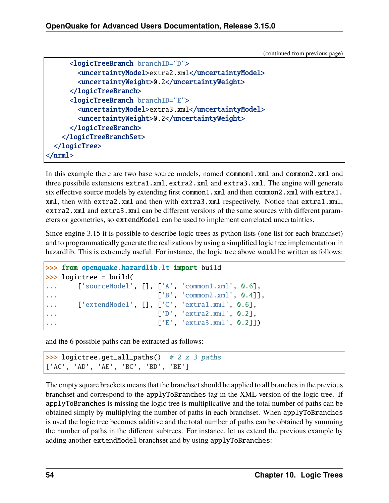```
<logicTreeBranch branchID="D">
        <uncertaintyModel>extra2.xml</uncertaintyModel>
        <uncertaintyWeight>0.2</uncertaintyWeight>
     </logicTreeBranch>
     <logicTreeBranch branchID="E">
        <uncertaintyModel>extra3.xml</uncertaintyModel>
        <uncertaintyWeight>0.2</uncertaintyWeight>
     </logicTreeBranch>
   </logicTreeBranchSet>
 </logicTree>
</nrml>
```
In this example there are two base source models, named commom1.xml and common2.xml and three possibile extensions extra1.xml, extra2.xml and extra3.xml. The engine will generate six effective source models by extending first common1.xml and then common2.xml with extra1. xml, then with extra2.xml and then with extra3.xml respectively. Notice that extra1.xml, extra2.xml and extra3.xml can be different versions of the same sources with different parameters or geometries, so extendModel can be used to implement correlated uncertainties.

Since engine 3.15 it is possible to describe logic trees as python lists (one list for each branchset) and to programmatically generate the realizations by using a simplified logic tree implementation in hazardlib. This is extremely useful. For instance, the logic tree above would be written as follows:

```
>>> from openquake.hazardlib.lt import build
>>> logictree = build(
... ['sourceModel', [], ['A', 'common1.xml', 0.6],
... ['B', 'common2.xml', 0.4]],
... ['extendModel', [], ['C', 'extra1.xml', 0.6],
... ['D', 'extra2.xml', 0.2],
... ['E', 'extra3.xml', 0.2]])
```
and the 6 possible paths can be extracted as follows:

```
>>> logictree.get_all_paths() # 2 x 3 paths['AC', 'AD', 'AE', 'BC', 'BD', 'BE']
```
The empty square brackets means that the branchset should be applied to all branches in the previous branchset and correspond to the applyToBranches tag in the XML version of the logic tree. If applyToBranches is missing the logic tree is multiplicative and the total number of paths can be obtained simply by multiplying the number of paths in each branchset. When applyToBranches is used the logic tree becomes additive and the total number of paths can be obtained by summing the number of paths in the different subtrees. For instance, let us extend the previous example by adding another extendModel branchset and by using applyToBranches: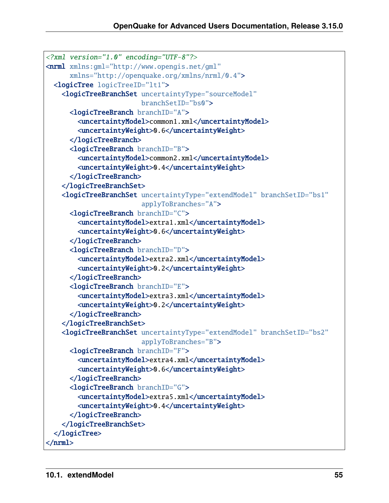```
<?xml version="1.0" encoding="UTF-8"?>
<nrml xmlns:gml="http://www.opengis.net/gml"
     xmlns="http://openquake.org/xmlns/nrml/0.4">
 <logicTree logicTreeID="lt1">
   <logicTreeBranchSet uncertaintyType="sourceModel"
                        branchSetID="bs0">
     <logicTreeBranch branchID="A">
        <uncertaintyModel>common1.xml</uncertaintyModel>
        <uncertaintyWeight>0.6</uncertaintyWeight>
     </logicTreeBranch>
     <logicTreeBranch branchID="B">
        <uncertaintyModel>common2.xml</uncertaintyModel>
        <uncertaintyWeight>0.4</uncertaintyWeight>
     </logicTreeBranch>
   </logicTreeBranchSet>
   <logicTreeBranchSet uncertaintyType="extendModel" branchSetID="bs1"
                        applyToBranches="A">
     <logicTreeBranch branchID="C">
        <uncertaintyModel>extra1.xml</uncertaintyModel>
        <uncertaintyWeight>0.6</uncertaintyWeight>
     </logicTreeBranch>
     <logicTreeBranch branchID="D">
        <uncertaintyModel>extra2.xml</uncertaintyModel>
        <uncertaintyWeight>0.2</uncertaintyWeight>
     </logicTreeBranch>
     <logicTreeBranch branchID="E">
        <uncertaintyModel>extra3.xml</uncertaintyModel>
        <uncertaintyWeight>0.2</uncertaintyWeight>
     </logicTreeBranch>
    </logicTreeBranchSet>
   <logicTreeBranchSet uncertaintyType="extendModel" branchSetID="bs2"
                        applyToBranches="B">
     <logicTreeBranch branchID="F">
        <uncertaintyModel>extra4.xml</uncertaintyModel>
        <uncertaintyWeight>0.6</uncertaintyWeight>
     </logicTreeBranch>
     <logicTreeBranch branchID="G">
        <uncertaintyModel>extra5.xml</uncertaintyModel>
        <uncertaintyWeight>0.4</uncertaintyWeight>
     </logicTreeBranch>
   </logicTreeBranchSet>
 </logicTree>
</nrml>
```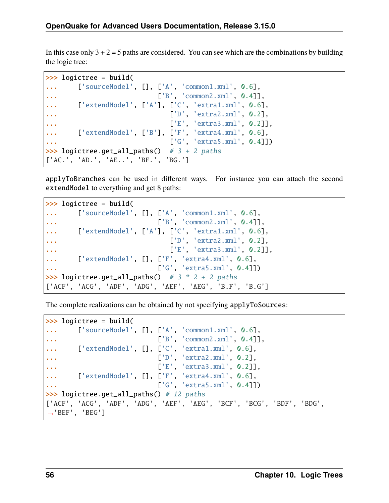In this case only  $3 + 2 = 5$  paths are considered. You can see which are the combinations by building the logic tree:

```
>>> logictree = build(
... ['sourceModel', [], ['A', 'common1.xml', 0.6],
... ['B', 'common2.xml', 0.4]],
... ['extendModel', ['A'], ['C', 'extra1.xml', 0.6],
                         ['D', 'extra2.xml', 0.2],
... ['E', 'extra3.xml', 0.2]],
... ['extendModel', ['B'], ['F', 'extra4.xml', 0.6],
... ['G', 'extra5.xml', 0.4]])
>>> logictree.get_all_paths() # 3 + 2 paths
['AC.', 'AD.', 'AE..', 'BF.', 'BG.']
```
applyToBranches can be used in different ways. For instance you can attach the second extendModel to everything and get 8 paths:

```
>>> logictree = build(
... ['sourceModel', [], ['A', 'common1.xml', 0.6],
... ['B', 'common2.xml', 0.4]],
... ['extendModel', ['A'], ['C', 'extra1.xml', 0.6],
... ['D', 'extra2.xml', 0.2],
... ['E', 'extra3.xml', 0.2]],
... ['extendModel', [], ['F', 'extra4.xml', 0.6],
... ['G', 'extra5.xml', 0.4]])
>>> logictree.get_all_paths() \# 3 * 2 + 2 paths
['ACF', 'ACG', 'ADF', 'ADG', 'AEF', 'AEG', 'B.F', 'B.G']
```
The complete realizations can be obtained by not specifying applyToSources:

```
>>> logictree = build(
... ['sourceModel', [], ['A', 'common1.xml', 0.6],
... ['B', 'common2.xml', 0.4]],
... ['extendModel', [], ['C', 'extra1.xml', 0.6],
... ['D', 'extra2.xml', 0.2],
... ['E', 'extra3.xml', 0.2]],
... ['extendModel', [], ['F', 'extra4.xml', 0.6],
... ['G', 'extra5.xml', 0.4]])
>>> logictree.get_all_paths() # 12 paths
['ACF', 'ACG', 'ADF', 'ADG', 'AEF', 'AEG', 'BCF', 'BCG', 'BDF', 'BDG',
˓→'BEF', 'BEG']
```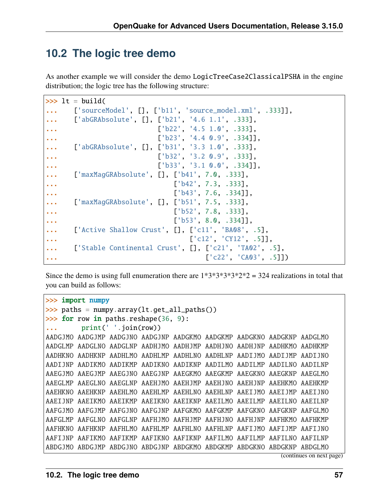### **10.2 The logic tree demo**

As another example we will consider the demo LogicTreeCase2ClassicalPSHA in the engine distribution; the logic tree has the following structure:

```
\gg lt = build(
... ['sourceModel', [], ['b11', 'source_model.xml', .333]],
... ['abGRAbsolute', [], ['b21', '4.6 1.1', .333],
... ['b22', '4.5 1.0', .333],
... ['b23', '4.4 0.9', .334]],
... ['abGRAbsolute', [], ['b31', '3.3 1.0', .333],
... ['b32', '3.2 0.9', .333],
... ['b33', '3.1 0.0', .334]],
    ['maxMagGRAbsolute', [], ['b41', 7.0, .333],
... ['b42', 7.3, .333],
... ['b43', 7.6, .334]],
... ['maxMagGRAbsolute', [], ['b51', 7.5, .333],
... ['b52', 7.8, .333],
... ['b53', 8.0, .334]],
... ['Active Shallow Crust', [], ['c11', 'BA08', .5],
... ['c12', 'CY12', .5]],
... ['Stable Continental Crust', [], ['c21', 'TA02', .5],
... ['c22', 'CA03', .5]])
```
Since the demo is using full enumeration there are  $1*3*3*3*3*2*2 = 324$  realizations in total that you can build as follows:

```
>>> import numpy
\gg paths = numpy.array(lt.get_all_paths())
\gg for row in paths.reshape(36, 9):
... print(' '.join(row))
AADGJMO AADGJMP AADGJNO AADGJNP AADGKMO AADGKMP AADGKNO AADGKNP AADGLMO
AADGLMP AADGLNO AADGLNP AADHJMO AADHJMP AADHJNO AADHJNP AADHKMO AADHKMP
AADHKNO AADHKNP AADHLMO AADHLMP AADHLNO AADHLNP AADIJMO AADIJMP AADIJNO
AADIJNP AADIKMO AADIKMP AADIKNO AADIKNP AADILMO AADILMP AADILNO AADILNP
AAEGJMO AAEGJMP AAEGJNO AAEGJNP AAEGKMO AAEGKMP AAEGKNO AAEGKNP AAEGLMO
AAEGLMP AAEGLNO AAEGLNP AAEHJMO AAEHJMP AAEHJNO AAEHJNP AAEHKMO AAEHKMP
AAEHKNO AAEHKNP AAEHLMO AAEHLMP AAEHLNO AAEHLNP AAEIJMO AAEIJMP AAEIJNO
AAEIJNP AAEIKMO AAEIKMP AAEIKNO AAEIKNP AAEILMO AAEILMP AAEILNO AAEILNP
AAFGJMO AAFGJMP AAFGJNO AAFGJNP AAFGKMO AAFGKMP AAFGKNO AAFGKNP AAFGLMO
AAFGLMP AAFGLNO AAFGLNP AAFHJMO AAFHJMP AAFHJNO AAFHJNP AAFHKMO AAFHKMP
AAFHKNO AAFHKNP AAFHLMO AAFHLMP AAFHLNO AAFHLNP AAFIJMO AAFIJMP AAFIJNO
AAFIJNP AAFIKMO AAFIKMP AAFIKNO AAFIKNP AAFILMO AAFILMP AAFILNO AAFILNP
ABDGJMO ABDGJMP ABDGJNO ABDGJNP ABDGKMO ABDGKMP ABDGKNO ABDGKNP ABDGLMO
```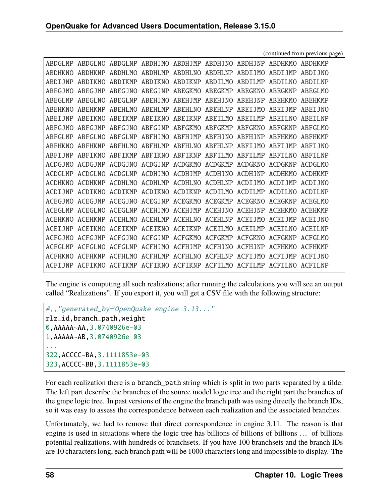|                 | ARDGLMP ARDGLNO |                | ABDGLNP ABDHJMO ABDHJMP ABDHJNO ABDHJNP ABDHKMO ABDHKMP                 |                         |                         |                 |                 |                      |  |
|-----------------|-----------------|----------------|-------------------------------------------------------------------------|-------------------------|-------------------------|-----------------|-----------------|----------------------|--|
| <b>ARDHKNO</b>  | <b>ABDHKNP</b>  | ABDHI.MO       |                                                                         | ABDHLMP ABDHLNO ABDHLNP |                         | ABDIJMO         | ABDIJMP         | ABDT INO             |  |
| ARDT INP        | ARDIKMO         | <b>ABDIKMP</b> |                                                                         |                         | ABDIKNO ABDIKNP ABDILMO | ARDTIMP         | ABDTLNO         | ARDTI.NP             |  |
| AREG1MO         | <b>AREGIMP</b>  | ABEG JNO       | <b>AREGINP</b>                                                          | ABEGKMO                 | ABEGKMP                 | ABEGKNO         | <b>ABEGKNP</b>  | ABEGLMO              |  |
| AREGLMP         | ABEGLNO         | ABEGLNP        | ABEHJMO                                                                 | ABEHJMP                 | ABEHJNO                 | <b>ABEHJNP</b>  | ABEHKMO         | <b>ARFHKMP</b>       |  |
| <b>AREHKNO</b>  | <b>ABEHKNP</b>  | ABEHLMO        |                                                                         | ABEHLMP ABEHLNO         | ABEHLNP                 | ABEIJMO         | ABEIJMP         | ARET INO             |  |
| <b>ARET INP</b> | ABEIKMO         |                | ABEIKMP ABEIKNO ABEIKNP ABEILMO                                         |                         |                         | ABETIMP         | ABETLNO         | <b>ARETINP</b>       |  |
| <b>ARFGIMO</b>  | <b>ARFGIMP</b>  |                | ABFGJNO ABFGJNP ABFGKMO ABFGKMP ABFGKNO ABFGKNP                         |                         |                         |                 |                 | ARFGLMO              |  |
| ABFGLMP         | ABFGLNO         |                | ABEGLNP ABEHJMO ABEHJMP ABEHJNO ABEHJNP                                 |                         |                         |                 | ABFHKMO         | <b>ARFHKMP</b>       |  |
| <b>ARFHKNO</b>  | <b>ARFHKNP</b>  | ABFHLMO        | ABFHLMP ABFHLNO ABFHLNP                                                 |                         |                         | ABFIJMO ABFIJMP |                 | ARFT INO             |  |
| ARFTINP         | ABFIKMO         |                | ABFIKMP ABFIKNO ABFIKNP ABFILMO ABFILMP                                 |                         |                         |                 | ABFILNO ABFILNP |                      |  |
| ACDG1MO         | ACDG IMP        |                | ACDGINO ACDGINP ACDGKMO ACDGKMP ACDGKNO                                 |                         |                         |                 | ACDGKNP         | ACDGLMO              |  |
| ACDGLMP         | ACDGLNO         |                | ACDGLNP ACDHJMO ACDHJMP ACDHJNO ACDHJNP ACDHKMO                         |                         |                         |                 |                 | ACDHKMP              |  |
| <b>ACDHKNO</b>  | ACDHKNP         |                | ACDHLMO ACDHLMP ACDHLNO ACDHLNP ACDIJMO ACDIJMP                         |                         |                         |                 |                 | ACDT INO             |  |
| ACDT INP        | ACDIKMO         |                | ACDIKMP ACDIKNO ACDIKNP ACDILMO ACDILMP ACDILNO                         |                         |                         |                 |                 | ACDTI NP             |  |
| ACEG1MO         | <b>ACEGJMP</b>  |                | ACEGJNO ACEGJNP ACEGKMO ACEGKMP ACEGKNO ACEGKNP                         |                         |                         |                 |                 | ACEGLMO              |  |
| ACEGLMP         | ACEGLNO         |                | ACEGLNP ACEHJMO ACEHJMP ACEHJNO ACEHJNP ACEHKMO                         |                         |                         |                 |                 | <b>ACFHKMP</b>       |  |
| <b>ACEHKNO</b>  | ACEHKNP         |                | ACEHIMO ACEHIMP ACEHINO ACEHINP ACEIJMO ACEIJMP ACEIJNO                 |                         |                         |                 |                 |                      |  |
| ACET INP        | ACETKMO         |                | ACEIKMP ACEIKNO ACEIKNP ACEILMO ACEILMP                                 |                         |                         |                 | ACETI NO        | ACETI <sub>N</sub> P |  |
| ACEG1MO         | <b>ACFGJMP</b>  |                | ACFGJNO ACFGJNP ACFGKMO ACFGKMP ACFGKNO ACFGKNP                         |                         |                         |                 |                 | ACEGLMO              |  |
| ACFGLMP         | ACFGLNO         |                | ACEGUNP ACEHIMO ACEHIMP ACEHINO ACEHINP                                 |                         |                         |                 | ACFHKMO         | ACFHKMP              |  |
| <b>ACFHKNO</b>  | <b>ACFHKNP</b>  | ACFHLMO        | ACFHLMP ACFHLNO ACFHLNP ACFTJMO                                         |                         |                         |                 | ACFT IMP        | ACFT INO             |  |
|                 |                 |                | ACFIJNP ACFIKMO ACFIKMP ACFIKNO ACFIKNP ACFILMO ACFILMP ACFILNO ACFILNP |                         |                         |                 |                 |                      |  |

The engine is computing all such realizations; after running the calculations you will see an output called "Realizations". If you export it, you will get a CSV file with the following structure:

```
#,,"generated_by='OpenQuake engine 3.13..."
rlz_id,branch_path,weight
0,AAAAA~AA,3.0740926e-03
1,AAAAA~AB,3.0740926e-03
...
322,ACCCC~BA,3.1111853e-03
323,ACCCC~BB,3.1111853e-03
```
For each realization there is a branch\_path string which is split in two parts separated by a tilde. The left part describe the branches of the source model logic tree and the right part the branches of the gmpe logic tree. In past versions of the engine the branch path was using directly the branch IDs, so it was easy to assess the correspondence between each realization and the associated branches.

Unfortunately, we had to remove that direct correspondence in engine 3.11. The reason is that engine is used in situations where the logic tree has billions of billions of billions ... of billions potential realizations, with hundreds of branchsets. If you have 100 branchsets and the branch IDs are 10 characters long, each branch path will be 1000 characters long and impossible to display. The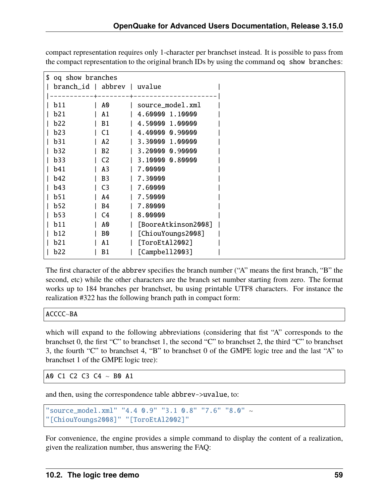| \$ og show branches         |                |                     |  |
|-----------------------------|----------------|---------------------|--|
| branch_id   abbrev   uvalue |                |                     |  |
|                             |                |                     |  |
| b11                         | A0             | source_model.xml    |  |
| <b>b21</b>                  | A1             | 4.60000 1.10000     |  |
| b22                         | B1             | 4.50000 1.00000     |  |
| b23                         | C <sub>1</sub> | 4.40000 0.90000     |  |
| b31                         | A2             | 3.30000 1.00000     |  |
| b32                         | B <sub>2</sub> | 3.20000 0.90000     |  |
| b33                         | C <sub>2</sub> | 3.10000 0.80000     |  |
| <b>b41</b>                  | A3             | 7.00000             |  |
| b42                         | B <sub>3</sub> | 7.30000             |  |
| <b>b</b> 43                 | C3             | 7.60000             |  |
| b51                         | A4             | 7.50000             |  |
| b52                         | B <sub>4</sub> | 7.80000             |  |
| b53                         | C4             | 8.00000             |  |
| b11                         | A0             | [BooreAtkinson2008] |  |
| <b>b</b> 12                 | B0             | [ChiouYoungs2008]   |  |
| b21                         | A1             | [ToroEtAl2002]      |  |
| b22                         | B1             | [Campbell2003]      |  |

compact representation requires only 1-character per branchset instead. It is possible to pass from the compact representation to the original branch IDs by using the command oq show branches:

The first character of the abbrev specifies the branch number ("A" means the first branch, "B" the second, etc) while the other characters are the branch set number starting from zero. The format works up to 184 branches per branchset, bu using printable UTF8 characters. For instance the realization #322 has the following branch path in compact form:

```
ACCCC~BA
```
which will expand to the following abbreviations (considering that fist "A" corresponds to the branchset 0, the first "C" to branchset 1, the second "C" to branchset 2, the third "C" to branchset 3, the fourth "C" to branchset 4, "B" to branchset 0 of the GMPE logic tree and the last "A" to branchset 1 of the GMPE logic tree):

AO C1 C2 C3 C4  $\sim$  BO A1

and then, using the correspondence table abbrev->uvalue, to:

```
"source_model.xml" "4.4 0.9" "3.1 0.8" "7.6" "8.0" ~
"[ChiouYoungs2008]" "[ToroEtAl2002]"
```
For convenience, the engine provides a simple command to display the content of a realization, given the realization number, thus answering the FAQ: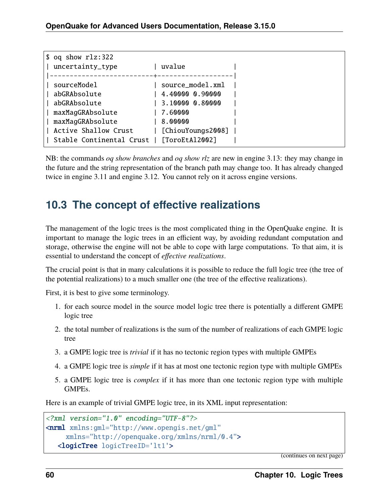| $$$ oq show rlz:322<br>  uncertainty_type | uvalue                           |  |
|-------------------------------------------|----------------------------------|--|
|                                           | ------------+------------------- |  |
| sourceModel                               | source_model.xml                 |  |
| abGRAbsolute                              | 4.40000 0.90000                  |  |
| abGRAbsolute                              | 3.10000 0.80000                  |  |
| maxMagGRAbsolute                          | 7.60000                          |  |
| maxMagGRAbsolute                          | 8.00000                          |  |
| Active Shallow Crust                      | [ChiouYoungs2008]                |  |
| Stable Continental Crust                  | [ToroEtAl2002]                   |  |
|                                           |                                  |  |

NB: the commands *oq show branches* and *oq show rlz* are new in engine 3.13: they may change in the future and the string representation of the branch path may change too. It has already changed twice in engine 3.11 and engine 3.12. You cannot rely on it across engine versions.

### **10.3 The concept of effective realizations**

The management of the logic trees is the most complicated thing in the OpenQuake engine. It is important to manage the logic trees in an efficient way, by avoiding redundant computation and storage, otherwise the engine will not be able to cope with large computations. To that aim, it is essential to understand the concept of *effective realizations*.

The crucial point is that in many calculations it is possible to reduce the full logic tree (the tree of the potential realizations) to a much smaller one (the tree of the effective realizations).

First, it is best to give some terminology.

- 1. for each source model in the source model logic tree there is potentially a different GMPE logic tree
- 2. the total number of realizations is the sum of the number of realizations of each GMPE logic tree
- 3. a GMPE logic tree is *trivial* if it has no tectonic region types with multiple GMPEs
- 4. a GMPE logic tree is *simple* if it has at most one tectonic region type with multiple GMPEs
- 5. a GMPE logic tree is *complex* if it has more than one tectonic region type with multiple GMPEs.

Here is an example of trivial GMPE logic tree, in its XML input representation:

```
<?xml version="1.0" encoding="UTF-8"?>
<nrml xmlns:gml="http://www.opengis.net/gml"
    xmlns="http://openquake.org/xmlns/nrml/0.4">
  <logicTree logicTreeID='lt1'>
```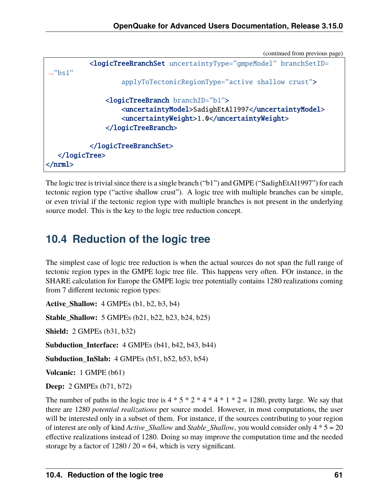```
<logicTreeBranchSet uncertaintyType="gmpeModel" branchSetID=
ightharpoonup"bs1"
                    applyToTectonicRegionType="active shallow crust">
               <logicTreeBranch branchID="b1">
                    <uncertaintyModel>SadighEtAl1997</uncertaintyModel>
                    <uncertaintyWeight>1.0</uncertaintyWeight>
               </logicTreeBranch>
           </logicTreeBranchSet>
  </logicTree>
</nrml>
```
The logic tree is trivial since there is a single branch ("b1") and GMPE ("SadighEtAl1997") for each tectonic region type ("active shallow crust"). A logic tree with multiple branches can be simple, or even trivial if the tectonic region type with multiple branches is not present in the underlying source model. This is the key to the logic tree reduction concept.

# **10.4 Reduction of the logic tree**

The simplest case of logic tree reduction is when the actual sources do not span the full range of tectonic region types in the GMPE logic tree file. This happens very often. FOr instance, in the SHARE calculation for Europe the GMPE logic tree potentially contains 1280 realizations coming from 7 different tectonic region types:

**Active\_Shallow:** 4 GMPEs (b1, b2, b3, b4)

**Stable\_Shallow:** 5 GMPEs (b21, b22, b23, b24, b25)

**Shield:** 2 GMPEs (b31, b32)

**Subduction\_Interface:** 4 GMPEs (b41, b42, b43, b44)

**Subduction\_InSlab:** 4 GMPEs (b51, b52, b53, b54)

**Volcanic:** 1 GMPE (b61)

**Deep:** 2 GMPEs (b71, b72)

The number of paths in the logic tree is  $4 * 5 * 2 * 4 * 4 * 1 * 2 = 1280$ , pretty large. We say that there are 1280 *potential realizations* per source model. However, in most computations, the user will be interested only in a subset of them. For instance, if the sources contributing to your region of interest are only of kind *Active\_Shallow* and *Stable\_Shallow*, you would consider only 4 \* 5 = 20 effective realizations instead of 1280. Doing so may improve the computation time and the needed storage by a factor of  $1280 / 20 = 64$ , which is very significant.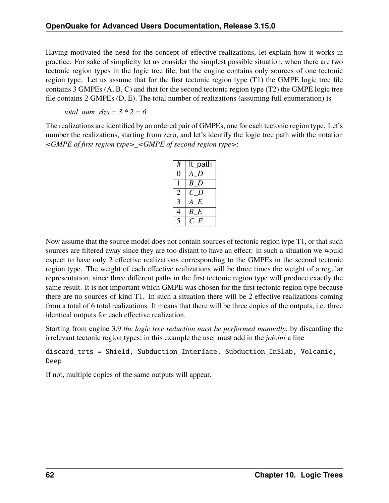Having motivated the need for the concept of effective realizations, let explain how it works in practice. For sake of simplicity let us consider the simplest possible situation, when there are two tectonic region types in the logic tree file, but the engine contains only sources of one tectonic region type. Let us assume that for the first tectonic region type (T1) the GMPE logic tree file contains 3 GMPEs (A, B, C) and that for the second tectonic region type (T2) the GMPE logic tree file contains 2 GMPEs (D, E). The total number of realizations (assuming full enumeration) is

*total num*  $rlzs = 3 * 2 = 6$ 

The realizations are identified by an ordered pair of GMPEs, one for each tectonic region type. Let's number the realizations, starting from zero, and let's identify the logic tree path with the notation *<GMPE of first region type>\_<GMPE of second region type>*:

| #                       | lt path |
|-------------------------|---------|
|                         |         |
|                         | B<br>D  |
| $\mathfrak{2}$          | C D     |
| $\overline{\mathbf{3}}$ | E       |
| 4                       | B<br>E  |
|                         | F       |

Now assume that the source model does not contain sources of tectonic region type T1, or that such sources are filtered away since they are too distant to have an effect: in such a situation we would expect to have only 2 effective realizations corresponding to the GMPEs in the second tectonic region type. The weight of each effective realizations will be three times the weight of a regular representation, since three different paths in the first tectonic region type will produce exactly the same result. It is not important which GMPE was chosen for the first tectonic region type because there are no sources of kind T1. In such a situation there will be 2 effective realizations coming from a total of 6 total realizations. It means that there will be three copies of the outputs, i.e. three identical outputs for each effective realization.

Starting from engine 3.9 *the logic tree reduction must be performed manually*, by discarding the irrelevant tectonic region types; in this example the user must add in the *job.ini* a line

#### discard\_trts = Shield, Subduction\_Interface, Subduction\_InSlab, Volcanic, Deep

If not, multiple copies of the same outputs will appear.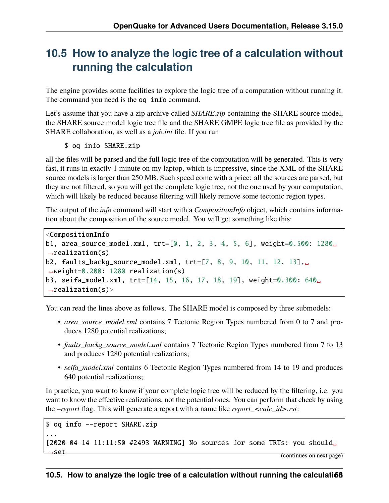### **10.5 How to analyze the logic tree of a calculation without running the calculation**

The engine provides some facilities to explore the logic tree of a computation without running it. The command you need is the oq info command.

Let's assume that you have a zip archive called *SHARE.zip* containing the SHARE source model, the SHARE source model logic tree file and the SHARE GMPE logic tree file as provided by the SHARE collaboration, as well as a *job.ini* file. If you run

#### \$ oq info SHARE.zip

all the files will be parsed and the full logic tree of the computation will be generated. This is very fast, it runs in exactly 1 minute on my laptop, which is impressive, since the XML of the SHARE source models is larger than 250 MB. Such speed come with a price: all the sources are parsed, but they are not filtered, so you will get the complete logic tree, not the one used by your computation, which will likely be reduced because filtering will likely remove some tectonic region types.

The output of the *info* command will start with a *CompositionInfo* object, which contains information about the composition of the source model. You will get something like this:

```
<CompositionInfo
b1, area_source_model.xml, trt=[0, 1, 2, 3, 4, 5, 6], weight=0.500: 1280␣
\rightarrowrealization(s)
b2, faults_backg_source_model.xml, trt=[7, 8, 9, 10, 11, 12, 13],␣
˓→weight=0.200: 1280 realization(s)
b3, seifa_model.xml, trt=[14, 15, 16, 17, 18, 19], weight=0.300: 640␣
\rightarrowrealization(s)>
```
You can read the lines above as follows. The SHARE model is composed by three submodels:

- *area\_source\_model.xml* contains 7 Tectonic Region Types numbered from 0 to 7 and produces 1280 potential realizations;
- *faults\_backg\_source\_model.xml* contains 7 Tectonic Region Types numbered from 7 to 13 and produces 1280 potential realizations;
- *seifa\_model.xml* contains 6 Tectonic Region Types numbered from 14 to 19 and produces 640 potential realizations;

In practice, you want to know if your complete logic tree will be reduced by the filtering, i.e. you want to know the effective realizations, not the potential ones. You can perform that check by using the *–report* flag. This will generate a report with a name like *report\_<calc\_id>.rst*:

```
$ oq info --report SHARE.zip
...
[2020-04-14 11:11:50 #2493 WARNING] No sources for some TRTs: you should␣
 ˓→set (continues on next page)
```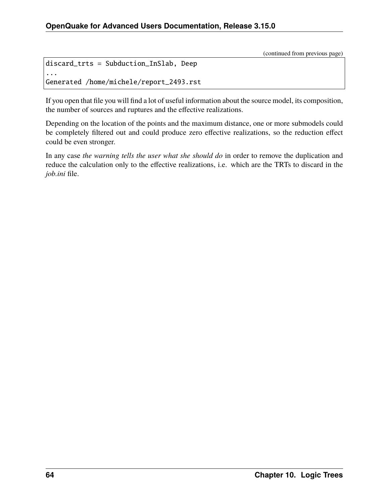```
discard_trts = Subduction_InSlab, Deep
...
Generated /home/michele/report_2493.rst
```
If you open that file you will find a lot of useful information about the source model, its composition, the number of sources and ruptures and the effective realizations.

Depending on the location of the points and the maximum distance, one or more submodels could be completely filtered out and could produce zero effective realizations, so the reduction effect could be even stronger.

In any case *the warning tells the user what she should do* in order to remove the duplication and reduce the calculation only to the effective realizations, i.e. which are the TRTs to discard in the *job.ini* file.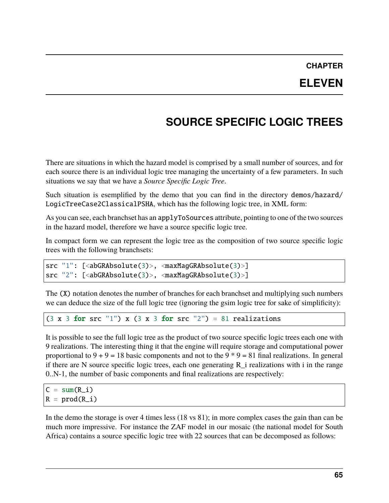### **CHAPTER ELEVEN**

# **SOURCE SPECIFIC LOGIC TREES**

There are situations in which the hazard model is comprised by a small number of sources, and for each source there is an individual logic tree managing the uncertainty of a few parameters. In such situations we say that we have a *Source Specific Logic Tree*.

Such situation is esemplified by the demo that you can find in the directory demos/hazard/ LogicTreeCase2ClassicalPSHA, which has the following logic tree, in XML form:

As you can see, each branchset has an applyToSources attribute, pointing to one of the two sources in the hazard model, therefore we have a source specific logic tree.

In compact form we can represent the logic tree as the composition of two source specific logic trees with the following branchsets:

```
src "1": [<abGRAbsolute(3)>, <maxMagGRAbsolute(3)>]
src "2": [<abGRAbsolute(3)>, <maxMagGRAbsolute(3)>]
```
The  $(X)$  notation denotes the number of branches for each branchset and multiplying such numbers we can deduce the size of the full logic tree (ignoring the gsim logic tree for sake of simplificity):

(3 x 3 for src "1") x (3 x 3 for src "2") = 81 realizations

It is possible to see the full logic tree as the product of two source specific logic trees each one with 9 realizations. The interesting thing it that the engine will require storage and computational power proportional to  $9 + 9 = 18$  basic components and not to the  $9 * 9 = 81$  final realizations. In general if there are N source specific logic trees, each one generating  $R$  i realizations with i in the range 0..N-1, the number of basic components and final realizations are respectively:

 $C = sum(R_i)$  $R = prod(R_i)$ 

In the demo the storage is over 4 times less (18 vs 81); in more complex cases the gain than can be much more impressive. For instance the ZAF model in our mosaic (the national model for South Africa) contains a source specific logic tree with 22 sources that can be decomposed as follows: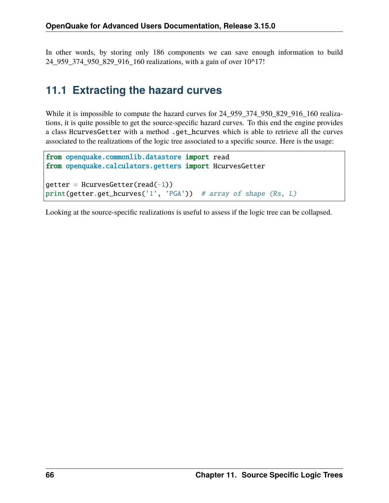In other words, by storing only 186 components we can save enough information to build 24\_959\_374\_950\_829\_916\_160 realizations, with a gain of over 10^17!

### **11.1 Extracting the hazard curves**

While it is impossible to compute the hazard curves for 24\_959\_374\_950\_829\_916\_160 realizations, it is quite possible to get the source-specific hazard curves. To this end the engine provides a class HcurvesGetter with a method .get\_hcurves which is able to retrieve all the curves associated to the realizations of the logic tree associated to a specific source. Here is the usage:

```
from openquake.commonlib.datastore import read
from openquake.calculators.getters import HcurvesGetter
getter = HcurvesGetter(read(-1))print(getter.get_hcurves('1', 'PGA')) # array of shape (Rs, L)
```
Looking at the source-specific realizations is useful to assess if the logic tree can be collapsed.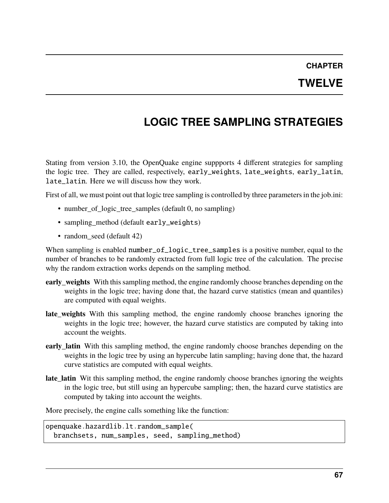## **CHAPTER TWELVE**

# **LOGIC TREE SAMPLING STRATEGIES**

Stating from version 3.10, the OpenQuake engine suppports 4 different strategies for sampling the logic tree. They are called, respectively, early\_weights, late\_weights, early\_latin, late\_latin. Here we will discuss how they work.

First of all, we must point out that logic tree sampling is controlled by three parameters in the job.ini:

- number\_of\_logic\_tree\_samples (default 0, no sampling)
- sampling\_method (default early\_weights)
- random seed (default 42)

When sampling is enabled number\_of\_logic\_tree\_samples is a positive number, equal to the number of branches to be randomly extracted from full logic tree of the calculation. The precise why the random extraction works depends on the sampling method.

- **early\_weights** With this sampling method, the engine randomly choose branches depending on the weights in the logic tree; having done that, the hazard curve statistics (mean and quantiles) are computed with equal weights.
- **late\_weights** With this sampling method, the engine randomly choose branches ignoring the weights in the logic tree; however, the hazard curve statistics are computed by taking into account the weights.
- **early latin** With this sampling method, the engine randomly choose branches depending on the weights in the logic tree by using an hypercube latin sampling; having done that, the hazard curve statistics are computed with equal weights.
- **late latin** Wit this sampling method, the engine randomly choose branches ignoring the weights in the logic tree, but still using an hypercube sampling; then, the hazard curve statistics are computed by taking into account the weights.

More precisely, the engine calls something like the function:

openquake.hazardlib.lt.random\_sample( branchsets, num\_samples, seed, sampling\_method)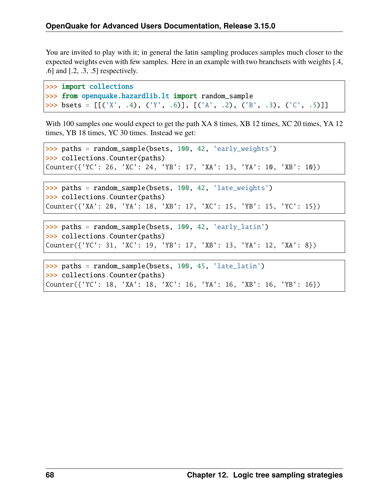You are invited to play with it; in general the latin sampling produces samples much closer to the expected weights even with few samples. Here in an example with two branchsets with weights [.4, .6] and [.2, .3, .5] respectively.

```
>>> import collections
>>> from openquake.hazardlib.lt import random_sample
>>> bsets = [ [('X', .4), ('Y', .6)], [('A', .2), ('B', .3), ('C', .5)]]
```
With 100 samples one would expect to get the path XA 8 times, XB 12 times, XC 20 times, YA 12 times, YB 18 times, YC 30 times. Instead we get:

```
>>> paths = random_sample(bsets, 100, 42, 'early_weights')
>>> collections.Counter(paths)
Counter({'YC': 26, 'XC': 24, 'YB': 17, 'XA': 13, 'YA': 10, 'XB': 10})
```

```
>>> paths = random_sample(bsets, 100, 42, 'late_weights')
>>> collections.Counter(paths)
Counter({'XA': 20, 'YA': 18, 'XB': 17, 'XC': 15, 'YB': 15, 'YC': 15})
```

```
>>> paths = random_sample(bsets, 100, 42, 'early_latin')
>>> collections.Counter(paths)
Counter({'YC': 31, 'XC': 19, 'YB': 17, 'XB': 13, 'YA': 12, 'XA': 8})
```

```
>>> paths = random_sample(bsets, 100, 45, 'late_latin')
>>> collections.Counter(paths)
Counter({'YC': 18, 'XA': 18, 'XC': 16, 'YA': 16, 'XB': 16, 'YB': 16})
```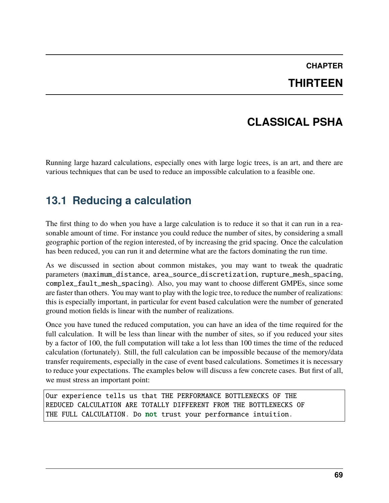#### **CHAPTER THIRTEEN**

## **CLASSICAL PSHA**

Running large hazard calculations, especially ones with large logic trees, is an art, and there are various techniques that can be used to reduce an impossible calculation to a feasible one.

#### **13.1 Reducing a calculation**

The first thing to do when you have a large calculation is to reduce it so that it can run in a reasonable amount of time. For instance you could reduce the number of sites, by considering a small geographic portion of the region interested, of by increasing the grid spacing. Once the calculation has been reduced, you can run it and determine what are the factors dominating the run time.

As we discussed in section about common mistakes, you may want to tweak the quadratic parameters (maximum\_distance, area\_source\_discretization, rupture\_mesh\_spacing, complex\_fault\_mesh\_spacing). Also, you may want to choose different GMPEs, since some are faster than others. You may want to play with the logic tree, to reduce the number of realizations: this is especially important, in particular for event based calculation were the number of generated ground motion fields is linear with the number of realizations.

Once you have tuned the reduced computation, you can have an idea of the time required for the full calculation. It will be less than linear with the number of sites, so if you reduced your sites by a factor of 100, the full computation will take a lot less than 100 times the time of the reduced calculation (fortunately). Still, the full calculation can be impossible because of the memory/data transfer requirements, especially in the case of event based calculations. Sometimes it is necessary to reduce your expectations. The examples below will discuss a few concrete cases. But first of all, we must stress an important point:

Our experience tells us that THE PERFORMANCE BOTTLENECKS OF THE REDUCED CALCULATION ARE TOTALLY DIFFERENT FROM THE BOTTLENECKS OF THE FULL CALCULATION. Do not trust your performance intuition.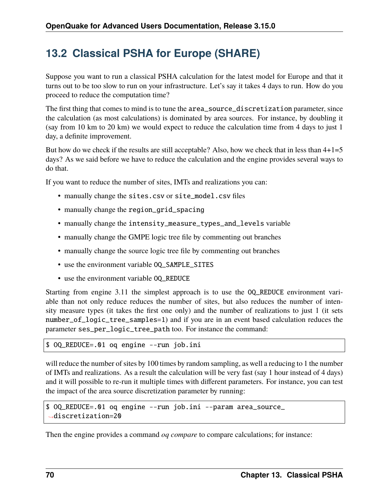#### **13.2 Classical PSHA for Europe (SHARE)**

Suppose you want to run a classical PSHA calculation for the latest model for Europe and that it turns out to be too slow to run on your infrastructure. Let's say it takes 4 days to run. How do you proceed to reduce the computation time?

The first thing that comes to mind is to tune the area\_source\_discretization parameter, since the calculation (as most calculations) is dominated by area sources. For instance, by doubling it (say from 10 km to 20 km) we would expect to reduce the calculation time from 4 days to just 1 day, a definite improvement.

But how do we check if the results are still acceptable? Also, how we check that in less than  $4+1=5$ days? As we said before we have to reduce the calculation and the engine provides several ways to do that.

If you want to reduce the number of sites, IMTs and realizations you can:

- manually change the sites.csv or site\_model.csv files
- manually change the region\_grid\_spacing
- manually change the intensity\_measure\_types\_and\_levels variable
- manually change the GMPE logic tree file by commenting out branches
- manually change the source logic tree file by commenting out branches
- use the environment variable OQ\_SAMPLE\_SITES
- use the environment variable OQ\_REDUCE

Starting from engine 3.11 the simplest approach is to use the OQ\_REDUCE environment variable than not only reduce reduces the number of sites, but also reduces the number of intensity measure types (it takes the first one only) and the number of realizations to just 1 (it sets number\_of\_logic\_tree\_samples=1) and if you are in an event based calculation reduces the parameter ses\_per\_logic\_tree\_path too. For instance the command:

\$ OQ\_REDUCE=.01 oq engine --run job.ini

will reduce the number of sites by 100 times by random sampling, as well a reducing to 1 the number of IMTs and realizations. As a result the calculation will be very fast (say 1 hour instead of 4 days) and it will possible to re-run it multiple times with different parameters. For instance, you can test the impact of the area source discretization parameter by running:

```
$ OQ_REDUCE=.01 oq engine --run job.ini --param area_source_
˓→discretization=20
```
Then the engine provides a command *oq compare* to compare calculations; for instance: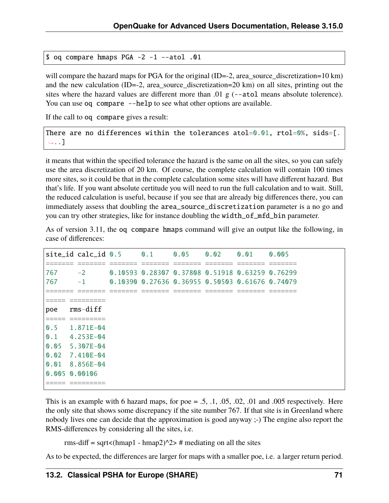\$ oq compare hmaps PGA -2 -1 --atol .01

will compare the hazard maps for PGA for the original (ID=-2, area\_source\_discretization=10 km) and the new calculation (ID=-2, area\_source\_discretization=20 km) on all sites, printing out the sites where the hazard values are different more than .01 g (--atol means absolute tolerence). You can use oq compare --help to see what other options are available.

If the call to oq compare gives a result:

There are no differences within the tolerances atol=0.01, rtol=0%, sids=[. ˓<sup>→</sup>..]

it means that within the specified tolerance the hazard is the same on all the sites, so you can safely use the area discretization of 20 km. Of course, the complete calculation will contain 100 times more sites, so it could be that in the complete calculation some sites will have different hazard. But that's life. If you want absolute certitude you will need to run the full calculation and to wait. Still, the reduced calculation is useful, because if you see that are already big differences there, you can immediately assess that doubling the area\_source\_discretization parameter is a no go and you can try other strategies, like for instance doubling the width\_of\_mfd\_bin parameter.

As of version 3.11, the oq compare hmaps command will give an output like the following, in case of differences:

|                             | site_id calc_id 0.5 0.1                      |                    |                      | 0.05 0.02 0.01 0.005                                                           |                      |                      |                            |
|-----------------------------|----------------------------------------------|--------------------|----------------------|--------------------------------------------------------------------------------|----------------------|----------------------|----------------------------|
| ________<br>________<br>767 | _______<br>________<br>$-2$                  | _______<br>_______ | ________<br>________ | $- - - - - - -$<br>________<br>0.10593 0.28307 0.37808 0.51918 0.63259 0.76299 | ________<br>________ | ________<br>________ | $- - - - - - -$<br>_______ |
| 767                         | $-1$                                         |                    |                      | 0.10390 0.27636 0.36955 0.50503 0.61676 0.74079                                |                      |                      |                            |
| _____<br>______             | __________                                   |                    |                      |                                                                                |                      |                      |                            |
| ______<br>poe               | _________<br>$rms-diff$                      |                    |                      |                                                                                |                      |                      |                            |
| _____<br>______             | __________<br>___________<br>$0.5$ 1.871E-04 |                    |                      |                                                                                |                      |                      |                            |
|                             | $0.1$ 4.253E-04                              |                    |                      |                                                                                |                      |                      |                            |
|                             | 0.05 5.307E-04                               |                    |                      |                                                                                |                      |                      |                            |
| $\Omega$ . $\Omega$         | 7.410E-04                                    |                    |                      |                                                                                |                      |                      |                            |
|                             | $0.01$ 8.856E-04                             |                    |                      |                                                                                |                      |                      |                            |
|                             | 0.005 0.00106                                |                    |                      |                                                                                |                      |                      |                            |
| ______<br>______            | __________<br>_____________                  |                    |                      |                                                                                |                      |                      |                            |

This is an example with 6 hazard maps, for poe  $= .5, .1, .05, .02, .01$  and  $.005$  respectively. Here the only site that shows some discrepancy if the site number 767. If that site is in Greenland where nobody lives one can decide that the approximation is good anyway ;-) The engine also report the RMS-differences by considering all the sites, i.e.

rms-diff = sqrt<(hmap1 - hmap2) $\frac{\gamma}{2}$  # mediating on all the sites

As to be expected, the differences are larger for maps with a smaller poe, i.e. a larger return period.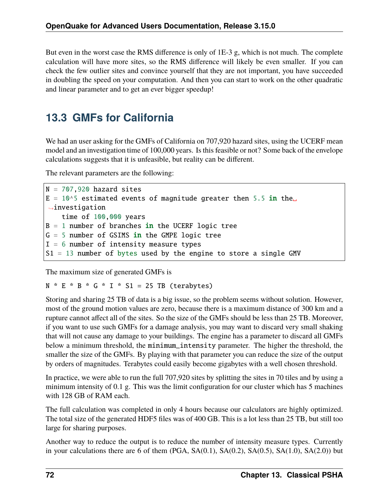But even in the worst case the RMS difference is only of 1E-3 g, which is not much. The complete calculation will have more sites, so the RMS difference will likely be even smaller. If you can check the few outlier sites and convince yourself that they are not important, you have succeeded in doubling the speed on your computation. And then you can start to work on the other quadratic and linear parameter and to get an ever bigger speedup!

## **13.3 GMFs for California**

We had an user asking for the GMFs of California on 707,920 hazard sites, using the UCERF mean model and an investigation time of 100,000 years. Is this feasible or not? Some back of the envelope calculations suggests that it is unfeasible, but reality can be different.

The relevant parameters are the following:

```
N = 707,920 hazard sites
E = 10^5 estimated events of magnitude greater then 5.5 in the
\rightarrowinvestigation
    time of 100,000 years
B = 1 number of branches in the UCERF logic tree
G = 5 number of GSIMS in the GMPE logic tree
I = 6 number of intensity measure types
S1 = 13 number of bytes used by the engine to store a single GMV
```
The maximum size of generated GMFs is

 $N * E * B * G * I * S1 = 25 TB (terabytes)$ 

Storing and sharing 25 TB of data is a big issue, so the problem seems without solution. However, most of the ground motion values are zero, because there is a maximum distance of 300 km and a rupture cannot affect all of the sites. So the size of the GMFs should be less than 25 TB. Moreover, if you want to use such GMFs for a damage analysis, you may want to discard very small shaking that will not cause any damage to your buildings. The engine has a parameter to discard all GMFs below a minimum threshold, the minimum\_intensity parameter. The higher the threshold, the smaller the size of the GMFs. By playing with that parameter you can reduce the size of the output by orders of magnitudes. Terabytes could easily become gigabytes with a well chosen threshold.

In practice, we were able to run the full 707,920 sites by splitting the sites in 70 tiles and by using a minimum intensity of 0.1 g. This was the limit configuration for our cluster which has 5 machines with 128 GB of RAM each.

The full calculation was completed in only 4 hours because our calculators are highly optimized. The total size of the generated HDF5 files was of 400 GB. This is a lot less than 25 TB, but still too large for sharing purposes.

Another way to reduce the output is to reduce the number of intensity measure types. Currently in your calculations there are 6 of them  $(PGA, SA(0.1), SA(0.2), SA(0.5), SA(1.0), SA(2.0))$  but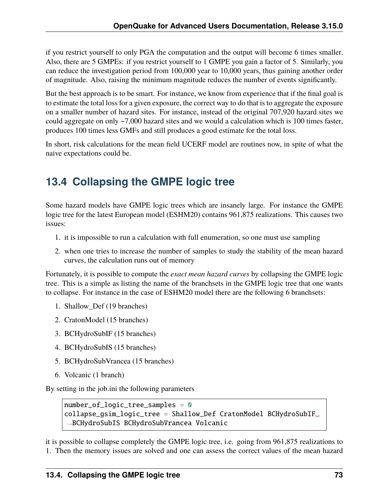if you restrict yourself to only PGA the computation and the output will become 6 times smaller. Also, there are 5 GMPEs: if you restrict yourself to 1 GMPE you gain a factor of 5. Similarly, you can reduce the investigation period from 100,000 year to 10,000 years, thus gaining another order of magnitude. Also, raising the minimum magnitude reduces the number of events significantly.

But the best approach is to be smart. For instance, we know from experience that if the final goal is to estimate the total loss for a given exposure, the correct way to do that is to aggregate the exposure on a smaller number of hazard sites. For instance, instead of the original 707,920 hazard sites we could aggregate on only ~7,000 hazard sites and we would a calculation which is 100 times faster, produces 100 times less GMFs and still produces a good estimate for the total loss.

In short, risk calculations for the mean field UCERF model are routines now, in spite of what the naive expectations could be.

## **13.4 Collapsing the GMPE logic tree**

Some hazard models have GMPE logic trees which are insanely large. For instance the GMPE logic tree for the latest European model (ESHM20) contains 961,875 realizations. This causes two issues:

- 1. it is impossible to run a calculation with full enumeration, so one must use sampling
- 2. when one tries to increase the number of samples to study the stability of the mean hazard curves, the calculation runs out of memory

Fortunately, it is possible to compute the *exact mean hazard curves* by collapsing the GMPE logic tree. This is a simple as listing the name of the branchsets in the GMPE logic tree that one wants to collapse. For instance in the case of ESHM20 model there are the following 6 branchsets:

- 1. Shallow\_Def (19 branches)
- 2. CratonModel (15 branches)
- 3. BCHydroSubIF (15 branches)
- 4. BCHydroSubIS (15 branches)
- 5. BCHydroSubVrancea (15 branches)
- 6. Volcanic (1 branch)

By setting in the job.ini the following parameters

```
number_of_logic_tree_samples = 0
collapse_gsim_logic_tree = Shallow_Def CratonModel BCHydroSubIF␣
˓→BCHydroSubIS BCHydroSubVrancea Volcanic
```
it is possible to collapse completely the GMPE logic tree, i.e. going from 961,875 realizations to 1. Then the memory issues are solved and one can assess the correct values of the mean hazard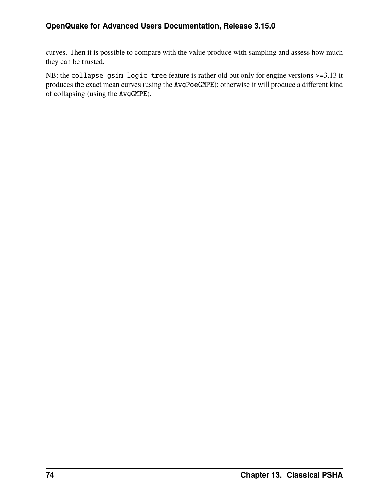curves. Then it is possible to compare with the value produce with sampling and assess how much they can be trusted.

NB: the collapse\_gsim\_logic\_tree feature is rather old but only for engine versions >=3.13 it produces the exact mean curves (using the AvgPoeGMPE); otherwise it will produce a different kind of collapsing (using the AvgGMPE).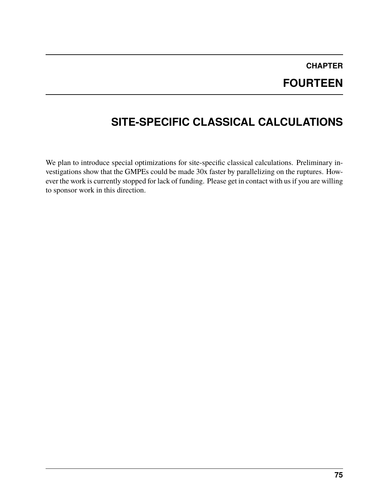## **CHAPTER FOURTEEN**

# **SITE-SPECIFIC CLASSICAL CALCULATIONS**

We plan to introduce special optimizations for site-specific classical calculations. Preliminary investigations show that the GMPEs could be made 30x faster by parallelizing on the ruptures. However the work is currently stopped for lack of funding. Please get in contact with us if you are willing to sponsor work in this direction.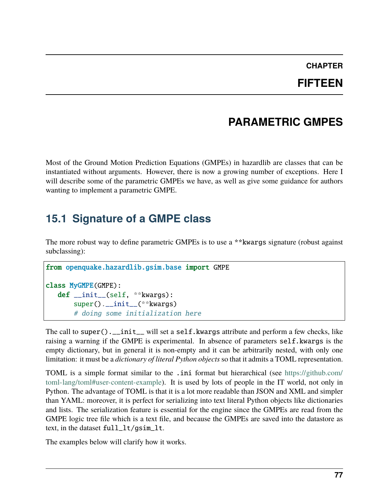## **CHAPTER**

#### **FIFTEEN**

#### **PARAMETRIC GMPES**

Most of the Ground Motion Prediction Equations (GMPEs) in hazardlib are classes that can be instantiated without arguments. However, there is now a growing number of exceptions. Here I will describe some of the parametric GMPEs we have, as well as give some guidance for authors wanting to implement a parametric GMPE.

#### **15.1 Signature of a GMPE class**

The more robust way to define parametric GMPEs is to use a \*\*kwargs signature (robust against subclassing):

```
from openquake.hazardlib.gsim.base import GMPE
class MyGMPE(GMPE):
   def __init__(self, **kwargs):
       super().__init__(**kwargs)
       # doing some initialization here
```
The call to super().\_\_init\_\_ will set a self.kwargs attribute and perform a few checks, like raising a warning if the GMPE is experimental. In absence of parameters self.kwargs is the empty dictionary, but in general it is non-empty and it can be arbitrarily nested, with only one limitation: it must be a *dictionary of literal Python objects* so that it admits a TOML representation.

TOML is a simple format similar to the .ini format but hierarchical (see [https://github.com/](https://github.com/toml-lang/toml#user-content-example) [toml-lang/toml#user-content-example\)](https://github.com/toml-lang/toml#user-content-example). It is used by lots of people in the IT world, not only in Python. The advantage of TOML is that it is a lot more readable than JSON and XML and simpler than YAML: moreover, it is perfect for serializing into text literal Python objects like dictionaries and lists. The serialization feature is essential for the engine since the GMPEs are read from the GMPE logic tree file which is a text file, and because the GMPEs are saved into the datastore as text, in the dataset full\_lt/gsim\_lt.

The examples below will clarify how it works.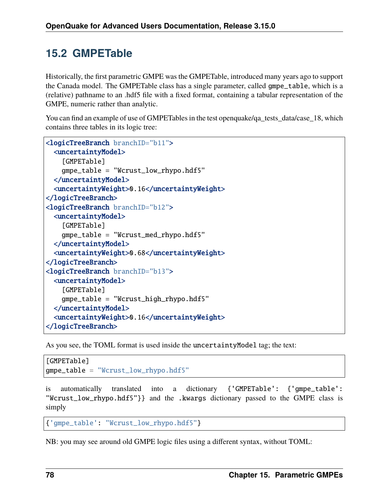#### **15.2 GMPETable**

Historically, the first parametric GMPE was the GMPETable, introduced many years ago to support the Canada model. The GMPETable class has a single parameter, called gmpe\_table, which is a (relative) pathname to an .hdf5 file with a fixed format, containing a tabular representation of the GMPE, numeric rather than analytic.

You can find an example of use of GMPETables in the test openquake/qa\_tests\_data/case\_18, which contains three tables in its logic tree:

```
<logicTreeBranch branchID="b11">
 <uncertaintyModel>
    [GMPETable]
   gmpe_table = "Wcrust_low_rhypo.hdf5"
 </uncertaintyModel>
 <uncertaintyWeight>0.16</uncertaintyWeight>
</logicTreeBranch>
<logicTreeBranch branchID="b12">
 <uncertaintyModel>
    [GMPETable]
   gmpe_table = "Wcrust_med_rhypo.hdf5"
 </uncertaintyModel>
 <uncertaintyWeight>0.68</uncertaintyWeight>
</logicTreeBranch>
<logicTreeBranch branchID="b13">
 <uncertaintyModel>
    [GMPETable]
   gmpe_table = "Wcrust_high_rhypo.hdf5"
 </uncertaintyModel>
 <uncertaintyWeight>0.16</uncertaintyWeight>
</logicTreeBranch>
```
As you see, the TOML format is used inside the uncertaintyModel tag; the text:

```
[GMPETable]
gmpe_table = "Wcrust_low_rhypo.hdf5"
```
automatically translated into a dictionary {'GMPETable': {'gmpe\_table': "Wcrust\_low\_rhypo.hdf5"}} and the .kwargs dictionary passed to the GMPE class is simply

```
{'gmpe_table': "Wcrust_low_rhypo.hdf5"}
```
NB: you may see around old GMPE logic files using a different syntax, without TOML: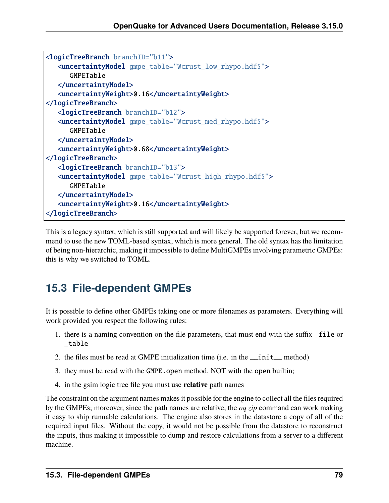```
<logicTreeBranch branchID="b11">
   <uncertaintyModel gmpe_table="Wcrust_low_rhypo.hdf5">
      GMPETable
   </uncertaintyModel>
   <uncertaintyWeight>0.16</uncertaintyWeight>
</logicTreeBranch>
   <logicTreeBranch branchID="b12">
   <uncertaintyModel gmpe_table="Wcrust_med_rhypo.hdf5">
      GMPETable
  </uncertaintyModel>
   <uncertaintyWeight>0.68</uncertaintyWeight>
</logicTreeBranch>
   <logicTreeBranch branchID="b13">
   <uncertaintyModel gmpe_table="Wcrust_high_rhypo.hdf5">
      GMPETable
   </uncertaintyModel>
   <uncertaintyWeight>0.16</uncertaintyWeight>
</logicTreeBranch>
```
This is a legacy syntax, which is still supported and will likely be supported forever, but we recommend to use the new TOML-based syntax, which is more general. The old syntax has the limitation of being non-hierarchic, making it impossible to define MultiGMPEs involving parametric GMPEs: this is why we switched to TOML.

## **15.3 File-dependent GMPEs**

It is possible to define other GMPEs taking one or more filenames as parameters. Everything will work provided you respect the following rules:

- 1. there is a naming convention on the file parameters, that must end with the suffix \_file or \_table
- 2. the files must be read at GMPE initialization time (i.e. in the \_\_init\_\_ method)
- 3. they must be read with the GMPE.open method, NOT with the open builtin;
- 4. in the gsim logic tree file you must use **relative** path names

The constraint on the argument names makes it possible for the engine to collect all the files required by the GMPEs; moreover, since the path names are relative, the *oq zip* command can work making it easy to ship runnable calculations. The engine also stores in the datastore a copy of all of the required input files. Without the copy, it would not be possible from the datastore to reconstruct the inputs, thus making it impossible to dump and restore calculations from a server to a different machine.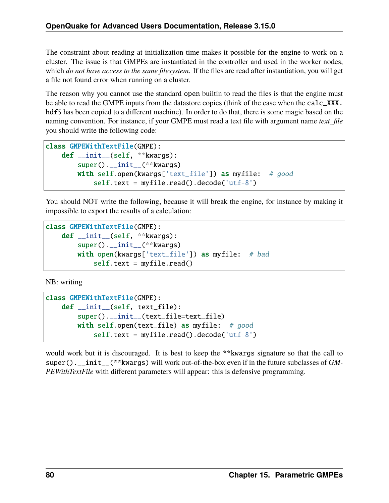The constraint about reading at initialization time makes it possible for the engine to work on a cluster. The issue is that GMPEs are instantiated in the controller and used in the worker nodes, which *do not have access to the same filesystem*. If the files are read after instantiation, you will get a file not found error when running on a cluster.

The reason why you cannot use the standard open builtin to read the files is that the engine must be able to read the GMPE inputs from the datastore copies (think of the case when the calc\_XXX. hdf5 has been copied to a different machine). In order to do that, there is some magic based on the naming convention. For instance, if your GMPE must read a text file with argument name *text\_file* you should write the following code:

```
class GMPEWithTextFile(GMPE):
   def __init__(self, **kwargs):
       super().__init__(**kwargs)
       with self.open(kwargs['text_file']) as myfile: # good
            self.text = myfile.read().\ndecode('utf-8')
```
You should NOT write the following, because it will break the engine, for instance by making it impossible to export the results of a calculation:

```
class GMPEWithTextFile(GMPE):
   def __init__(self, **kwargs):
       super().__init__(**kwargs)
       with open(kwargs['text_file']) as myfile: # bad
            self.text = myfile.read()
```
NB: writing

```
class GMPEWithTextFile(GMPE):
   def __init__(self, text_file):
       super().__init__(text_file=text_file)
       with self.open(text_file) as myfile: # goodself.text = myfile.read().decode('utf-8')
```
would work but it is discouraged. It is best to keep the \*\*kwargs signature so that the call to super().\_\_init\_\_(\*\*kwargs) will work out-of-the-box even if in the future subclasses of *GM-PEWithTextFile* with different parameters will appear: this is defensive programming.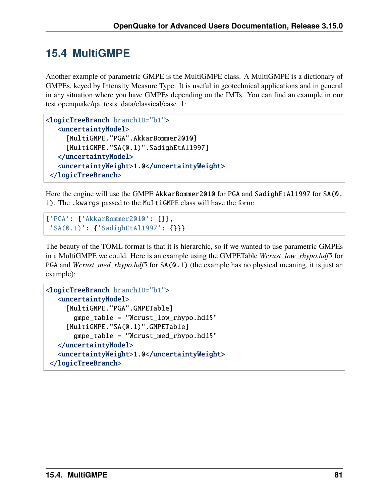#### **15.4 MultiGMPE**

Another example of parametric GMPE is the MultiGMPE class. A MultiGMPE is a dictionary of GMPEs, keyed by Intensity Measure Type. It is useful in geotechnical applications and in general in any situation where you have GMPEs depending on the IMTs. You can find an example in our test openquake/qa\_tests\_data/classical/case\_1:

```
<logicTreeBranch branchID="b1">
  <uncertaintyModel>
     [MultiGMPE."PGA".AkkarBommer2010]
     [MultiGMPE."SA(0.1)".SadighEtAl1997]
  </uncertaintyModel>
   <uncertaintyWeight>1.0</uncertaintyWeight>
</logicTreeBranch>
```
Here the engine will use the GMPE AkkarBommer2010 for PGA and SadighEtAl1997 for SA(0. 1). The .kwargs passed to the MultiGMPE class will have the form:

```
{'PGA': {'AkkarBommer2010': {}},
 'SA(0.1)': {'SadighEtAl1997': {}}}
```
The beauty of the TOML format is that it is hierarchic, so if we wanted to use parametric GMPEs in a MultiGMPE we could. Here is an example using the GMPETable *Wcrust\_low\_rhypo.hdf5* for PGA and *Wcrust\_med\_rhypo.hdf5* for SA(0.1) (the example has no physical meaning, it is just an example):

```
<logicTreeBranch branchID="b1">
  <uncertaintyModel>
     [MultiGMPE."PGA".GMPETable]
       gmpe_table = "Wcrust_low_rhypo.hdf5"
     [MultiGMPE."SA(0.1)".GMPETable]
       gmpe_table = "Wcrust_med_rhypo.hdf5"
  </uncertaintyModel>
  <uncertaintyWeight>1.0</uncertaintyWeight>
 </logicTreeBranch>
```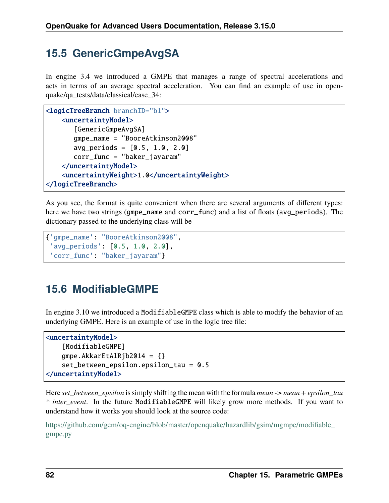## **15.5 GenericGmpeAvgSA**

In engine 3.4 we introduced a GMPE that manages a range of spectral accelerations and acts in terms of an average spectral acceleration. You can find an example of use in openquake/qa\_tests/data/classical/case\_34:

```
<logicTreeBranch branchID="b1">
   <uncertaintyModel>
       [GenericGmpeAvgSA]
       gmpe_name = "BooreAtkinson2008"
       avg\_periods = [0.5, 1.0, 2.0]corr_func = "baker_jayaram"
    </uncertaintyModel>
    <uncertaintyWeight>1.0</uncertaintyWeight>
</logicTreeBranch>
```
As you see, the format is quite convenient when there are several arguments of different types: here we have two strings (gmpe\_name and corr\_func) and a list of floats (avg\_periods). The dictionary passed to the underlying class will be

```
{'gmpe_name': "BooreAtkinson2008",
 'avg_periods': [0.5, 1.0, 2.0],
 'corr_func': "baker_jayaram"}
```
## **15.6 ModifiableGMPE**

In engine 3.10 we introduced a ModifiableGMPE class which is able to modify the behavior of an underlying GMPE. Here is an example of use in the logic tree file:

```
<uncertaintyModel>
    [ModifiableGMPE]
   gmpe.AkkarEtAlRjb2014 = { }set_between_epsilon.epsilon_tau = 0.5
</uncertaintyModel>
```
Here *set\_between\_epsilon* is simply shifting the mean with the formula *mean -> mean + epsilon\_tau \* inter\_event*. In the future ModifiableGMPE will likely grow more methods. If you want to understand how it works you should look at the source code:

[https://github.com/gem/oq-engine/blob/master/openquake/hazardlib/gsim/mgmpe/modifiable\\_](https://github.com/gem/oq-engine/blob/master/openquake/hazardlib/gsim/mgmpe/modifiable_gmpe.py) [gmpe.py](https://github.com/gem/oq-engine/blob/master/openquake/hazardlib/gsim/mgmpe/modifiable_gmpe.py)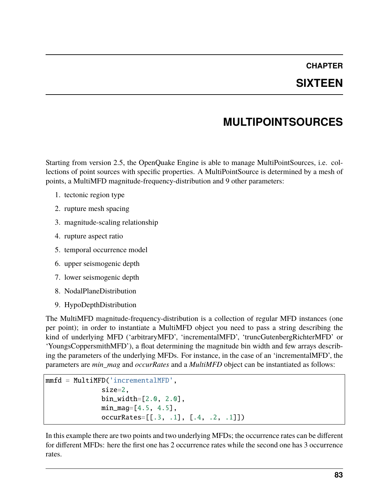#### **CHAPTER SIXTEEN**

## **MULTIPOINTSOURCES**

Starting from version 2.5, the OpenQuake Engine is able to manage MultiPointSources, i.e. collections of point sources with specific properties. A MultiPointSource is determined by a mesh of points, a MultiMFD magnitude-frequency-distribution and 9 other parameters:

- 1. tectonic region type
- 2. rupture mesh spacing
- 3. magnitude-scaling relationship
- 4. rupture aspect ratio
- 5. temporal occurrence model
- 6. upper seismogenic depth
- 7. lower seismogenic depth
- 8. NodalPlaneDistribution
- 9. HypoDepthDistribution

The MultiMFD magnitude-frequency-distribution is a collection of regular MFD instances (one per point); in order to instantiate a MultiMFD object you need to pass a string describing the kind of underlying MFD ('arbitraryMFD', 'incrementalMFD', 'truncGutenbergRichterMFD' or 'YoungsCoppersmithMFD'), a float determining the magnitude bin width and few arrays describing the parameters of the underlying MFDs. For instance, in the case of an 'incrementalMFD', the parameters are *min\_mag* and *occurRates* and a *MultiMFD* object can be instantiated as follows:

```
mmfd = MultiMFD('incrementalMFD',
              size=2,
              bin_width=[2.0, 2.0],
              min_mag=[4.5, 4.5],
              occurRates=[[.3, .1], [.4, .2, .1]])
```
In this example there are two points and two underlying MFDs; the occurrence rates can be different for different MFDs: here the first one has 2 occurrence rates while the second one has 3 occurrence rates.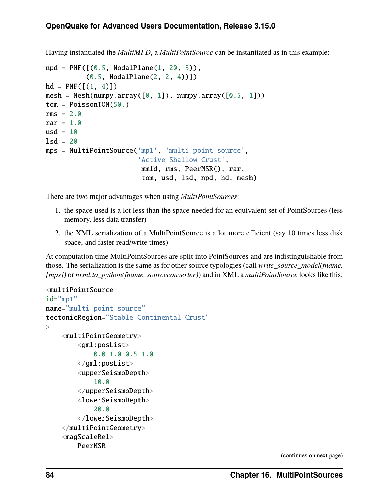Having instantiated the *MultiMFD*, a *MultiPointSource* can be instantiated as in this example:

```
npd = PMF([0.5, NodalPlane(1, 20, 3)),(0.5, NodalPlane(2, 2, 4))])
hd = PMF([1, 4)])mesh = Mesh(numpy.array([0, 1]), numpy.array([0.5, 1]))tom = PoissonTOM(50.)rms = 2.0rar = 1.0usd = 10lsd = 20mps = MultiPointSource('mp1', 'multi point source',
                       'Active Shallow Crust',
                       mmfd, rms, PeerMSR(), rar,
                       tom, usd, lsd, npd, hd, mesh)
```
There are two major advantages when using *MultiPointSources*:

- 1. the space used is a lot less than the space needed for an equivalent set of PointSources (less memory, less data transfer)
- 2. the XML serialization of a MultiPointSource is a lot more efficient (say 10 times less disk space, and faster read/write times)

At computation time MultiPointSources are split into PointSources and are indistinguishable from those. The serialization is the same as for other source typologies (call *write\_source\_model(fname, [mps])* or *nrml.to\_python(fname, sourceconverter)*) and in XML a *multiPointSource* looks like this:

```
<multiPointSource
id="mp1"
name="multi point source"
tectonicRegion="Stable Continental Crust"
><multiPointGeometry>
        <gml:posList>
            0.0 1.0 0.5 1.0
        </gml:posList>
        <upperSeismoDepth>
            10.0
        </upperSeismoDepth>
        <lowerSeismoDepth>
            20.0
        </lowerSeismoDepth>
    </multiPointGeometry>
    <magScaleRel>
        PeerMSR
```
(continues on next page)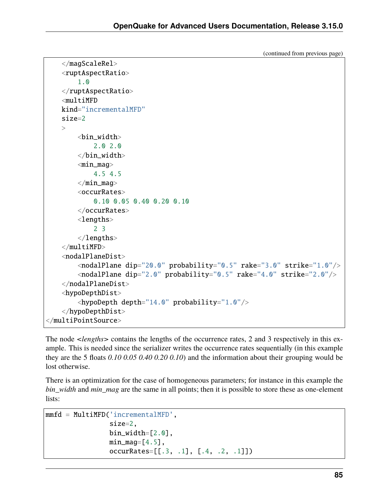(continued from previous page)

```
</magScaleRel>
    <ruptAspectRatio>
        1.0
    </ruptAspectRatio>
    <multiMFD
    kind="incrementalMFD"
    size=2
    \geq<bin_width>
            2.0 2.0
        </bin_width>
        <min_mag>4.5 4.5
        \langlemin_mag\rangle<occurRates>
            0.10 0.05 0.40 0.20 0.10
        </occurRates>
        <lengths>
            2 3
        </lengths>
    </multiMFD><nodalPlaneDist>
        <nodalPlane dip="20.0" probability="0.5" rake="3.0" strike="1.0"/>
        <nodalPlane dip="2.0" probability="0.5" rake="4.0" strike="2.0"/>
    </nodalPlaneDist>
    <hypoDepthDist>
        \langlehypoDepth depth="14.0" probability="1.0"/>
    </hypoDepthDist>
</multiPointSource>
```
The node *<lengths>* contains the lengths of the occurrence rates, 2 and 3 respectively in this example. This is needed since the serializer writes the occurrence rates sequentially (in this example they are the 5 floats *0.10 0.05 0.40 0.20 0.10*) and the information about their grouping would be lost otherwise.

There is an optimization for the case of homogeneous parameters; for instance in this example the *bin\_width* and *min\_mag* are the same in all points; then it is possible to store these as one-element lists:

```
mmfd = MultiMFD('incrementalMFD',
                size=2,
                bin_width=[2.0],
                min\_mag=[4.5],
                occurRates=[[.3, .1], [.4, .2, .1]])
```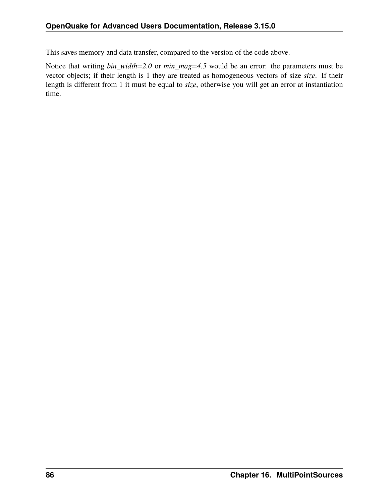This saves memory and data transfer, compared to the version of the code above.

Notice that writing *bin\_width=2.0* or *min\_mag=4.5* would be an error: the parameters must be vector objects; if their length is 1 they are treated as homogeneous vectors of size *size*. If their length is different from 1 it must be equal to *size*, otherwise you will get an error at instantiation time.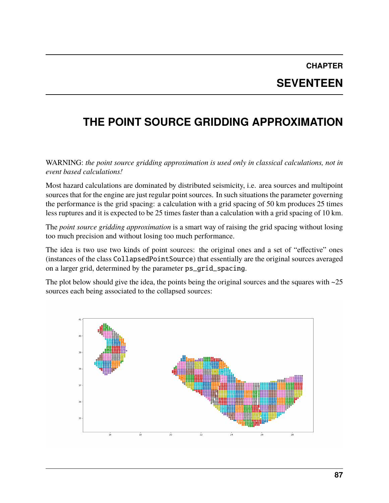# **CHAPTER SEVENTEEN**

# **THE POINT SOURCE GRIDDING APPROXIMATION**

WARNING: *the point source gridding approximation is used only in classical calculations, not in event based calculations!*

Most hazard calculations are dominated by distributed seismicity, i.e. area sources and multipoint sources that for the engine are just regular point sources. In such situations the parameter governing the performance is the grid spacing: a calculation with a grid spacing of 50 km produces 25 times less ruptures and it is expected to be 25 times faster than a calculation with a grid spacing of 10 km.

The *point source gridding approximation* is a smart way of raising the grid spacing without losing too much precision and without losing too much performance.

The idea is two use two kinds of point sources: the original ones and a set of "effective" ones (instances of the class CollapsedPointSource) that essentially are the original sources averaged on a larger grid, determined by the parameter ps\_grid\_spacing.

The plot below should give the idea, the points being the original sources and the squares with  $\sim$ 25 sources each being associated to the collapsed sources:

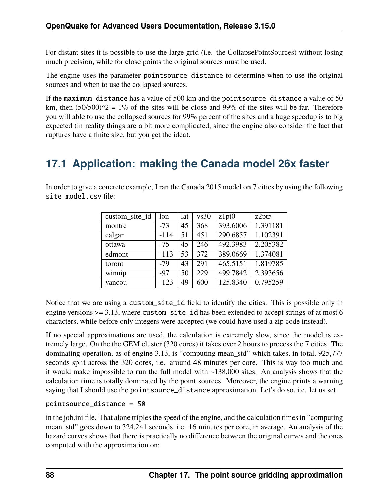For distant sites it is possible to use the large grid (i.e. the CollapsePointSources) without losing much precision, while for close points the original sources must be used.

The engine uses the parameter pointsource\_distance to determine when to use the original sources and when to use the collapsed sources.

If the maximum\_distance has a value of 500 km and the pointsource\_distance a value of 50 km, then  $(50/500)^2 = 1\%$  of the sites will be close and 99% of the sites will be far. Therefore you will able to use the collapsed sources for 99% percent of the sites and a huge speedup is to big expected (in reality things are a bit more complicated, since the engine also consider the fact that ruptures have a finite size, but you get the idea).

#### **17.1 Application: making the Canada model 26x faster**

In order to give a concrete example, I ran the Canada 2015 model on 7 cities by using the following site model.csv file:

| custom site id | lon    | lat | vs30 | z1pt0    | z2pt5    |
|----------------|--------|-----|------|----------|----------|
| montre         | $-73$  | 45  | 368  | 393.6006 | 1.391181 |
| calgar         | $-114$ | 51  | 451  | 290.6857 | 1.102391 |
| ottawa         | $-75$  | 45  | 246  | 492.3983 | 2.205382 |
| edmont         | $-113$ | 53  | 372  | 389.0669 | 1.374081 |
| toront         | $-79$  | 43  | 291  | 465.5151 | 1.819785 |
| winnip         | $-97$  | 50  | 229  | 499.7842 | 2.393656 |
| vancou         | $-123$ | 49  | 600  | 125.8340 | 0.795259 |

Notice that we are using a custom\_site\_id field to identify the cities. This is possible only in engine versions >= 3.13, where custom\_site\_id has been extended to accept strings of at most 6 characters, while before only integers were accepted (we could have used a zip code instead).

If no special approximations are used, the calculation is extremely slow, since the model is extremely large. On the the GEM cluster (320 cores) it takes over 2 hours to process the 7 cities. The dominating operation, as of engine 3.13, is "computing mean std" which takes, in total, 925,777 seconds split across the 320 cores, i.e. around 48 minutes per core. This is way too much and it would make impossible to run the full model with ~138,000 sites. An analysis shows that the calculation time is totally dominated by the point sources. Moreover, the engine prints a warning saying that I should use the pointsource\_distance approximation. Let's do so, i.e. let us set

#### pointsource\_distance = 50

in the job.ini file. That alone triples the speed of the engine, and the calculation times in "computing mean std" goes down to 324,241 seconds, i.e. 16 minutes per core, in average. An analysis of the hazard curves shows that there is practically no difference between the original curves and the ones computed with the approximation on: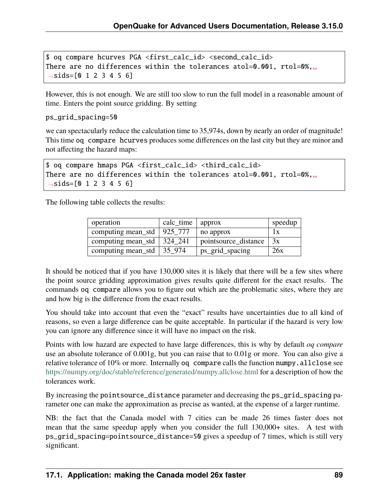```
$ oq compare hcurves PGA <first_calc_id> <second_calc_id>
There are no differences within the tolerances atol=0.001, rtol=0%,␣
\rightarrowsids=[0 1 2 3 4 5 6]
```
However, this is not enough. We are still too slow to run the full model in a reasonable amount of time. Enters the point source gridding. By setting

```
ps_grid_spacing=50
```
we can spectacularly reduce the calculation time to 35,974s, down by nearly an order of magnitude! This time oq compare hcurves produces some differences on the last city but they are minor and not affecting the hazard maps:

```
$ oq compare hmaps PGA <first_calc_id> <third_calc_id>
There are no differences within the tolerances atol=0.001, rtol=0%,␣
\rightarrowsids=[0 1 2 3 4 5 6]
```
The following table collects the results:

| operation          | calc time | approx               | speedup |
|--------------------|-----------|----------------------|---------|
| computing mean_std | 925 777   | no approx            | l x     |
| computing mean_std | 324 241   | pointsource_distance | 3x      |
| computing mean_std | 35 974    | ps_grid_spacing      | 26x     |

It should be noticed that if you have 130,000 sites it is likely that there will be a few sites where the point source gridding approximation gives results quite different for the exact results. The commands oq compare allows you to figure out which are the problematic sites, where they are and how big is the difference from the exact results.

You should take into account that even the "exact" results have uncertainties due to all kind of reasons, so even a large difference can be quite acceptable. In particular if the hazard is very low you can ignore any difference since it will have no impact on the risk.

Points with low hazard are expected to have large differences, this is why by default *oq compare* use an absolute tolerance of 0.001g, but you can raise that to 0.01g or more. You can also give a relative tolerance of 10% or more. Internally oq compare calls the function numpy.allclose see <https://numpy.org/doc/stable/reference/generated/numpy.allclose.html> for a description of how the tolerances work.

By increasing the pointsource\_distance parameter and decreasing the ps\_grid\_spacing parameter one can make the approximation as precise as wanted, at the expense of a larger runtime.

NB: the fact that the Canada model with 7 cities can be made 26 times faster does not mean that the same speedup apply when you consider the full 130,000+ sites. A test with ps\_grid\_spacing=pointsource\_distance=50 gives a speedup of 7 times, which is still very significant.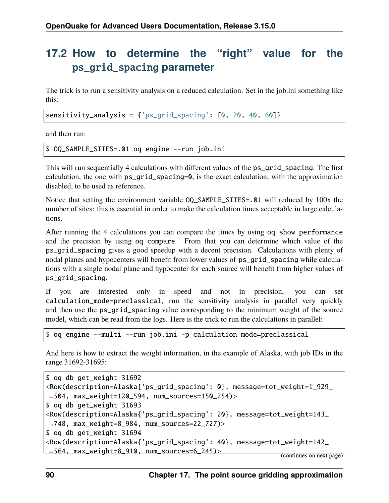#### **17.2 How to determine the "right" value for the** ps\_grid\_spacing **parameter**

The trick is to run a sensitivity analysis on a reduced calculation. Set in the job.ini something like this:

sensitivity\_analysis = {'ps\_grid\_spacing': [0, 20, 40, 60]}

and then run:

\$ OQ\_SAMPLE\_SITES=.01 oq engine --run job.ini

This will run sequentially 4 calculations with different values of the ps\_grid\_spacing. The first calculation, the one with ps\_grid\_spacing=0, is the exact calculation, with the approximation disabled, to be used as reference.

Notice that setting the environment variable OQ\_SAMPLE\_SITES=.01 will reduced by 100x the number of sites: this is essential in order to make the calculation times acceptable in large calculations.

After running the 4 calculations you can compare the times by using oq show performance and the precision by using oq compare. From that you can determine which value of the ps\_grid\_spacing gives a good speedup with a decent precision. Calculations with plenty of nodal planes and hypocenters will benefit from lower values of ps\_grid\_spacing while calculations with a single nodal plane and hypocenter for each source will benefit from higher values of ps\_grid\_spacing.

If you are interested only in speed and not in precision, you can set calculation\_mode=preclassical, run the sensitivity analysis in parallel very quickly and then use the ps\_grid\_spacing value corresponding to the minimum weight of the source model, which can be read from the logs. Here is the trick to run the calculations in parallel:

\$ oq engine --multi --run job.ini -p calculation\_mode=preclassical

And here is how to extract the weight information, in the example of Alaska, with job IDs in the range 31692-31695:

```
$ oq db get_weight 31692
<Row(description=Alaska{'ps_grid_spacing': 0}, message=tot_weight=1_929_
˓→504, max_weight=120_594, num_sources=150_254)>
$ oq db get_weight 31693
<Row(description=Alaska{'ps_grid_spacing': 20}, message=tot_weight=143_
˓→748, max_weight=8_984, num_sources=22_727)>
$ oq db get_weight 31694
<Row(description=Alaska{'ps_grid_spacing': 40}, message=tot_weight=142_
˓→564, max_weight=8_910, num_sources=6_245)> (continues on next page)
```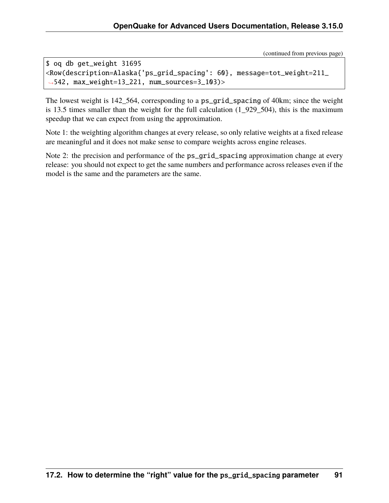(continued from previous page)

```
$ oq db get_weight 31695
<Row(description=Alaska{'ps_grid_spacing': 60}, message=tot_weight=211_
˓→542, max_weight=13_221, num_sources=3_103)>
```
The lowest weight is 142\_564, corresponding to a ps\_grid\_spacing of 40km; since the weight is 13.5 times smaller than the weight for the full calculation (1\_929\_504), this is the maximum speedup that we can expect from using the approximation.

Note 1: the weighting algorithm changes at every release, so only relative weights at a fixed release are meaningful and it does not make sense to compare weights across engine releases.

Note 2: the precision and performance of the ps\_grid\_spacing approximation change at every release: you should not expect to get the same numbers and performance across releases even if the model is the same and the parameters are the same.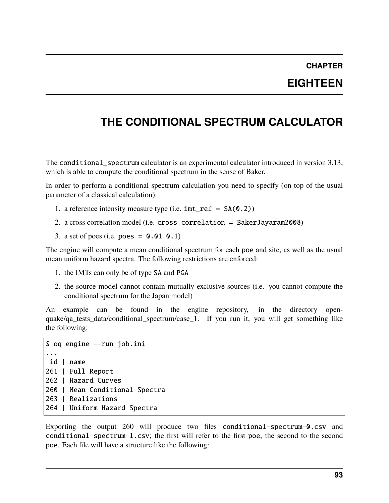#### **CHAPTER EIGHTEEN**

## **THE CONDITIONAL SPECTRUM CALCULATOR**

The conditional\_spectrum calculator is an experimental calculator introduced in version 3.13, which is able to compute the conditional spectrum in the sense of Baker.

In order to perform a conditional spectrum calculation you need to specify (on top of the usual parameter of a classical calculation):

- 1. a reference intensity measure type (i.e.  $imt_ref = SA(0.2)$ )
- 2. a cross correlation model (i.e. cross\_correlation = BakerJayaram2008)
- 3. a set of poes (i.e. poes =  $0.01$  0.1)

The engine will compute a mean conditional spectrum for each poe and site, as well as the usual mean uniform hazard spectra. The following restrictions are enforced:

- 1. the IMTs can only be of type SA and PGA
- 2. the source model cannot contain mutually exclusive sources (i.e. you cannot compute the conditional spectrum for the Japan model)

An example can be found in the engine repository, in the directory openquake/qa tests data/conditional spectrum/case 1. If you run it, you will get something like the following:

```
$ oq engine --run job.ini
...
id | name
261 | Full Report
262 | Hazard Curves
260 | Mean Conditional Spectra
263 | Realizations
264 | Uniform Hazard Spectra
```
Exporting the output 260 will produce two files conditional-spectrum-0.csv and conditional-spectrum-1.csv; the first will refer to the first poe, the second to the second poe. Each file will have a structure like the following: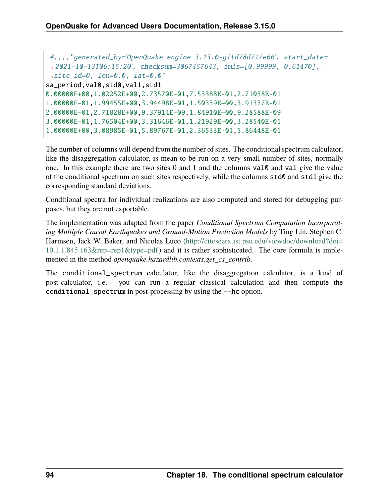```
#,,,,"generated_by='OpenQuake engine 3.13.0-gitd78d717e66', start_date=
˓→'2021-10-13T06:15:20', checksum=3067457643, imls=[0.99999, 0.61470],␣
˓→site_id=0, lon=0.0, lat=0.0"
sa_period,val0,std0,val1,std1
0.00000E+00,1.02252E+00,2.73570E-01,7.53388E-01,2.71038E-01
1.00000E-01,1.99455E+00,3.94498E-01,1.50339E+00,3.91337E-01
2.00000E-01,2.71828E+00,9.37914E-09,1.84910E+00,9.28588E-09
3.00000E-01,1.76504E+00,3.31646E-01,1.21929E+00,3.28540E-01
1.00000E+00,3.08985E-01,5.89767E-01,2.36533E-01,5.86448E-01
```
The number of columns will depend from the number of sites. The conditional spectrum calculator, like the disaggregation calculator, is mean to be run on a very small number of sites, normally one. In this example there are two sites 0 and 1 and the columns val0 and val give the value of the conditional spectrum on such sites respectively, while the columns std0 and std1 give the corresponding standard deviations.

Conditional spectra for individual realizations are also computed and stored for debugging purposes, but they are not exportable.

The implementation was adapted from the paper *Conditional Spectrum Computation Incorporating Multiple Causal Earthquakes and Ground-Motion Prediction Models* by Ting Lin, Stephen C. Harmsen, Jack W. Baker, and Nicolas Luco [\(http://citeseerx.ist.psu.edu/viewdoc/download?doi=](http://citeseerx.ist.psu.edu/viewdoc/download?doi=10.1.1.845.163&rep=rep1&type=pdf) [10.1.1.845.163&rep=rep1&type=pdf\)](http://citeseerx.ist.psu.edu/viewdoc/download?doi=10.1.1.845.163&rep=rep1&type=pdf) and it is rather sophisticated. The core formula is implemented in the method *openquake.hazardlib.contexts.get\_cs\_contrib*.

The conditional\_spectrum calculator, like the disaggregation calculator, is a kind of post-calculator, i.e. you can run a regular classical calculation and then compute the conditional\_spectrum in post-processing by using the --hc option.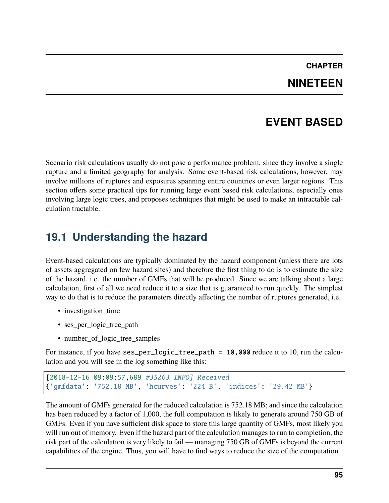#### **CHAPTER NINETEEN**

#### **EVENT BASED**

Scenario risk calculations usually do not pose a performance problem, since they involve a single rupture and a limited geography for analysis. Some event-based risk calculations, however, may involve millions of ruptures and exposures spanning entire countries or even larger regions. This section offers some practical tips for running large event based risk calculations, especially ones involving large logic trees, and proposes techniques that might be used to make an intractable calculation tractable.

#### **19.1 Understanding the hazard**

Event-based calculations are typically dominated by the hazard component (unless there are lots of assets aggregated on few hazard sites) and therefore the first thing to do is to estimate the size of the hazard, i.e. the number of GMFs that will be produced. Since we are talking about a large calculation, first of all we need reduce it to a size that is guaranteed to run quickly. The simplest way to do that is to reduce the parameters directly affecting the number of ruptures generated, i.e.

- investigation time
- ses\_per\_logic\_tree\_path
- number\_of\_logic\_tree\_samples

For instance, if you have ses\_per\_logic\_tree\_path = 10,000 reduce it to 10, run the calculation and you will see in the log something like this:

```
[2018-12-16 09:09:57,689 #35263 INFO] Received
{'gmfdata': '752.18 MB', 'hcurves': '224 B', 'indices': '29.42 MB'}
```
The amount of GMFs generated for the reduced calculation is 752.18 MB; and since the calculation has been reduced by a factor of 1,000, the full computation is likely to generate around 750 GB of GMFs. Even if you have sufficient disk space to store this large quantity of GMFs, most likely you will run out of memory. Even if the hazard part of the calculation manages to run to completion, the risk part of the calculation is very likely to fail — managing 750 GB of GMFs is beyond the current capabilities of the engine. Thus, you will have to find ways to reduce the size of the computation.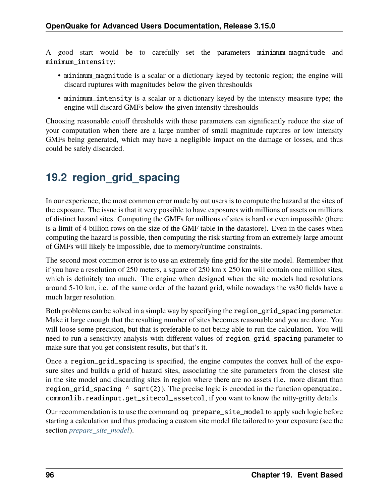A good start would be to carefully set the parameters minimum\_magnitude and minimum\_intensity:

- minimum\_magnitude is a scalar or a dictionary keyed by tectonic region; the engine will discard ruptures with magnitudes below the given threshoulds
- minimum\_intensity is a scalar or a dictionary keyed by the intensity measure type; the engine will discard GMFs below the given intensity threshoulds

Choosing reasonable cutoff thresholds with these parameters can significantly reduce the size of your computation when there are a large number of small magnitude ruptures or low intensity GMFs being generated, which may have a negligible impact on the damage or losses, and thus could be safely discarded.

#### **19.2 region\_grid\_spacing**

In our experience, the most common error made by out users is to compute the hazard at the sites of the exposure. The issue is that it very possible to have exposures with millions of assets on millions of distinct hazard sites. Computing the GMFs for millions of sites is hard or even impossible (there is a limit of 4 billion rows on the size of the GMF table in the datastore). Even in the cases when computing the hazard is possible, then computing the risk starting from an extremely large amount of GMFs will likely be impossible, due to memory/runtime constraints.

The second most common error is to use an extremely fine grid for the site model. Remember that if you have a resolution of 250 meters, a square of 250 km x 250 km will contain one million sites, which is definitely too much. The engine when designed when the site models had resolutions around 5-10 km, i.e. of the same order of the hazard grid, while nowadays the vs30 fields have a much larger resolution.

Both problems can be solved in a simple way by specifying the region\_grid\_spacing parameter. Make it large enough that the resulting number of sites becomes reasonable and you are done. You will loose some precision, but that is preferable to not being able to run the calculation. You will need to run a sensitivity analysis with different values of region\_grid\_spacing parameter to make sure that you get consistent results, but that's it.

Once a region\_grid\_spacing is specified, the engine computes the convex hull of the exposure sites and builds a grid of hazard sites, associating the site parameters from the closest site in the site model and discarding sites in region where there are no assets (i.e. more distant than region\_grid\_spacing \* sqrt(2)). The precise logic is encoded in the function openquake. commonlib.readinput.get\_sitecol\_assetcol, if you want to know the nitty-gritty details.

Our recommendation is to use the command oq prepare\_site\_model to apply such logic before starting a calculation and thus producing a custom site model file tailored to your exposure (see the section *prepare* site model).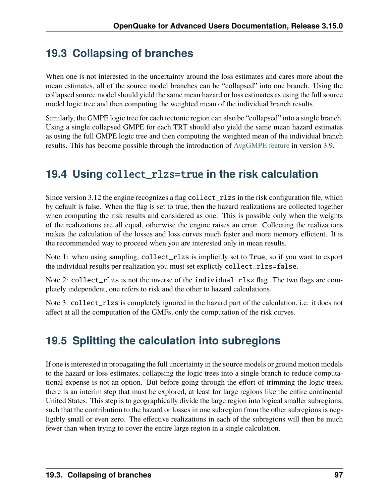#### **19.3 Collapsing of branches**

When one is not interested in the uncertainty around the loss estimates and cares more about the mean estimates, all of the source model branches can be "collapsed" into one branch. Using the collapsed source model should yield the same mean hazard or loss estimates as using the full source model logic tree and then computing the weighted mean of the individual branch results.

Similarly, the GMPE logic tree for each tectonic region can also be "collapsed" into a single branch. Using a single collapsed GMPE for each TRT should also yield the same mean hazard estimates as using the full GMPE logic tree and then computing the weighted mean of the individual branch results. This has become possible through the introduction of [AvgGMPE feature](https://github.com/gem/oq-engine/blob/engine-3.9/openquake/qa_tests_data/classical/case_19/gmpe_logic_tree.xml#L26-L40) in version 3.9.

#### **19.4 Using** collect\_rlzs=true **in the risk calculation**

Since version 3.12 the engine recognizes a flag collect\_rlzs in the risk configuration file, which by default is false. When the flag is set to true, then the hazard realizations are collected together when computing the risk results and considered as one. This is possible only when the weights of the realizations are all equal, otherwise the engine raises an error. Collecting the realizations makes the calculation of the losses and loss curves much faster and more memory efficient. It is the recommended way to proceed when you are interested only in mean results.

Note 1: when using sampling, collect\_rlzs is implicitly set to True, so if you want to export the individual results per realization you must set explictly collect\_rlzs=false.

Note 2: collect\_rlzs is not the inverse of the individual rlsz flag. The two flags are completely independent, one refers to risk and the other to hazard calculations.

Note 3: collect\_rlzs is completely ignored in the hazard part of the calculation, i.e. it does not affect at all the computation of the GMFs, only the computation of the risk curves.

#### **19.5 Splitting the calculation into subregions**

If one is interested in propagating the full uncertainty in the source models or ground motion models to the hazard or loss estimates, collapsing the logic trees into a single branch to reduce computational expense is not an option. But before going through the effort of trimming the logic trees, there is an interim step that must be explored, at least for large regions like the entire continental United States. This step is to geographically divide the large region into logical smaller subregions, such that the contribution to the hazard or losses in one subregion from the other subregions is negligibly small or even zero. The effective realizations in each of the subregions will then be much fewer than when trying to cover the entire large region in a single calculation.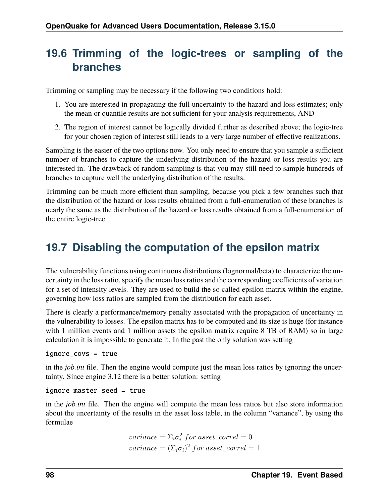## **19.6 Trimming of the logic-trees or sampling of the branches**

Trimming or sampling may be necessary if the following two conditions hold:

- 1. You are interested in propagating the full uncertainty to the hazard and loss estimates; only the mean or quantile results are not sufficient for your analysis requirements, AND
- 2. The region of interest cannot be logically divided further as described above; the logic-tree for your chosen region of interest still leads to a very large number of effective realizations.

Sampling is the easier of the two options now. You only need to ensure that you sample a sufficient number of branches to capture the underlying distribution of the hazard or loss results you are interested in. The drawback of random sampling is that you may still need to sample hundreds of branches to capture well the underlying distribution of the results.

Trimming can be much more efficient than sampling, because you pick a few branches such that the distribution of the hazard or loss results obtained from a full-enumeration of these branches is nearly the same as the distribution of the hazard or loss results obtained from a full-enumeration of the entire logic-tree.

#### **19.7 Disabling the computation of the epsilon matrix**

The vulnerability functions using continuous distributions (lognormal/beta) to characterize the uncertainty in the loss ratio, specify the mean loss ratios and the corresponding coefficients of variation for a set of intensity levels. They are used to build the so called epsilon matrix within the engine, governing how loss ratios are sampled from the distribution for each asset.

There is clearly a performance/memory penalty associated with the propagation of uncertainty in the vulnerability to losses. The epsilon matrix has to be computed and its size is huge (for instance with 1 million events and 1 million assets the epsilon matrix require 8 TB of RAM) so in large calculation it is impossible to generate it. In the past the only solution was setting

ignore\_covs = true

in the *job.ini* file. Then the engine would compute just the mean loss ratios by ignoring the uncertainty. Since engine 3.12 there is a better solution: setting

ignore\_master\_seed = true

in the *job.ini* file. Then the engine will compute the mean loss ratios but also store information about the uncertainty of the results in the asset loss table, in the column "variance", by using the formulae

*variance* = 
$$
\Sigma_i \sigma_i^2
$$
 for asset\_correl = 0  
*variance* =  $(\Sigma_i \sigma_i)^2$  for asset\_correl = 1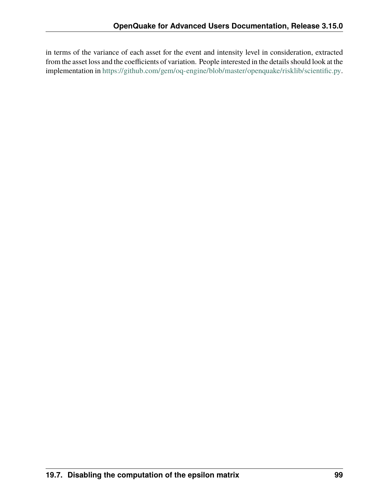in terms of the variance of each asset for the event and intensity level in consideration, extracted from the asset loss and the coefficients of variation. People interested in the details should look at the implementation in [https://github.com/gem/oq-engine/blob/master/openquake/risklib/scientific.py.](https://github.com/gem/oq-engine/blob/master/openquake/risklib/scientific.py)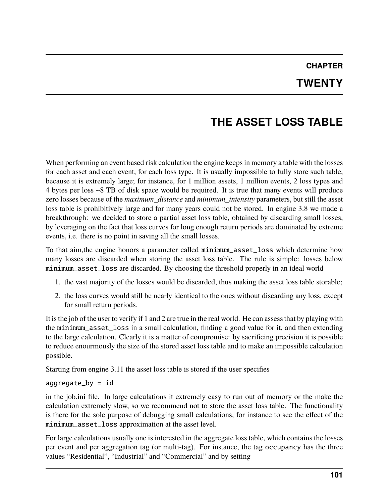#### **CHAPTER TWENTY**

# **THE ASSET LOSS TABLE**

When performing an event based risk calculation the engine keeps in memory a table with the losses for each asset and each event, for each loss type. It is usually impossible to fully store such table, because it is extremely large; for instance, for 1 million assets, 1 million events, 2 loss types and 4 bytes per loss ~8 TB of disk space would be required. It is true that many events will produce zero losses because of the *maximum\_distance* and *minimum\_intensity* parameters, but still the asset loss table is prohibitively large and for many years could not be stored. In engine 3.8 we made a breakthrough: we decided to store a partial asset loss table, obtained by discarding small losses, by leveraging on the fact that loss curves for long enough return periods are dominated by extreme events, i.e. there is no point in saving all the small losses.

To that aim,the engine honors a parameter called minimum\_asset\_loss which determine how many losses are discarded when storing the asset loss table. The rule is simple: losses below minimum\_asset\_loss are discarded. By choosing the threshold properly in an ideal world

- 1. the vast majority of the losses would be discarded, thus making the asset loss table storable;
- 2. the loss curves would still be nearly identical to the ones without discarding any loss, except for small return periods.

It is the job of the user to verify if 1 and 2 are true in the real world. He can assess that by playing with the minimum\_asset\_loss in a small calculation, finding a good value for it, and then extending to the large calculation. Clearly it is a matter of compromise: by sacrificing precision it is possible to reduce enourmously the size of the stored asset loss table and to make an impossible calculation possible.

Starting from engine 3.11 the asset loss table is stored if the user specifies

#### aggregate\_by = id

in the job.ini file. In large calculations it extremely easy to run out of memory or the make the calculation extremely slow, so we recommend not to store the asset loss table. The functionality is there for the sole purpose of debugging small calculations, for instance to see the effect of the minimum\_asset\_loss approximation at the asset level.

For large calculations usually one is interested in the aggregate loss table, which contains the losses per event and per aggregation tag (or multi-tag). For instance, the tag occupancy has the three values "Residential", "Industrial" and "Commercial" and by setting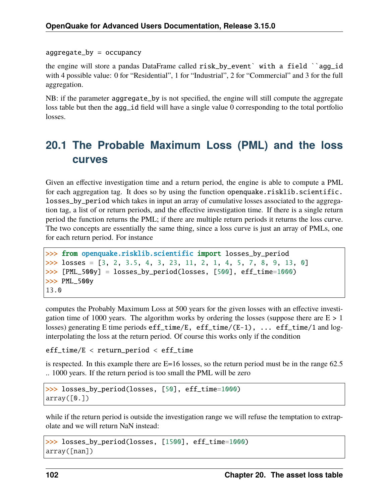aggregate\_by = occupancy

the engine will store a pandas DataFrame called risk\_by\_event` with a field ``agg\_id with 4 possible value: 0 for "Residential", 1 for "Industrial", 2 for "Commercial" and 3 for the full aggregation.

NB: if the parameter aggregate\_by is not specified, the engine will still compute the aggregate loss table but then the agg\_id field will have a single value 0 corresponding to the total portfolio losses.

#### **20.1 The Probable Maximum Loss (PML) and the loss curves**

Given an effective investigation time and a return period, the engine is able to compute a PML for each aggregation tag. It does so by using the function openquake.risklib.scientific. losses\_by\_period which takes in input an array of cumulative losses associated to the aggregation tag, a list of or return periods, and the effective investigation time. If there is a single return period the function returns the PML; if there are multiple return periods it returns the loss curve. The two concepts are essentially the same thing, since a loss curve is just an array of PMLs, one for each return period. For instance

```
>>> from openquake.risklib.scientific import losses_by_period
\gg losses = [3, 2, 3.5, 4, 3, 23, 11, 2, 1, 4, 5, 7, 8, 9, 13, 0]
>>> [PML_500y] = losses_by_period(losses, [500], eff_time=1000)
>>> PML_500y
13.0
```
computes the Probably Maximum Loss at 500 years for the given losses with an effective investigation time of 1000 years. The algorithm works by ordering the losses (suppose there are  $E > 1$ ) losses) generating E time periods eff\_time/E, eff\_time/(E-1), ... eff\_time/1 and loginterpolating the loss at the return period. Of course this works only if the condition

```
eff_time/E < return_period < eff_time
```
is respected. In this example there are  $E=16$  losses, so the return period must be in the range 62.5 .. 1000 years. If the return period is too small the PML will be zero

```
>>> losses_by_period(losses, [50], eff_time=1000)
array([0.])
```
while if the return period is outside the investigation range we will refuse the temptation to extrapolate and we will return NaN instead:

```
>>> losses_by_period(losses, [1500], eff_time=1000)
array([nan])
```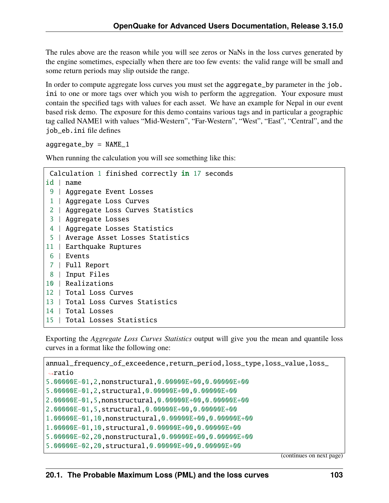The rules above are the reason while you will see zeros or NaNs in the loss curves generated by the engine sometimes, especially when there are too few events: the valid range will be small and some return periods may slip outside the range.

In order to compute aggregate loss curves you must set the aggregate\_by parameter in the job. ini to one or more tags over which you wish to perform the aggregation. Your exposure must contain the specified tags with values for each asset. We have an example for Nepal in our event based risk demo. The exposure for this demo contains various tags and in particular a geographic tag called NAME1 with values "Mid-Western", "Far-Western", "West", "East", "Central", and the job\_eb.ini file defines

 $aggregate_by = NAME_1$ 

When running the calculation you will see something like this:

```
Calculation 1 finished correctly in 17 seconds
id | name
9 | Aggregate Event Losses
1 | Aggregate Loss Curves
2 | Aggregate Loss Curves Statistics
3 | Aggregate Losses
4 | Aggregate Losses Statistics
5 | Average Asset Losses Statistics
11 | Earthquake Ruptures
6 | Events
7 | Full Report
8 | Input Files
10 | Realizations
12 | Total Loss Curves
13 | Total Loss Curves Statistics
14 | Total Losses
15 | Total Losses Statistics
```
Exporting the *Aggregate Loss Curves Statistics* output will give you the mean and quantile loss curves in a format like the following one:

```
annual_frequency_of_exceedence,return_period,loss_type,loss_value,loss_
ightharpoonupratio
5.00000E-01,2,nonstructural,0.00000E+00,0.00000E+00
5.00000E-01,2,structural,0.00000E+00,0.00000E+00
2.00000E-01,5,nonstructural,0.00000E+00,0.00000E+00
2.00000E-01,5,structural,0.00000E+00,0.00000E+00
1.00000E-01,10,nonstructural,0.00000E+00,0.00000E+00
1.00000E-01,10,structural,0.00000E+00,0.00000E+00
5.00000E-02,20,nonstructural,0.00000E+00,0.00000E+00
5.00000E-02,20,structural,0.00000E+00,0.00000E+00
```
(continues on next page)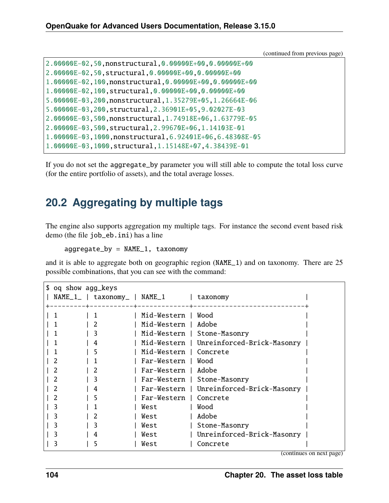(continued from previous page)

| 2.00000E-02.50.nonstructural.0.00000E+00.0.00000E+00   |
|--------------------------------------------------------|
| 2.00000E-02.50, structural, 0.00000E+00, 0.00000E+00   |
| 1.00000E-02.100.nonstructural.0.00000E+00.0.00000E+00  |
| 1.00000E-02.100.structural.0.00000E+00.0.00000E+00     |
| 5.00000E-03.200.nonstructural.1.35279E+05.1.26664E-06  |
| 5.00000E-03.200.structural.2.36901E+05.9.02027E-03     |
| 2.00000E-03.500.nonstructural.1.74918E+06.1.63779E-05  |
| 2.00000E-03.500.structural.2.99670E+06.1.14103E-01     |
| 1.00000E-03.1000.nonstructural.6.92401E+06.6.48308E-05 |
| 1.00000E-03.1000.structural.1.15148E+07.4.38439E-01    |

If you do not set the aggregate\_by parameter you will still able to compute the total loss curve (for the entire portfolio of assets), and the total average losses.

#### **20.2 Aggregating by multiple tags**

The engine also supports aggregation my multiple tags. For instance the second event based risk demo (the file job\_eb.ini) has a line

aggregate\_by = NAME\_1, taxonomy

and it is able to aggregate both on geographic region (NAME\_1) and on taxonomy. There are 25 possible combinations, that you can see with the command:

| \$ oq show agg_keys |  |                                |  |                        |  |                                          |  |  |
|---------------------|--|--------------------------------|--|------------------------|--|------------------------------------------|--|--|
|                     |  | $NAME_1$   taxonomy   NAME $1$ |  |                        |  | taxonomy                                 |  |  |
|                     |  |                                |  |                        |  |                                          |  |  |
|                     |  |                                |  | Mid-Western            |  | Wood                                     |  |  |
|                     |  |                                |  | Mid-Western   Adobe    |  |                                          |  |  |
|                     |  | 3                              |  |                        |  | Mid-Western   Stone-Masonry              |  |  |
|                     |  |                                |  |                        |  | Mid-Western   Unreinforced-Brick-Masonry |  |  |
|                     |  |                                |  | Mid-Western   Concrete |  |                                          |  |  |
|                     |  |                                |  | Far-Western   Wood     |  |                                          |  |  |
|                     |  |                                |  | Far-Western   Adobe    |  |                                          |  |  |
|                     |  | 3                              |  |                        |  | Far-Western   Stone-Masonry              |  |  |
|                     |  | 4                              |  |                        |  | Far-Western   Unreinforced-Brick-Masonry |  |  |
|                     |  | 5                              |  | Far-Western   Concrete |  |                                          |  |  |
|                     |  |                                |  | West                   |  | Wood                                     |  |  |
|                     |  |                                |  | West                   |  | Adobe                                    |  |  |
|                     |  | 3                              |  | West                   |  | Stone-Masonry                            |  |  |
|                     |  |                                |  | West                   |  | Unreinforced-Brick-Masonry               |  |  |
|                     |  |                                |  | West                   |  | Concrete                                 |  |  |

(continues on next page)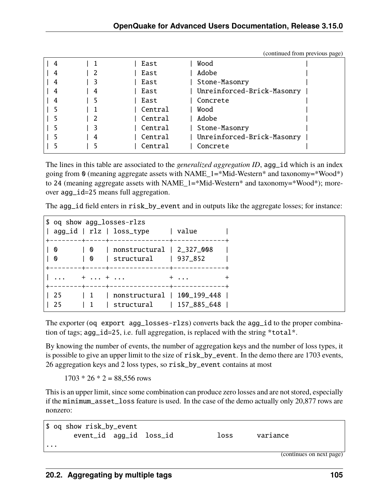|   |   |         | $($ commerce from providers page $($ |
|---|---|---------|--------------------------------------|
| 4 |   | East    | Wood                                 |
|   | 2 | East    | Adobe                                |
| 4 | 3 | East    | Stone-Masonry                        |
| 4 | 4 | East    | Unreinforced-Brick-Masonry           |
| 4 | 5 | East    | Concrete                             |
|   |   | Central | Wood                                 |
|   | 2 | Central | Adobe                                |
|   |   | Central | Stone-Masonry                        |
|   | 4 | Central | Unreinforced-Brick-Masonry           |
|   |   | Central | Concrete                             |

(continued from previous page)

The lines in this table are associated to the *generalized aggregation ID*, agg\_id which is an index going from 0 (meaning aggregate assets with NAME\_1= $*$ Mid-Western $*$  and taxonomy= $*$ Wood $*$ ) to 24 (meaning aggregate assets with NAME\_1=\*Mid-Western\* and taxonomy=\*Wood\*); moreover agg\_id=25 means full aggregation.

The agg\_id field enters in risk\_by\_event and in outputs like the aggregate losses; for instance:

|               | \$ oq show agg_losses-rlzs<br>  agg_id   rlz   loss_type   value       |     |
|---------------|------------------------------------------------------------------------|-----|
| 0<br>$\bm{0}$ | 0   nonstructural   2_327_008<br>  0   structural   937_852            |     |
|               | $1.11 + 1.11 + 1.11 + 1.11 + 1.11$                                     | $+$ |
| 25            | 1   nonstructural   100_199_448  <br>25   1   structural   157_885_648 |     |

The exporter (oq export agg\_losses-rlzs) converts back the agg\_id to the proper combination of tags; agg\_id=25, i.e. full aggregation, is replaced with the string \*total\*.

By knowing the number of events, the number of aggregation keys and the number of loss types, it is possible to give an upper limit to the size of risk\_by\_event. In the demo there are 1703 events, 26 aggregation keys and 2 loss types, so risk\_by\_event contains at most

 $1703 * 26 * 2 = 88,556$  rows

This is an upper limit, since some combination can produce zero losses and are not stored, especially if the minimum\_asset\_loss feature is used. In the case of the demo actually only 20,877 rows are nonzero:

```
$ oq show risk_by_event
      event_id agg_id loss_id loss variance
...
                                                       (continues on next page)
```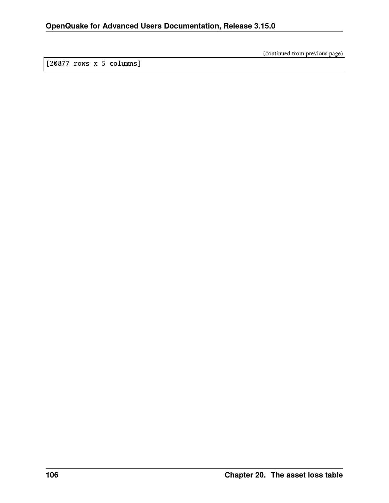(continued from previous page)

[20877 rows x 5 columns]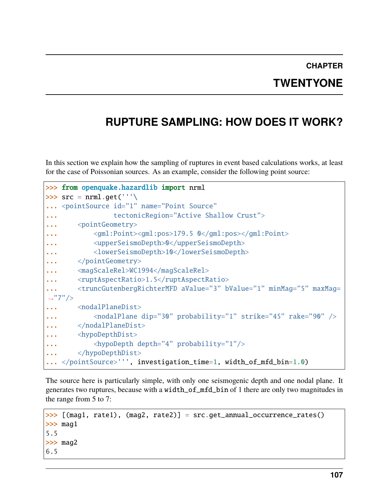#### **CHAPTER TWENTYONE**

## **RUPTURE SAMPLING: HOW DOES IT WORK?**

In this section we explain how the sampling of ruptures in event based calculations works, at least for the case of Poissonian sources. As an example, consider the following point source:

```
>>> from openquake.hazardlib import nrml
\gg src = nrml.get('''\
... <pointSource id="1" name="Point Source"
... tectonicRegion="Active Shallow Crust">
... <pointGeometry>
           ... <gml:Point><gml:pos>179.5 0</gml:pos></gml:Point>
... \langle \text{upperSeismODepth}\rangle \... <lowerSeismoDepth>10</lowerSeismoDepth>
... </pointGeometry>
... <magScaleRel>WC1994</magScaleRel>
... <ruptAspectRatio>1.5</ruptAspectRatio>
... <truncGutenbergRichterMFD aValue="3" bValue="1" minMag="5" maxMag=
˓→"7"/>
... <nodalPlaneDist>
... <nodalPlane dip="30" probability="1" strike="45" rake="90" />
... </nodalPlaneDist>
... <hypoDepthDist>
... <hypoDepth depth="4" probability="1"/>
... </hypoDepthDist>
   </pointSource>''', investigation_time=1, width_of_mfd_bin=1.0)
```
The source here is particularly simple, with only one seismogenic depth and one nodal plane. It generates two ruptures, because with a width\_of\_mfd\_bin of 1 there are only two magnitudes in the range from 5 to 7:

```
>>> [(mag1, rate1), (mag2, rate2)] = src.get_annual_occurrence_rates()
\gg mag1
5.5
>>> mag2
6.5
```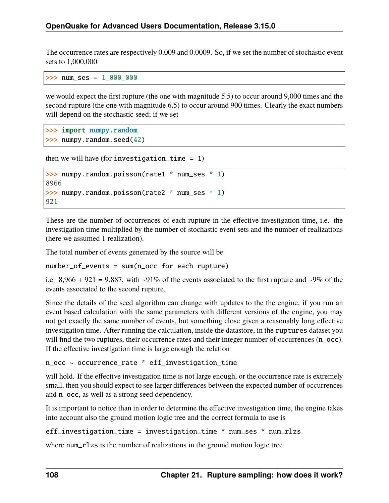The occurrence rates are respectively 0.009 and 0.0009. So, if we set the number of stochastic event sets to 1,000,000

>>> num\_ses = 1\_000\_000

we would expect the first rupture (the one with magnitude 5.5) to occur around 9,000 times and the second rupture (the one with magnitude 6.5) to occur around 900 times. Clearly the exact numbers will depend on the stochastic seed; if we set

```
>>> import numpy.random
>>> numpy.random.seed(42)
```

```
then we will have (for investigation_time = 1)
```

```
>>> numpy.random.poisson(rate1 * num_ses * 1)
8966
>>> numpy.random.poisson(rate2 * num_ses * 1)
921
```
These are the number of occurrences of each rupture in the effective investigation time, i.e. the investigation time multiplied by the number of stochastic event sets and the number of realizations (here we assumed 1 realization).

The total number of events generated by the source will be

number\_of\_events = sum(n\_occ for each rupture)

i.e.  $8,966 + 921 = 9,887$ , with  $\sim 91\%$  of the events associated to the first rupture and  $\sim 9\%$  of the events associated to the second rupture.

Since the details of the seed algorithm can change with updates to the the engine, if you run an event based calculation with the same parameters with different versions of the engine, you may not get exactly the same number of events, but something close given a reasonably long effective investigation time. After running the calculation, inside the datastore, in the ruptures dataset you will find the two ruptures, their occurrence rates and their integer number of occurrences (n\_occ). If the effective investigation time is large enough the relation

```
n_occ ~ occurrence_rate * eff_investigation_time
```
will hold. If the effective investigation time is not large enough, or the occurrence rate is extremely small, then you should expect to see larger differences between the expected number of occurrences and n\_occ, as well as a strong seed dependency.

It is important to notice than in order to determine the effective investigation time, the engine takes into account also the ground motion logic tree and the correct formula to use is

```
eff_investigation_time = investigation_time * num_ses * num_rlzs
```
where num\_rlzs is the number of realizations in the ground motion logic tree.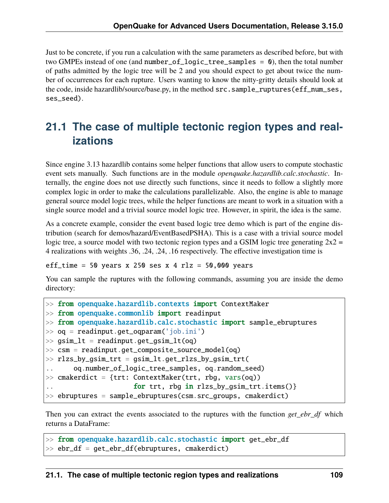Just to be concrete, if you run a calculation with the same parameters as described before, but with two GMPEs instead of one (and number\_of\_logic\_tree\_samples =  $\theta$ ), then the total number of paths admitted by the logic tree will be 2 and you should expect to get about twice the number of occurrences for each rupture. Users wanting to know the nitty-gritty details should look at the code, inside hazardlib/source/base.py, in the method src.sample\_ruptures(eff\_num\_ses, ses\_seed).

## **21.1 The case of multiple tectonic region types and realizations**

Since engine 3.13 hazardlib contains some helper functions that allow users to compute stochastic event sets manually. Such functions are in the module *openquake.hazardlib.calc.stochastic*. Internally, the engine does not use directly such functions, since it needs to follow a slightly more complex logic in order to make the calculations parallelizable. Also, the engine is able to manage general source model logic trees, while the helper functions are meant to work in a situation with a single source model and a trivial source model logic tree. However, in spirit, the idea is the same.

As a concrete example, consider the event based logic tree demo which is part of the engine distribution (search for demos/hazard/EventBasedPSHA). This is a case with a trivial source model logic tree, a source model with two tectonic region types and a GSIM logic tree generating  $2x^2 =$ 4 realizations with weights .36, .24, .24, .16 respectively. The effective investigation time is

eff\_time =  $50$  years x 250 ses x 4 rlz =  $50,000$  years

You can sample the ruptures with the following commands, assuming you are inside the demo directory:

```
>> from openquake.hazardlib.contexts import ContextMaker
\gg from openquake.commonlib import readinput
>> from openquake.hazardlib.calc.stochastic import sample_ebruptures
\gg oq = readinput.get_oqparam('job.ini')
\gg gsim_lt = readinput.get_gsim_lt(oq)
>> csm = readinput.get_composite_source_model(oq)
>> rlzs_by_gsim_trt = gsim_lt.get_rlzs_by_gsim_trt(
.. oq.number_of_logic_tree_samples, oq.random_seed)
\gg cmakerdict = {trt: ContextMaker(trt, rbg, vars(oq))
                      for trt, rbg in rlzs_by_gsim_trt.items()}
>> ebruptures = sample_ebruptures(csm.src_groups, cmakerdict)
```
Then you can extract the events associated to the ruptures with the function *get\_ebr\_df* which returns a DataFrame:

```
>> from openquake.hazardlib.calc.stochastic import get_ebr_df
\gg ebr_df = get_ebr_df(ebruptures, cmakerdict)
```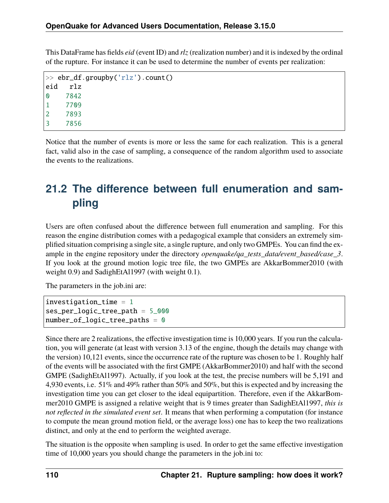This DataFrame has fields *eid* (event ID) and *rlz* (realization number) and it is indexed by the ordinal of the rupture. For instance it can be used to determine the number of events per realization:

```
\gg ebr_df.groupby('rlz').count()
eid rlz
0 7842
1 7709
2 7893
3 7856
```
Notice that the number of events is more or less the same for each realization. This is a general fact, valid also in the case of sampling, a consequence of the random algorithm used to associate the events to the realizations.

# **21.2 The difference between full enumeration and sampling**

Users are often confused about the difference between full enumeration and sampling. For this reason the engine distribution comes with a pedagogical example that considers an extremely simplified situation comprising a single site, a single rupture, and only two GMPEs. You can find the example in the engine repository under the directory *openquake/qa\_tests\_data/event\_based/case\_3*. If you look at the ground motion logic tree file, the two GMPEs are AkkarBommer2010 (with weight 0.9) and SadighEtAl1997 (with weight 0.1).

The parameters in the job.ini are:

```
investigation_time = 1ses_per_logic_tree_path = 5_000
number_of\_logic\_tree\_paths = 0
```
Since there are 2 realizations, the effective investigation time is 10,000 years. If you run the calculation, you will generate (at least with version 3.13 of the engine, though the details may change with the version) 10,121 events, since the occurrence rate of the rupture was chosen to be 1. Roughly half of the events will be associated with the first GMPE (AkkarBommer2010) and half with the second GMPE (SadighEtAl1997). Actually, if you look at the test, the precise numbers will be 5,191 and 4,930 events, i.e. 51% and 49% rather than 50% and 50%, but this is expected and by increasing the investigation time you can get closer to the ideal equipartition. Therefore, even if the AkkarBommer2010 GMPE is assigned a relative weight that is 9 times greater than SadighEtAl1997, *this is not reflected in the simulated event set*. It means that when performing a computation (for instance to compute the mean ground motion field, or the average loss) one has to keep the two realizations distinct, and only at the end to perform the weighted average.

The situation is the opposite when sampling is used. In order to get the same effective investigation time of 10,000 years you should change the parameters in the job.ini to: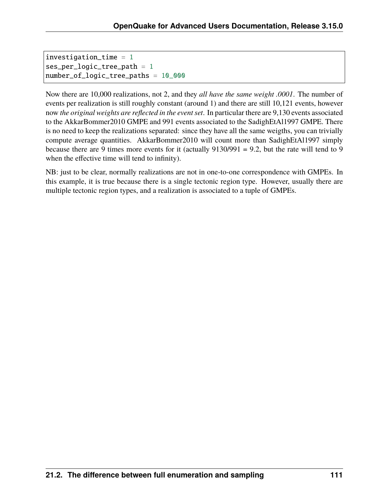```
investigation_time = 1ses_per_logic_tree_path = 1
number_of_logic_tree_paths = 10_000
```
Now there are 10,000 realizations, not 2, and they *all have the same weight .0001*. The number of events per realization is still roughly constant (around 1) and there are still 10,121 events, however now *the original weights are reflected in the event set*. In particular there are 9,130 events associated to the AkkarBommer2010 GMPE and 991 events associated to the SadighEtAl1997 GMPE. There is no need to keep the realizations separated: since they have all the same weigths, you can trivially compute average quantities. AkkarBommer2010 will count more than SadighEtAl1997 simply because there are 9 times more events for it (actually 9130/991 = 9.2, but the rate will tend to 9 when the effective time will tend to infinity).

NB: just to be clear, normally realizations are not in one-to-one correspondence with GMPEs. In this example, it is true because there is a single tectonic region type. However, usually there are multiple tectonic region types, and a realization is associated to a tuple of GMPEs.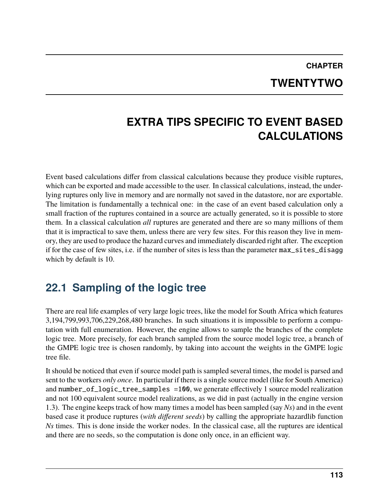# **CHAPTER TWENTYTWO**

## **EXTRA TIPS SPECIFIC TO EVENT BASED CALCULATIONS**

Event based calculations differ from classical calculations because they produce visible ruptures, which can be exported and made accessible to the user. In classical calculations, instead, the underlying ruptures only live in memory and are normally not saved in the datastore, nor are exportable. The limitation is fundamentally a technical one: in the case of an event based calculation only a small fraction of the ruptures contained in a source are actually generated, so it is possible to store them. In a classical calculation *all* ruptures are generated and there are so many millions of them that it is impractical to save them, unless there are very few sites. For this reason they live in memory, they are used to produce the hazard curves and immediately discarded right after. The exception if for the case of few sites, i.e. if the number of sites is less than the parameter max\_sites\_disagg which by default is 10.

## **22.1 Sampling of the logic tree**

There are real life examples of very large logic trees, like the model for South Africa which features 3,194,799,993,706,229,268,480 branches. In such situations it is impossible to perform a computation with full enumeration. However, the engine allows to sample the branches of the complete logic tree. More precisely, for each branch sampled from the source model logic tree, a branch of the GMPE logic tree is chosen randomly, by taking into account the weights in the GMPE logic tree file.

It should be noticed that even if source model path is sampled several times, the model is parsed and sent to the workers *only once*. In particular if there is a single source model (like for South America) and number\_of\_logic\_tree\_samples =100, we generate effectively 1 source model realization and not 100 equivalent source model realizations, as we did in past (actually in the engine version 1.3). The engine keeps track of how many times a model has been sampled (say *Ns*) and in the event based case it produce ruptures (*with different seeds*) by calling the appropriate hazardlib function *Ns* times. This is done inside the worker nodes. In the classical case, all the ruptures are identical and there are no seeds, so the computation is done only once, in an efficient way.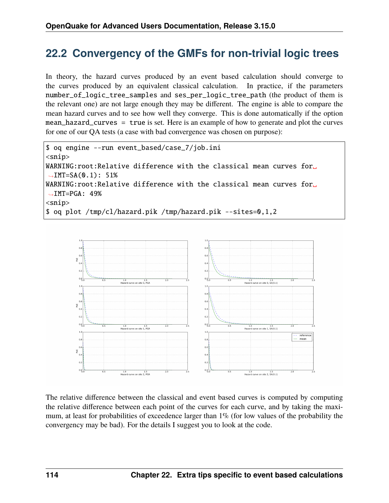#### **22.2 Convergency of the GMFs for non-trivial logic trees**

In theory, the hazard curves produced by an event based calculation should converge to the curves produced by an equivalent classical calculation. In practice, if the parameters number\_of\_logic\_tree\_samples and ses\_per\_logic\_tree\_path (the product of them is the relevant one) are not large enough they may be different. The engine is able to compare the mean hazard curves and to see how well they converge. This is done automatically if the option mean\_hazard\_curves = true is set. Here is an example of how to generate and plot the curves for one of our QA tests (a case with bad convergence was chosen on purpose):

```
$ oq engine --run event_based/case_7/job.ini
<snip>WARNING:root:Relative difference with the classical mean curves for.
\rightarrowIMT=SA(0.1): 51%
WARNING:root:Relative difference with the classical mean curves for
\rightarrowIMT=PGA: 49%
<snip>
$ oq plot /tmp/cl/hazard.pik /tmp/hazard.pik --sites=0,1,2
```


The relative difference between the classical and event based curves is computed by computing the relative difference between each point of the curves for each curve, and by taking the maximum, at least for probabilities of exceedence larger than 1% (for low values of the probability the convergency may be bad). For the details I suggest you to look at the code.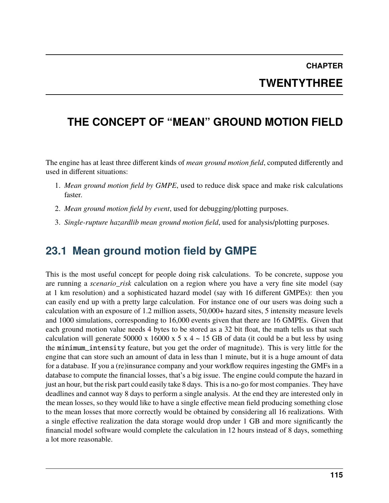# **CHAPTER TWENTYTHREE**

## **THE CONCEPT OF "MEAN" GROUND MOTION FIELD**

The engine has at least three different kinds of *mean ground motion field*, computed differently and used in different situations:

- 1. *Mean ground motion field by GMPE*, used to reduce disk space and make risk calculations faster.
- 2. *Mean ground motion field by event*, used for debugging/plotting purposes.
- 3. *Single-rupture hazardlib mean ground motion field*, used for analysis/plotting purposes.

#### **23.1 Mean ground motion field by GMPE**

This is the most useful concept for people doing risk calculations. To be concrete, suppose you are running a *scenario\_risk* calculation on a region where you have a very fine site model (say at 1 km resolution) and a sophisticated hazard model (say with 16 different GMPEs): then you can easily end up with a pretty large calculation. For instance one of our users was doing such a calculation with an exposure of 1.2 million assets, 50,000+ hazard sites, 5 intensity measure levels and 1000 simulations, corresponding to 16,000 events given that there are 16 GMPEs. Given that each ground motion value needs 4 bytes to be stored as a 32 bit float, the math tells us that such calculation will generate 50000 x 16000 x 5 x 4  $\sim$  15 GB of data (it could be a but less by using the minimum\_intensity feature, but you get the order of magnitude). This is very little for the engine that can store such an amount of data in less than 1 minute, but it is a huge amount of data for a database. If you a (re)insurance company and your workflow requires ingesting the GMFs in a database to compute the financial losses, that's a big issue. The engine could compute the hazard in just an hour, but the risk part could easily take 8 days. This is a no-go for most companies. They have deadlines and cannot way 8 days to perform a single analysis. At the end they are interested only in the mean losses, so they would like to have a single effective mean field producing something close to the mean losses that more correctly would be obtained by considering all 16 realizations. With a single effective realization the data storage would drop under 1 GB and more significantly the financial model software would complete the calculation in 12 hours instead of 8 days, something a lot more reasonable.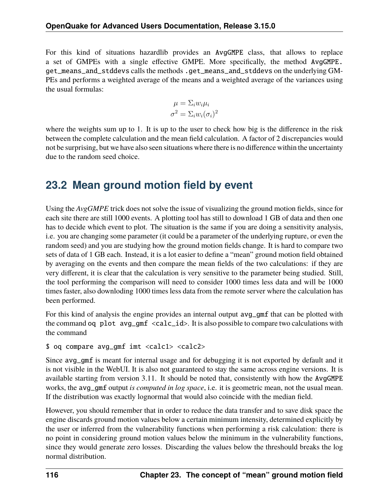For this kind of situations hazardlib provides an AvgGMPE class, that allows to replace a set of GMPEs with a single effective GMPE. More specifically, the method AvgGMPE. get\_means\_and\_stddevs calls the methods .get\_means\_and\_stddevs on the underlying GM-PEs and performs a weighted average of the means and a weighted average of the variances using the usual formulas:

$$
\mu = \Sigma_i w_i \mu_i
$$

$$
\sigma^2 = \Sigma_i w_i (\sigma_i)^2
$$

where the weights sum up to 1. It is up to the user to check how big is the difference in the risk between the complete calculation and the mean field calculation. A factor of 2 discrepancies would not be surprising, but we have also seen situations where there is no difference within the uncertainty due to the random seed choice.

#### **23.2 Mean ground motion field by event**

Using the *AvgGMPE* trick does not solve the issue of visualizing the ground motion fields, since for each site there are still 1000 events. A plotting tool has still to download 1 GB of data and then one has to decide which event to plot. The situation is the same if you are doing a sensitivity analysis, i.e. you are changing some parameter (it could be a parameter of the underlying rupture, or even the random seed) and you are studying how the ground motion fields change. It is hard to compare two sets of data of 1 GB each. Instead, it is a lot easier to define a "mean" ground motion field obtained by averaging on the events and then compare the mean fields of the two calculations: if they are very different, it is clear that the calculation is very sensitive to the parameter being studied. Still, the tool performing the comparison will need to consider 1000 times less data and will be 1000 times faster, also downloding 1000 times less data from the remote server where the calculation has been performed.

For this kind of analysis the engine provides an internal output avg\_gmf that can be plotted with the command oq plot avg\_gmf <calc\_id>. It is also possible to compare two calculations with the command

```
$ oq compare avg_gmf imt <calc1> <calc2>
```
Since avg\_gmf is meant for internal usage and for debugging it is not exported by default and it is not visible in the WebUI. It is also not guaranteed to stay the same across engine versions. It is available starting from version 3.11. It should be noted that, consistently with how the AvgGMPE works, the avg\_gmf output *is computed in log space*, i.e. it is geometric mean, not the usual mean. If the distribution was exactly lognormal that would also coincide with the median field.

However, you should remember that in order to reduce the data transfer and to save disk space the engine discards ground motion values below a certain minimum intensity, determined explicitly by the user or inferred from the vulnerability functions when performing a risk calculation: there is no point in considering ground motion values below the minimum in the vulnerability functions, since they would generate zero losses. Discarding the values below the threshould breaks the log normal distribution.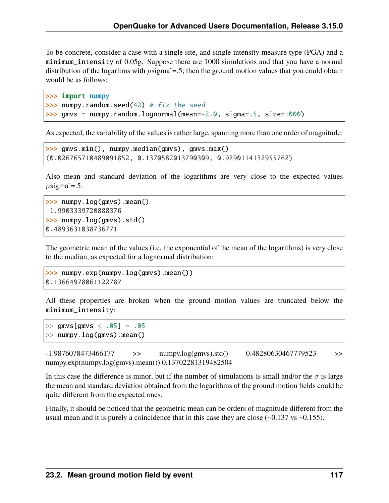To be concrete, consider a case with a single site, and single intensity measure type (PGA) and a minimum\_intensity of 0.05g. Suppose there are 1000 simulations and that you have a normal distribution of the logaritms with  $\mu$ sigma`=.5; then the ground motion values that you could obtain would be as follows:

```
>>> import numpy
\gg numpy.random.seed(42) # fix the seed
>>> gmvs = numpy.random.lognormal(mean=-2.0, sigma=.5, size=1000)
```
As expected, the variability of the values is rather large, spanning more than one order of magnitude:

```
>>> gmvs.min(), numpy.median(gmvs), gmvs.max()
(0.026765710489091852, 0.1370582013790309, 0.9290114132955762)
```
Also mean and standard deviation of the logarithms are very close to the expected values  $\mu$ sigma`=.5:

```
>>> numpy.log(gmvs).mean()
-1.9903339720888376
>>> numpy.log(gmvs).std()
0.4893631038736771
```
The geometric mean of the values (i.e. the exponential of the mean of the logarithms) is very close to the median, as expected for a lognormal distribution:

```
\gg numpy.exp(numpy.log(gmvs).mean())
0.13664978061122787
```
All these properties are broken when the ground motion values are truncated below the minimum\_intensity:

 $>>$  gmvs  $\lceil$  gmvs  $\langle .05 \rceil = .05$ >> numpy.log(gmvs).mean()

 $-1.9876078473466177$   $\rightarrow$  numpy.log(gmvs).std() 0.48280630467779523  $\rightarrow$ numpy.exp(numpy.log(gmvs).mean()) 0.13702281319482504

In this case the difference is minor, but if the number of simulations is small and/or the  $\sigma$  is large the mean and standard deviation obtained from the logarithms of the ground motion fields could be quite different from the expected ones.

Finally, it should be noticed that the geometric mean can be orders of magnitude different from the usual mean and it is purely a coincidence that in this case they are close  $(-0.137 \text{ vs } -0.155)$ .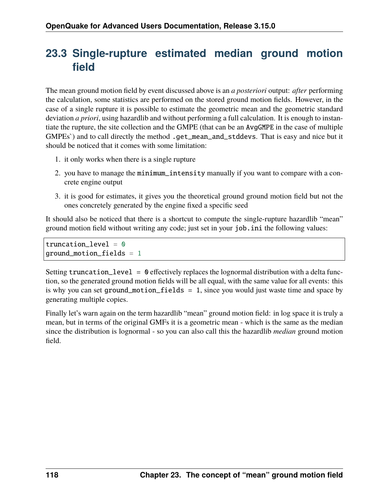## **23.3 Single-rupture estimated median ground motion field**

The mean ground motion field by event discussed above is an *a posteriori* output: *after* performing the calculation, some statistics are performed on the stored ground motion fields. However, in the case of a single rupture it is possible to estimate the geometric mean and the geometric standard deviation *a priori*, using hazardlib and without performing a full calculation. It is enough to instantiate the rupture, the site collection and the GMPE (that can be an AvgGMPE in the case of multiple GMPEs`) and to call directly the method .get\_mean\_and\_stddevs. That is easy and nice but it should be noticed that it comes with some limitation:

- 1. it only works when there is a single rupture
- 2. you have to manage the minimum\_intensity manually if you want to compare with a concrete engine output
- 3. it is good for estimates, it gives you the theoretical ground ground motion field but not the ones concretely generated by the engine fixed a specific seed

It should also be noticed that there is a shortcut to compute the single-rupture hazardlib "mean" ground motion field without writing any code; just set in your job.ini the following values:

truncation\_level =  $\theta$ ground\_motion\_fields = 1

Setting truncation\_level = 0 effectively replaces the lognormal distribution with a delta function, so the generated ground motion fields will be all equal, with the same value for all events: this is why you can set ground\_motion\_fields = 1, since you would just waste time and space by generating multiple copies.

Finally let's warn again on the term hazardlib "mean" ground motion field: in log space it is truly a mean, but in terms of the original GMFs it is a geometric mean - which is the same as the median since the distribution is lognormal - so you can also call this the hazardlib *median* ground motion field.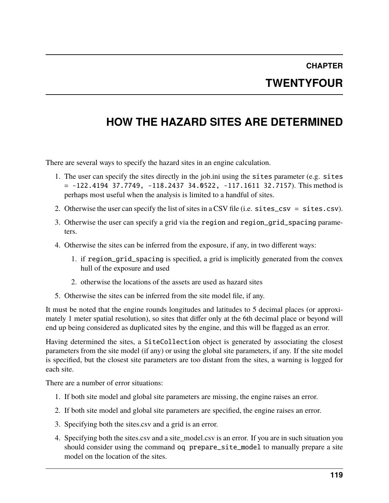## **CHAPTER TWENTYFOUR**

# **HOW THE HAZARD SITES ARE DETERMINED**

There are several ways to specify the hazard sites in an engine calculation.

- 1. The user can specify the sites directly in the job.ini using the sites parameter (e.g. sites  $= -122.4194$  37.7749,  $-118.2437$  34.0522,  $-117.1611$  32.7157). This method is perhaps most useful when the analysis is limited to a handful of sites.
- 2. Otherwise the user can specify the list of sites in a CSV file (i.e. sites\_csv = sites.csv).
- 3. Otherwise the user can specify a grid via the region and region\_grid\_spacing parameters.
- 4. Otherwise the sites can be inferred from the exposure, if any, in two different ways:
	- 1. if region\_grid\_spacing is specified, a grid is implicitly generated from the convex hull of the exposure and used
	- 2. otherwise the locations of the assets are used as hazard sites
- 5. Otherwise the sites can be inferred from the site model file, if any.

It must be noted that the engine rounds longitudes and latitudes to 5 decimal places (or approximately 1 meter spatial resolution), so sites that differ only at the 6th decimal place or beyond will end up being considered as duplicated sites by the engine, and this will be flagged as an error.

Having determined the sites, a SiteCollection object is generated by associating the closest parameters from the site model (if any) or using the global site parameters, if any. If the site model is specified, but the closest site parameters are too distant from the sites, a warning is logged for each site.

There are a number of error situations:

- 1. If both site model and global site parameters are missing, the engine raises an error.
- 2. If both site model and global site parameters are specified, the engine raises an error.
- 3. Specifying both the sites.csv and a grid is an error.
- 4. Specifying both the sites.csv and a site\_model.csv is an error. If you are in such situation you should consider using the command oq prepare\_site\_model to manually prepare a site model on the location of the sites.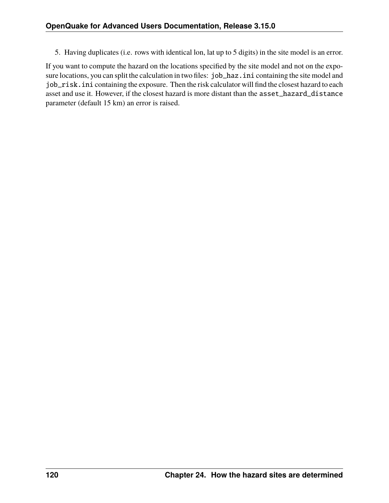5. Having duplicates (i.e. rows with identical lon, lat up to 5 digits) in the site model is an error.

If you want to compute the hazard on the locations specified by the site model and not on the exposure locations, you can split the calculation in two files: job\_haz.ini containing the site model and job\_risk.ini containing the exposure. Then the risk calculator will find the closest hazard to each asset and use it. However, if the closest hazard is more distant than the asset\_hazard\_distance parameter (default 15 km) an error is raised.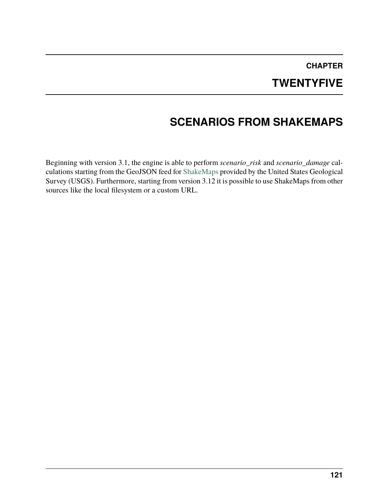#### **CHAPTER TWENTYFIVE**

# **SCENARIOS FROM SHAKEMAPS**

Beginning with version 3.1, the engine is able to perform *scenario\_risk* and *scenario\_damage* calculations starting from the GeoJSON feed for [ShakeMaps](https://earthquake.usgs.gov/data/shakemap/) provided by the United States Geological Survey (USGS). Furthermore, starting from version 3.12 it is possible to use ShakeMaps from other sources like the local filesystem or a custom URL.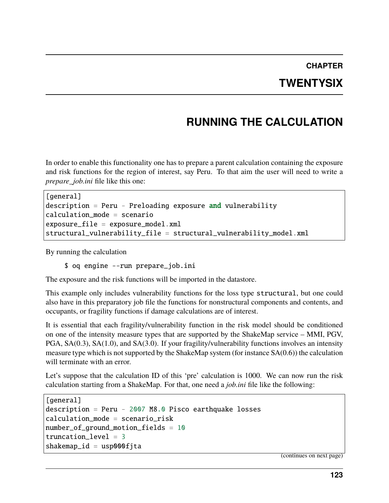#### **CHAPTER TWENTYSIX**

## **RUNNING THE CALCULATION**

In order to enable this functionality one has to prepare a parent calculation containing the exposure and risk functions for the region of interest, say Peru. To that aim the user will need to write a *prepare\_job.ini* file like this one:

```
[general]
description = Peru - Preloading exposure and vulnerability
calcalculation mode = scenario
exposure_file = exposure_model.xml
structural_vulnerability_file = structural_vulnerability_model.xml
```
By running the calculation

\$ oq engine --run prepare\_job.ini

The exposure and the risk functions will be imported in the datastore.

This example only includes vulnerability functions for the loss type structural, but one could also have in this preparatory job file the functions for nonstructural components and contents, and occupants, or fragility functions if damage calculations are of interest.

It is essential that each fragility/vulnerability function in the risk model should be conditioned on one of the intensity measure types that are supported by the ShakeMap service – MMI, PGV, PGA, SA(0.3), SA(1.0), and SA(3.0). If your fragility/vulnerability functions involves an intensity measure type which is not supported by the ShakeMap system (for instance SA(0.6)) the calculation will terminate with an error.

Let's suppose that the calculation ID of this 'pre' calculation is 1000. We can now run the risk calculation starting from a ShakeMap. For that, one need a *job.ini* file like the following:

```
[general]
description = Peru - 2007 M8.0 Pisco earthquake losses
calculation_mode = scenario_risk
number_of_ground_motion_fields = 10
truncation_level = 3
shakemap_id = usp000fita
```
(continues on next page)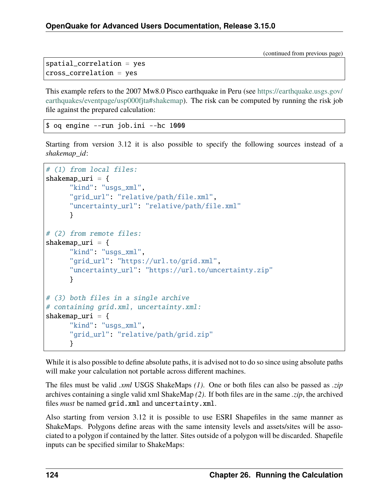(continued from previous page)

```
spatial_correlation = yes
cross_correlation = yes
```
This example refers to the 2007 Mw8.0 Pisco earthquake in Peru (see [https://earthquake.usgs.gov/](https://earthquake.usgs.gov/earthquakes/eventpage/usp000fjta#shakemap) [earthquakes/eventpage/usp000fjta#shakemap\)](https://earthquake.usgs.gov/earthquakes/eventpage/usp000fjta#shakemap). The risk can be computed by running the risk job file against the prepared calculation:

\$ oq engine --run job.ini --hc 1000

Starting from version 3.12 it is also possible to specify the following sources instead of a *shakemap\_id*:

```
# (1) from local files:
shakemap_uri = \{"kind": "usgs_xml",
      "grid_url": "relative/path/file.xml",
      "uncertainty_url": "relative/path/file.xml"
      }
# (2) from remote files:
shakemap_uri = \{"kind" "usgs_xml",
      "grid_url": "https://url.to/grid.xml",
      "uncertainty_url": "https://url.to/uncertainty.zip"
      }
# (3) both files in a single archive
# containing grid.xml, uncertainty.xml:
shakemap_uri = \{"kind": "usgs_xml",
      "grid_url": "relative/path/grid.zip"
      }
```
While it is also possible to define absolute paths, it is advised not to do so since using absolute paths will make your calculation not portable across different machines.

The files must be valid *.xml* USGS ShakeMaps *(1)*. One or both files can also be passed as *.zip* archives containing a single valid xml ShakeMap *(2)*. If both files are in the same *.zip*, the archived files *must* be named grid.xml and uncertainty.xml.

Also starting from version 3.12 it is possible to use ESRI Shapefiles in the same manner as ShakeMaps. Polygons define areas with the same intensity levels and assets/sites will be associated to a polygon if contained by the latter. Sites outside of a polygon will be discarded. Shapefile inputs can be specified similar to ShakeMaps: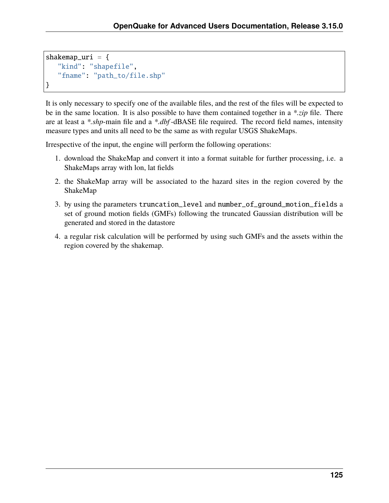```
shakemap_uri = \{"kind": "shapefile",
   "fname": "path_to/file.shp"
}
```
It is only necessary to specify one of the available files, and the rest of the files will be expected to be in the same location. It is also possible to have them contained together in a *\*.zip* file. There are at least a *\*.shp*-main file and a *\*.dbf* -dBASE file required. The record field names, intensity measure types and units all need to be the same as with regular USGS ShakeMaps.

Irrespective of the input, the engine will perform the following operations:

- 1. download the ShakeMap and convert it into a format suitable for further processing, i.e. a ShakeMaps array with lon, lat fields
- 2. the ShakeMap array will be associated to the hazard sites in the region covered by the ShakeMap
- 3. by using the parameters truncation\_level and number\_of\_ground\_motion\_fields a set of ground motion fields (GMFs) following the truncated Gaussian distribution will be generated and stored in the datastore
- 4. a regular risk calculation will be performed by using such GMFs and the assets within the region covered by the shakemap.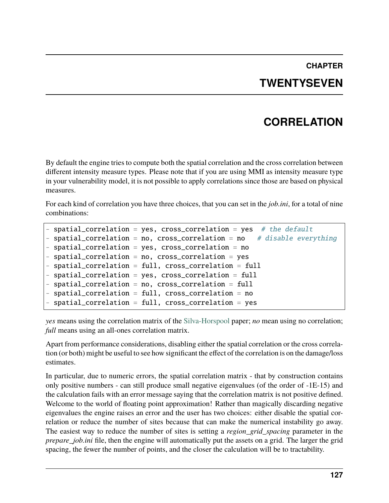# **CHAPTER TWENTYSEVEN**

## **CORRELATION**

By default the engine tries to compute both the spatial correlation and the cross correlation between different intensity measure types. Please note that if you are using MMI as intensity measure type in your vulnerability model, it is not possible to apply correlations since those are based on physical measures.

For each kind of correlation you have three choices, that you can set in the *job.ini*, for a total of nine combinations:

```
spatial\_correlation = yes, cross\_correlation = yes # the default- spatial_correlation = no, cross_correlation = no # disable everything
- spatial_correlation = yes, cross_correlation = no
- spatial_correlation = no, cross_correlation = yes
- spatial_correlation = full, cross_correlation = full
- spatial_correlation = yes, cross_correlation = full
- spatial_correlation = no, cross_correlation = full
 spatial\_correlation = full, cross\_correlation = nospatial\_correlation = full, cross\_correlation = yes
```
*yes* means using the correlation matrix of the [Silva-Horspool](https://onlinelibrary.wiley.com/doi/abs/10.1002/eqe.3154) paper; *no* mean using no correlation; *full* means using an all-ones correlation matrix.

Apart from performance considerations, disabling either the spatial correlation or the cross correlation (or both) might be useful to see how significant the effect of the correlation is on the damage/loss estimates.

In particular, due to numeric errors, the spatial correlation matrix - that by construction contains only positive numbers - can still produce small negative eigenvalues (of the order of -1E-15) and the calculation fails with an error message saying that the correlation matrix is not positive defined. Welcome to the world of floating point approximation! Rather than magically discarding negative eigenvalues the engine raises an error and the user has two choices: either disable the spatial correlation or reduce the number of sites because that can make the numerical instability go away. The easiest way to reduce the number of sites is setting a *region\_grid\_spacing* parameter in the *prepare\_job.ini* file, then the engine will automatically put the assets on a grid. The larger the grid spacing, the fewer the number of points, and the closer the calculation will be to tractability.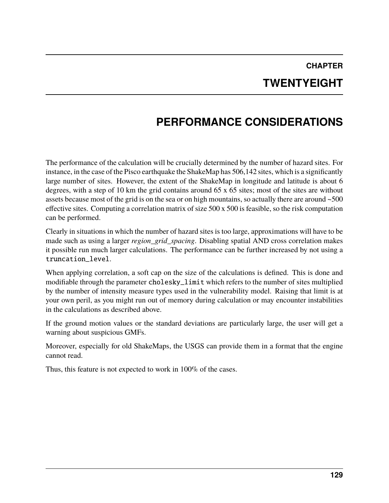# **CHAPTER TWENTYEIGHT**

# **PERFORMANCE CONSIDERATIONS**

The performance of the calculation will be crucially determined by the number of hazard sites. For instance, in the case of the Pisco earthquake the ShakeMap has 506,142 sites, which is a significantly large number of sites. However, the extent of the ShakeMap in longitude and latitude is about 6 degrees, with a step of 10 km the grid contains around 65 x 65 sites; most of the sites are without assets because most of the grid is on the sea or on high mountains, so actually there are around ~500 effective sites. Computing a correlation matrix of size 500 x 500 is feasible, so the risk computation can be performed.

Clearly in situations in which the number of hazard sites is too large, approximations will have to be made such as using a larger *region\_grid\_spacing*. Disabling spatial AND cross correlation makes it possible run much larger calculations. The performance can be further increased by not using a truncation\_level.

When applying correlation, a soft cap on the size of the calculations is defined. This is done and modifiable through the parameter cholesky\_limit which refers to the number of sites multiplied by the number of intensity measure types used in the vulnerability model. Raising that limit is at your own peril, as you might run out of memory during calculation or may encounter instabilities in the calculations as described above.

If the ground motion values or the standard deviations are particularly large, the user will get a warning about suspicious GMFs.

Moreover, especially for old ShakeMaps, the USGS can provide them in a format that the engine cannot read.

Thus, this feature is not expected to work in 100% of the cases.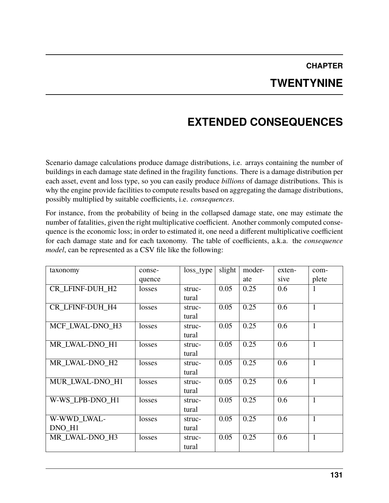#### **CHAPTER TWENTYNINE**

# **EXTENDED CONSEQUENCES**

Scenario damage calculations produce damage distributions, i.e. arrays containing the number of buildings in each damage state defined in the fragility functions. There is a damage distribution per each asset, event and loss type, so you can easily produce *billions* of damage distributions. This is why the engine provide facilities to compute results based on aggregating the damage distributions, possibly multiplied by suitable coefficients, i.e. *consequences*.

For instance, from the probability of being in the collapsed damage state, one may estimate the number of fatalities, given the right multiplicative coefficient. Another commonly computed consequence is the economic loss; in order to estimated it, one need a different multiplicative coefficient for each damage state and for each taxonomy. The table of coefficients, a.k.a. the *consequence model*, can be represented as a CSV file like the following:

| taxonomy               | conse- | loss_type | slight | moder- | exten- | com-         |
|------------------------|--------|-----------|--------|--------|--------|--------------|
|                        | quence |           |        | ate    | sive   | plete        |
| CR_LFINF-DUH_H2        | losses | struc-    | 0.05   | 0.25   | 0.6    | 1            |
|                        |        | tural     |        |        |        |              |
| <b>CR LFINF-DUH H4</b> | losses | struc-    | 0.05   | 0.25   | 0.6    | $\mathbf{1}$ |
|                        |        | tural     |        |        |        |              |
| MCF LWAL-DNO H3        | losses | struc-    | 0.05   | 0.25   | 0.6    | $\mathbf{1}$ |
|                        |        | tural     |        |        |        |              |
| MR LWAL-DNO H1         | losses | struc-    | 0.05   | 0.25   | 0.6    | $\mathbf{1}$ |
|                        |        | tural     |        |        |        |              |
| MR LWAL-DNO H2         | losses | struc-    | 0.05   | 0.25   | 0.6    | $\mathbf{1}$ |
|                        |        | tural     |        |        |        |              |
| MUR LWAL-DNO H1        | losses | struc-    | 0.05   | 0.25   | 0.6    | $\mathbf{1}$ |
|                        |        | tural     |        |        |        |              |
| W-WS LPB-DNO H1        | losses | struc-    | 0.05   | 0.25   | 0.6    | $\mathbf{1}$ |
|                        |        | tural     |        |        |        |              |
| W-WWD_LWAL-            | losses | struc-    | 0.05   | 0.25   | 0.6    | $\mathbf{1}$ |
| DNO_H1                 |        | tural     |        |        |        |              |
| MR LWAL-DNO H3         | losses | struc-    | 0.05   | 0.25   | 0.6    | $\mathbf{1}$ |
|                        |        | tural     |        |        |        |              |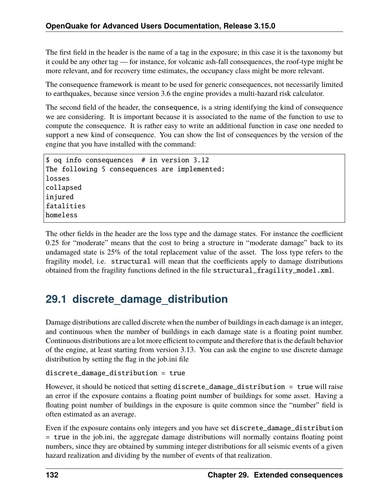The first field in the header is the name of a tag in the exposure; in this case it is the taxonomy but it could be any other tag — for instance, for volcanic ash-fall consequences, the roof-type might be more relevant, and for recovery time estimates, the occupancy class might be more relevant.

The consequence framework is meant to be used for generic consequences, not necessarily limited to earthquakes, because since version 3.6 the engine provides a multi-hazard risk calculator.

The second field of the header, the consequence, is a string identifying the kind of consequence we are considering. It is important because it is associated to the name of the function to use to compute the consequence. It is rather easy to write an additional function in case one needed to support a new kind of consequence. You can show the list of consequences by the version of the engine that you have installed with the command:

```
$ oq info consequences # in version 3.12
The following 5 consequences are implemented:
losses
collapsed
injured
fatalities
homeless
```
The other fields in the header are the loss type and the damage states. For instance the coefficient 0.25 for "moderate" means that the cost to bring a structure in "moderate damage" back to its undamaged state is 25% of the total replacement value of the asset. The loss type refers to the fragility model, i.e. structural will mean that the coefficients apply to damage distributions obtained from the fragility functions defined in the file structural\_fragility\_model.xml.

## **29.1 discrete\_damage\_distribution**

Damage distributions are called discrete when the number of buildings in each damage is an integer, and continuous when the number of buildings in each damage state is a floating point number. Continuous distributions are a lot more efficient to compute and therefore that is the default behavior of the engine, at least starting from version 3.13. You can ask the engine to use discrete damage distribution by setting the flag in the job.ini file

```
discrete_damage_distribution = true
```
However, it should be noticed that setting discrete\_damage\_distribution = true will raise an error if the exposure contains a floating point number of buildings for some asset. Having a floating point number of buildings in the exposure is quite common since the "number" field is often estimated as an average.

Even if the exposure contains only integers and you have set discrete\_damage\_distribution = true in the job.ini, the aggregate damage distributions will normally contains floating point numbers, since they are obtained by summing integer distributions for all seismic events of a given hazard realization and dividing by the number of events of that realization.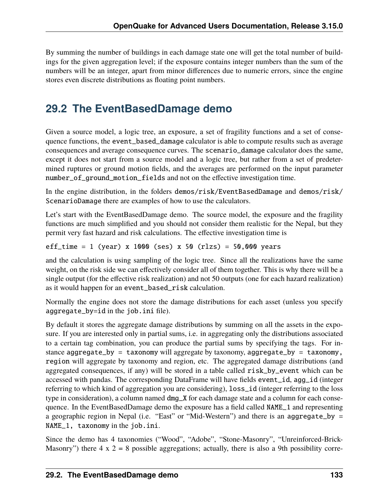By summing the number of buildings in each damage state one will get the total number of buildings for the given aggregation level; if the exposure contains integer numbers than the sum of the numbers will be an integer, apart from minor differences due to numeric errors, since the engine stores even discrete distributions as floating point numbers.

#### **29.2 The EventBasedDamage demo**

Given a source model, a logic tree, an exposure, a set of fragility functions and a set of consequence functions, the event\_based\_damage calculator is able to compute results such as average consequences and average consequence curves. The scenario\_damage calculator does the same, except it does not start from a source model and a logic tree, but rather from a set of predetermined ruptures or ground motion fields, and the averages are performed on the input parameter number\_of\_ground\_motion\_fields and not on the effective investigation time.

In the engine distribution, in the folders demos/risk/EventBasedDamage and demos/risk/ ScenarioDamage there are examples of how to use the calculators.

Let's start with the EventBasedDamage demo. The source model, the exposure and the fragility functions are much simplified and you should not consider them realistic for the Nepal, but they permit very fast hazard and risk calculations. The effective investigation time is

```
eff_time = 1 (year) x 1000 (ses) x 50 (rlzs) = 50,000 years
```
and the calculation is using sampling of the logic tree. Since all the realizations have the same weight, on the risk side we can effectively consider all of them together. This is why there will be a single output (for the effective risk realization) and not 50 outputs (one for each hazard realization) as it would happen for an event\_based\_risk calculation.

Normally the engine does not store the damage distributions for each asset (unless you specify aggregate\_by=id in the job.ini file).

By default it stores the aggregate damage distributions by summing on all the assets in the exposure. If you are interested only in partial sums, i.e. in aggregating only the distributions associated to a certain tag combination, you can produce the partial sums by specifying the tags. For instance aggregate\_by = taxonomy will aggregate by taxonomy, aggregate\_by = taxonomy, region will aggregate by taxonomy and region, etc. The aggregated damage distributions (and aggregated consequences, if any) will be stored in a table called risk\_by\_event which can be accessed with pandas. The corresponding DataFrame will have fields event\_id, agg\_id (integer referring to which kind of aggregation you are considering), loss\_id (integer referring to the loss type in consideration), a column named dmg\_X for each damage state and a column for each consequence. In the EventBasedDamage demo the exposure has a field called NAME\_1 and representing a geographic region in Nepal (i.e. "East" or "Mid-Western") and there is an aggregate\_by = NAME\_1, taxonomy in the job.ini.

Since the demo has 4 taxonomies ("Wood", "Adobe", "Stone-Masonry", "Unreinforced-Brick-Masonry") there  $4 \times 2 = 8$  possible aggregations; actually, there is also a 9th possibility corre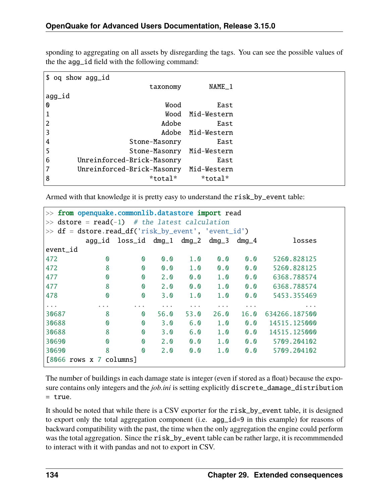sponding to aggregating on all assets by disregarding the tags. You can see the possible values of the the agg\_id field with the following command:

|                | \$ oq show agg_id          |                   |
|----------------|----------------------------|-------------------|
|                | taxonomy                   | NAME_1            |
| agg_id         |                            |                   |
| O              | Wood                       | East              |
| $\mathbf 1$    |                            | Wood Mid-Western  |
| $\overline{2}$ | Adobe                      | East              |
| 3              |                            | Adobe Mid-Western |
| 4              | Stone-Masonry              | East              |
| 5              | Stone-Masonry              | Mid-Western       |
| 6              | Unreinforced-Brick-Masonry | East              |
| 7              | Unreinforced-Brick-Masonry | Mid-Western       |
| 8              | *total*                    | *total*           |

Armed with that knowledge it is pretty easy to understand the risk\_by\_event table:

|                                | >> from openquake.commonlib.datastore import read          |                                  |                 |                 |      |                 |               |  |
|--------------------------------|------------------------------------------------------------|----------------------------------|-----------------|-----------------|------|-----------------|---------------|--|
| >>                             | $\text{dstore} = \text{read}(-1)$ # the latest calculation |                                  |                 |                 |      |                 |               |  |
|                                | $\gg$ df = dstore.read_df('risk_by_event', 'event_id')     |                                  |                 |                 |      |                 |               |  |
|                                |                                                            | agg_id loss_id dmg_1 dmg_2 dmg_3 |                 |                 |      | $dmg_4$         | losses        |  |
| event_id                       |                                                            |                                  |                 |                 |      |                 |               |  |
| 472                            | $\boldsymbol{\Omega}$                                      | $\boldsymbol{\omega}$            | $\mathbf{0}$ .0 | 1.0             | 0.0  | $\mathbf{0}$ .0 | 5260.828125   |  |
| 472                            | 8                                                          | $\boldsymbol{\mathsf{O}}$        | 0.0             | 1.0             | 0.0  | 0.0             | 5260.828125   |  |
| 477                            | $\boldsymbol{\omega}$                                      | $\boldsymbol{\omega}$            | 2.0             | $\mathbf{0}$ .0 | 1.0  | 0.0             | 6368.788574   |  |
| 477                            | 8                                                          | $\mathbf{\Omega}$                | 2.0             | $\mathbf{0}$ .0 | 1.0  | 0.0             | 6368.788574   |  |
| 478                            | $\boldsymbol{\omega}$                                      | $\boldsymbol{\omega}$            | 3.0             | 1.0             | 1.0  | 0.0             | 5453.355469   |  |
| $\alpha$ , $\alpha$ , $\alpha$ |                                                            |                                  |                 |                 |      | .               | .             |  |
| 30687                          | 8                                                          | $\mathbf{0}$                     | 56.0            | 53.0            | 26.0 | 16.0            | 634266.187500 |  |
| 30688                          | $\boldsymbol{\omega}$                                      | $\boldsymbol{\omega}$            | 3.0             | 6.0             | 1.0  | $\mathbf{0}$ .0 | 14515.125000  |  |
| 30688                          | 8                                                          | $\boldsymbol{\omega}$            | 3.0             | 6.0             | 1.0  | $\mathbf{0}$ .0 | 14515.125000  |  |
| 30690                          | $\boldsymbol{\omega}$                                      | $\mathbf{\Omega}$                | 2.0             | $\mathbf{0}$ .0 | 1.0  | $\mathbf{0}$ .0 | 5709.204102   |  |
| 30690                          | 8                                                          | $\boldsymbol{\omega}$            | 2.0             | 0.0             | 1.0  | 0.0             | 5709.204102   |  |
| [8066 rows x 7 columns]        |                                                            |                                  |                 |                 |      |                 |               |  |

The number of buildings in each damage state is integer (even if stored as a float) because the exposure contains only integers and the *job.ini* is setting explicitly discrete\_damage\_distribution = true.

It should be noted that while there is a CSV exporter for the risk\_by\_event table, it is designed to export only the total aggregation component (i.e. agg\_id=9 in this example) for reasons of backward compatibility with the past, the time when the only aggregation the engine could perform was the total aggregation. Since the risk\_by\_event table can be rather large, it is recommmended to interact with it with pandas and not to export in CSV.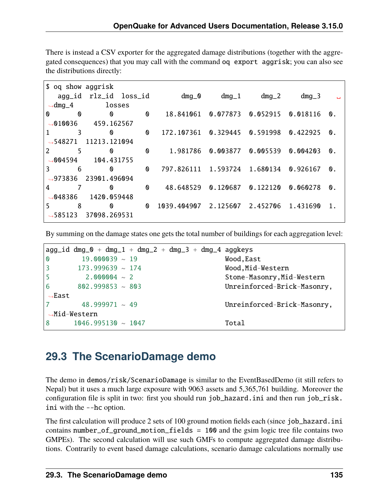There is instead a CSV exporter for the aggregated damage distributions (together with the aggregated consequences) that you may call with the command oq export aggrisk; you can also see the distributions directly:

|   | \$ oq show aggrisk   |                       |                           |                                |                            |          |          |                |
|---|----------------------|-----------------------|---------------------------|--------------------------------|----------------------------|----------|----------|----------------|
|   |                      | agg_id rlz_id loss_id |                           | $dmg_0$                        | $dmg_1$                    | $dmg_2$  | $dmg_3$  | $\mathbf{L}$   |
|   | $\rightarrow$ dmg_4  | losses                |                           |                                |                            |          |          |                |
| ⋔ | O                    | ⋔                     | 0                         | 18.841061  0.077873  0.052915  |                            |          | 0.018116 | 0.             |
|   | $\rightarrow$ 010036 | 459.162567            |                           |                                |                            |          |          |                |
|   | 3                    | 0                     | $\boldsymbol{\mathsf{O}}$ | 172.107361  0.329445  0.591998 |                            |          | 0.422925 | 0.             |
|   | $\rightarrow$ 548271 | 11213.121094          |                           |                                |                            |          |          |                |
| 2 | 5                    | ⋔                     | 0                         |                                | 1.981786 0.003877 0.005539 |          | 0.004203 | 0.             |
|   | $\bigcirc$ 004594    | 104.431755            |                           |                                |                            |          |          |                |
| 3 | 6                    | ⋔                     | $\boldsymbol{\mathsf{O}}$ | 797.826111 1.593724 1.680134   |                            |          | 0.926167 | $\mathbf{0}$ . |
|   | $\rightarrow$ 973836 | 23901.496094          |                           |                                |                            |          |          |                |
| 4 |                      | 0                     | $\boldsymbol{\omega}$     | 48.648529 0.120687             |                            | 0.122120 | 0.060278 | 0.             |
|   | $\rightarrow$ 048386 | 1420.059448           |                           |                                |                            |          |          |                |
| 5 | 8                    | 0                     | $\boldsymbol{\omega}$     | 1039.404907                    | 2.125607 2.452706          |          | 1.431690 | $1$ .          |
|   | $\rightarrow$ 585123 | 37098.269531          |                           |                                |                            |          |          |                |
|   |                      |                       |                           |                                |                            |          |          |                |

By summing on the damage states one gets the total number of buildings for each aggregation level:

|                           | $\text{agg_id } \text{dmg\_0} + \text{dmg\_1} + \text{dmg\_2} + \text{dmg\_3} + \text{dmg\_4}$ aggkeys |  |  |                             |
|---------------------------|--------------------------------------------------------------------------------------------------------|--|--|-----------------------------|
| $\boldsymbol{\mathsf{O}}$ | $19.000039 \sim 19$                                                                                    |  |  | Wood, East                  |
| $\overline{3}$            | $173.999639 \sim 174$                                                                                  |  |  | Wood, Mid-Western           |
| $5^{\circ}$               | $2.000004 ~-~ 2$                                                                                       |  |  | Stone-Masonry, Mid-Western  |
| 6                         | $802.999853 \sim 803$                                                                                  |  |  | Unreinforced-Brick-Masonry, |
| $\rightarrow$ East        |                                                                                                        |  |  |                             |
|                           | $48.999971 \approx 49$                                                                                 |  |  | Unreinforced-Brick-Masonry, |
|                           | $\rightarrow$ Mid-Western                                                                              |  |  |                             |
| 8                         | $1046.995130 ~\sim~ 1047$                                                                              |  |  | Total                       |

## **29.3 The ScenarioDamage demo**

The demo in demos/risk/ScenarioDamage is similar to the EventBasedDemo (it still refers to Nepal) but it uses a much large exposure with 9063 assets and 5,365,761 building. Moreover the configuration file is split in two: first you should run job\_hazard.ini and then run job\_risk. ini with the --hc option.

The first calculation will produce 2 sets of 100 ground motion fields each (since job\_hazard.ini contains number\_of\_ground\_motion\_fields =  $100$  and the gsim logic tree file contains two GMPEs). The second calculation will use such GMFs to compute aggregated damage distributions. Contrarily to event based damage calculations, scenario damage calculations normally use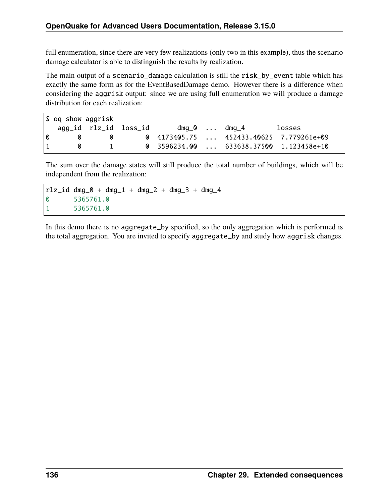full enumeration, since there are very few realizations (only two in this example), thus the scenario damage calculator is able to distinguish the results by realization.

The main output of a scenario\_damage calculation is still the risk\_by\_event table which has exactly the same form as for the EventBasedDamage demo. However there is a difference when considering the aggrisk output: since we are using full enumeration we will produce a damage distribution for each realization:

|                      | \$ og show aggrisk                  |              |  |                                                |
|----------------------|-------------------------------------|--------------|--|------------------------------------------------|
|                      |                                     |              |  | losses                                         |
| $\omega$<br>$\sim$ 0 |                                     | $\mathbf{v}$ |  | 0 4173405.75  452433.40625 7.779261e+09        |
| $\mathbf{1}$         | $\begin{matrix} 0 & 1 \end{matrix}$ |              |  | $\theta$ 3596234.00  633638.37500 1.123458e+10 |

The sum over the damage states will still produce the total number of buildings, which will be independent from the realization:

```
rlz_id dmg_0 + dmg_1 + dmg_2 + dmg_3 + dmg_40 5365761.0
1 5365761.0
```
In this demo there is no aggregate\_by specified, so the only aggregation which is performed is the total aggregation. You are invited to specify aggregate\_by and study how aggrisk changes.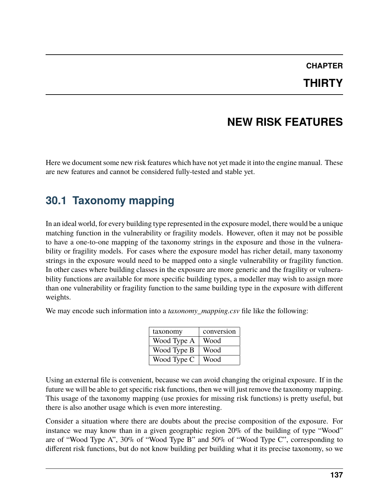#### **CHAPTER THIRTY**

## **NEW RISK FEATURES**

Here we document some new risk features which have not yet made it into the engine manual. These are new features and cannot be considered fully-tested and stable yet.

## **30.1 Taxonomy mapping**

In an ideal world, for every building type represented in the exposure model, there would be a unique matching function in the vulnerability or fragility models. However, often it may not be possible to have a one-to-one mapping of the taxonomy strings in the exposure and those in the vulnerability or fragility models. For cases where the exposure model has richer detail, many taxonomy strings in the exposure would need to be mapped onto a single vulnerability or fragility function. In other cases where building classes in the exposure are more generic and the fragility or vulnerability functions are available for more specific building types, a modeller may wish to assign more than one vulnerability or fragility function to the same building type in the exposure with different weights.

We may encode such information into a *taxonomy\_mapping.csv* file like the following:

| taxonomy    | conversion |
|-------------|------------|
| Wood Type A | Wood       |
| Wood Type B | Wood       |
| Wood Type C | Wood       |

Using an external file is convenient, because we can avoid changing the original exposure. If in the future we will be able to get specific risk functions, then we will just remove the taxonomy mapping. This usage of the taxonomy mapping (use proxies for missing risk functions) is pretty useful, but there is also another usage which is even more interesting.

Consider a situation where there are doubts about the precise composition of the exposure. For instance we may know than in a given geographic region 20% of the building of type "Wood" are of "Wood Type A", 30% of "Wood Type B" and 50% of "Wood Type C", corresponding to different risk functions, but do not know building per building what it its precise taxonomy, so we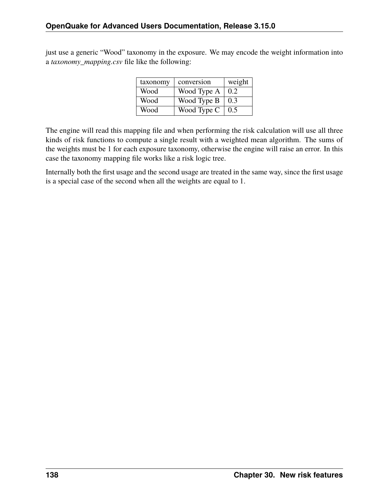just use a generic "Wood" taxonomy in the exposure. We may encode the weight information into a *taxonomy\_mapping.csv* file like the following:

| taxonomy | conversion  | weight |
|----------|-------------|--------|
| Wood     | Wood Type A | 0.2    |
| Wood     | Wood Type B | 0.3    |
| Wood     | Wood Type C | 0.5    |

The engine will read this mapping file and when performing the risk calculation will use all three kinds of risk functions to compute a single result with a weighted mean algorithm. The sums of the weights must be 1 for each exposure taxonomy, otherwise the engine will raise an error. In this case the taxonomy mapping file works like a risk logic tree.

Internally both the first usage and the second usage are treated in the same way, since the first usage is a special case of the second when all the weights are equal to 1.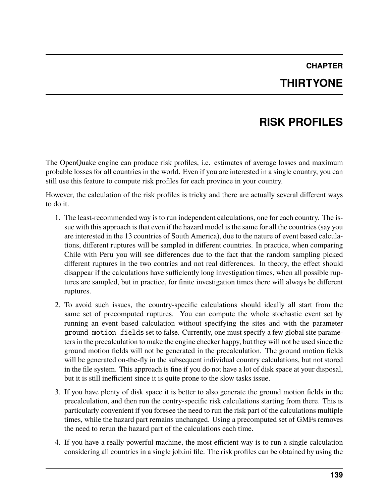# **CHAPTER THIRTYONE**

## **RISK PROFILES**

The OpenQuake engine can produce risk profiles, i.e. estimates of average losses and maximum probable losses for all countries in the world. Even if you are interested in a single country, you can still use this feature to compute risk profiles for each province in your country.

However, the calculation of the risk profiles is tricky and there are actually several different ways to do it.

- 1. The least-recommended way is to run independent calculations, one for each country. The issue with this approach is that even if the hazard model is the same for all the countries (say you are interested in the 13 countries of South America), due to the nature of event based calculations, different ruptures will be sampled in different countries. In practice, when comparing Chile with Peru you will see differences due to the fact that the random sampling picked different ruptures in the two contries and not real differences. In theory, the effect should disappear if the calculations have sufficiently long investigation times, when all possible ruptures are sampled, but in practice, for finite investigation times there will always be different ruptures.
- 2. To avoid such issues, the country-specific calculations should ideally all start from the same set of precomputed ruptures. You can compute the whole stochastic event set by running an event based calculation without specifying the sites and with the parameter ground\_motion\_fields set to false. Currently, one must specify a few global site parameters in the precalculation to make the engine checker happy, but they will not be used since the ground motion fields will not be generated in the precalculation. The ground motion fields will be generated on-the-fly in the subsequent individual country calculations, but not stored in the file system. This approach is fine if you do not have a lot of disk space at your disposal, but it is still inefficient since it is quite prone to the slow tasks issue.
- 3. If you have plenty of disk space it is better to also generate the ground motion fields in the precalculation, and then run the contry-specific risk calculations starting from there. This is particularly convenient if you foresee the need to run the risk part of the calculations multiple times, while the hazard part remains unchanged. Using a precomputed set of GMFs removes the need to rerun the hazard part of the calculations each time.
- 4. If you have a really powerful machine, the most efficient way is to run a single calculation considering all countries in a single job.ini file. The risk profiles can be obtained by using the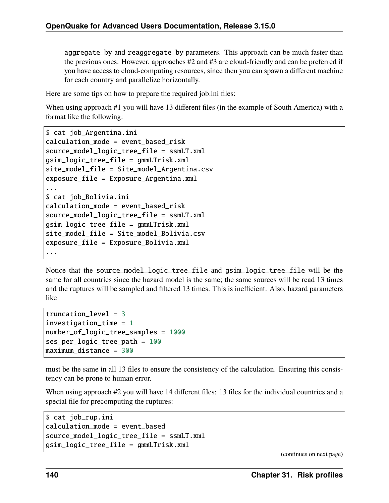aggregate\_by and reaggregate\_by parameters. This approach can be much faster than the previous ones. However, approaches #2 and #3 are cloud-friendly and can be preferred if you have access to cloud-computing resources, since then you can spawn a different machine for each country and parallelize horizontally.

Here are some tips on how to prepare the required job.ini files:

When using approach #1 you will have 13 different files (in the example of South America) with a format like the following:

```
$ cat job_Argentina.ini
calculation_mode = event_based_risk
source model logic tree file = ssmLT.xml
gsim_logic_tree_file = gmmLTrisk.xml
site_model_file = Site_model_Argentina.csv
exposure_file = Exposure_Argentina.xml
...
$ cat job_Bolivia.ini
calculation_mode = event_based_risk
source_model_logic_tree_file = ssmLT.xml
gsim_logic_tree_file = gmmLTrisk.xml
site_model_file = Site_model_Bolivia.csv
exposure_file = Exposure_Bolivia.xml
...
```
Notice that the source\_model\_logic\_tree\_file and gsim\_logic\_tree\_file will be the same for all countries since the hazard model is the same; the same sources will be read 13 times and the ruptures will be sampled and filtered 13 times. This is inefficient. Also, hazard parameters like

```
truncation level = 3investigation_time = 1number_of_logic_tree_samples = 1000
ses_per_logic_tree_path = 100
maximum distance = 300
```
must be the same in all 13 files to ensure the consistency of the calculation. Ensuring this consistency can be prone to human error.

When using approach #2 you will have 14 different files: 13 files for the individual countries and a special file for precomputing the ruptures:

```
$ cat job_rup.ini
calculation_mode = event_based
source_model_logic_tree_file = ssmLT.xml
gsim_logic_tree_file = gmmLTrisk.xml
```
(continues on next page)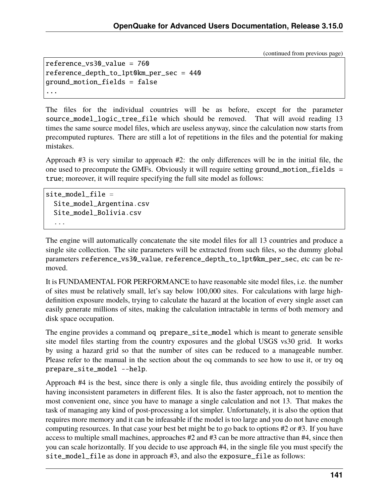(continued from previous page)

```
reference_vs30_value = 760
reference_depth_to_1pt0km_per_sec = 440
ground_motion_fields = false
...
```
The files for the individual countries will be as before, except for the parameter source\_model\_logic\_tree\_file which should be removed. That will avoid reading 13 times the same source model files, which are useless anyway, since the calculation now starts from precomputed ruptures. There are still a lot of repetitions in the files and the potential for making mistakes.

Approach #3 is very similar to approach #2: the only differences will be in the initial file, the one used to precompute the GMFs. Obviously it will require setting ground\_motion\_fields = true; moreover, it will require specifying the full site model as follows:

```
site model file =Site_model_Argentina.csv
 Site_model_Bolivia.csv
  ...
```
The engine will automatically concatenate the site model files for all 13 countries and produce a single site collection. The site parameters will be extracted from such files, so the dummy global parameters reference\_vs30\_value, reference\_depth\_to\_1pt0km\_per\_sec, etc can be removed.

It is FUNDAMENTAL FOR PERFORMANCE to have reasonable site model files, i.e. the number of sites must be relatively small, let's say below 100,000 sites. For calculations with large highdefinition exposure models, trying to calculate the hazard at the location of every single asset can easily generate millions of sites, making the calculation intractable in terms of both memory and disk space occupation.

The engine provides a command oq prepare\_site\_model which is meant to generate sensible site model files starting from the country exposures and the global USGS vs30 grid. It works by using a hazard grid so that the number of sites can be reduced to a manageable number. Please refer to the manual in the section about the oq commands to see how to use it, or try oq prepare\_site\_model --help.

Approach #4 is the best, since there is only a single file, thus avoiding entirely the possibily of having inconsistent parameters in different files. It is also the faster approach, not to mention the most convenient one, since you have to manage a single calculation and not 13. That makes the task of managing any kind of post-processing a lot simpler. Unfortunately, it is also the option that requires more memory and it can be infeasable if the model is too large and you do not have enough computing resources. In that case your best bet might be to go back to options #2 or #3. If you have access to multiple small machines, approaches #2 and #3 can be more attractive than #4, since then you can scale horizontally. If you decide to use approach #4, in the single file you must specify the site\_model\_file as done in approach #3, and also the exposure\_file as follows: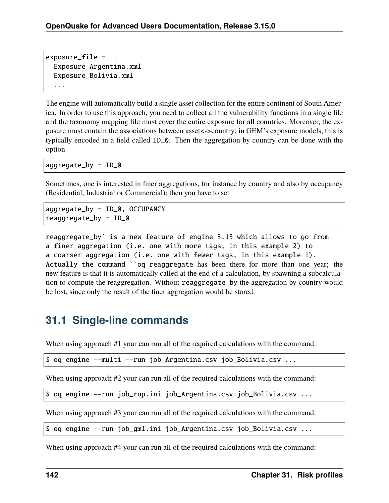```
exposure_file =
 Exposure_Argentina.xml
 Exposure_Bolivia.xml
  ...
```
The engine will automatically build a single asset collection for the entire continent of South America. In order to use this approach, you need to collect all the vulnerability functions in a single file and the taxonomy mapping file must cover the entire exposure for all countries. Moreover, the exposure must contain the associations between asset<->country; in GEM's exposure models, this is typically encoded in a field called ID\_0. Then the aggregation by country can be done with the option

 $aggregate_by = ID_0$ 

Sometimes, one is interested in finer aggregations, for instance by country and also by occupancy (Residential, Industrial or Commercial); then you have to set

```
aggregate_by = ID_0, OCCUPANCY
reaggregate_by = ID_0
```
reaggregate\_by` is a new feature of engine 3.13 which allows to go from a finer aggregation (i.e. one with more tags, in this example 2) to a coarser aggregation (i.e. one with fewer tags, in this example 1). Actually the command ``oq reaggregate has been there for more than one year; the new feature is that it is automatically called at the end of a calculation, by spawning a subcalculation to compute the reaggregation. Without reaggregate\_by the aggregation by country would be lost, since only the result of the finer aggregation would be stored.

## **31.1 Single-line commands**

When using approach #1 your can run all of the required calculations with the command:

```
$ oq engine --multi --run job_Argentina.csv job_Bolivia.csv ...
```
When using approach #2 your can run all of the required calculations with the command:

```
$ oq engine --run job_rup.ini job_Argentina.csv job_Bolivia.csv ...
```
When using approach #3 your can run all of the required calculations with the command:

\$ oq engine --run job\_gmf.ini job\_Argentina.csv job\_Bolivia.csv ...

When using approach #4 your can run all of the required calculations with the command: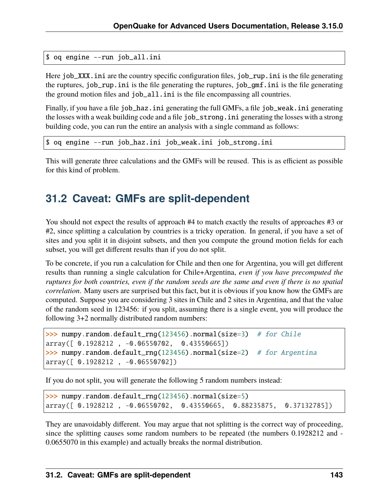```
$ oq engine --run job_all.ini
```
Here job\_XXX. ini are the country specific configuration files, job\_rup. ini is the file generating the ruptures, job\_rup.ini is the file generating the ruptures, job\_gmf.ini is the file generating the ground motion files and job\_all.ini is the file encompassing all countries.

Finally, if you have a file job\_haz.ini generating the full GMFs, a file job\_weak.ini generating the losses with a weak building code and a file job\_strong.ini generating the losses with a strong building code, you can run the entire an analysis with a single command as follows:

\$ oq engine --run job\_haz.ini job\_weak.ini job\_strong.ini

This will generate three calculations and the GMFs will be reused. This is as efficient as possible for this kind of problem.

## **31.2 Caveat: GMFs are split-dependent**

You should not expect the results of approach #4 to match exactly the results of approaches #3 or #2, since splitting a calculation by countries is a tricky operation. In general, if you have a set of sites and you split it in disjoint subsets, and then you compute the ground motion fields for each subset, you will get different results than if you do not split.

To be concrete, if you run a calculation for Chile and then one for Argentina, you will get different results than running a single calculation for Chile+Argentina, *even if you have precomputed the ruptures for both countries, even if the random seeds are the same and even if there is no spatial correlation*. Many users are surprised but this fact, but it is obvious if you know how the GMFs are computed. Suppose you are considering 3 sites in Chile and 2 sites in Argentina, and that the value of the random seed in 123456: if you split, assuming there is a single event, you will produce the following 3+2 normally distributed random numbers:

```
>>> numpy.random.default_rng(123456).normal(size=3) # for Chile
array([ 0.1928212 , -0.06550702, 0.43550665])
\gg numpy.random.default_rng(123456).normal(size=2) # for Argentina
array([ 0.1928212 , -0.06550702])
```
If you do not split, you will generate the following 5 random numbers instead:

>>> numpy.random.default\_rng(123456).normal(size=5) array([ 0.1928212 , -0.06550702, 0.43550665, 0.88235875, 0.37132785])

They are unavoidably different. You may argue that not splitting is the correct way of proceeding, since the splitting causes some random numbers to be repeated (the numbers 0.1928212 and - 0.0655070 in this example) and actually breaks the normal distribution.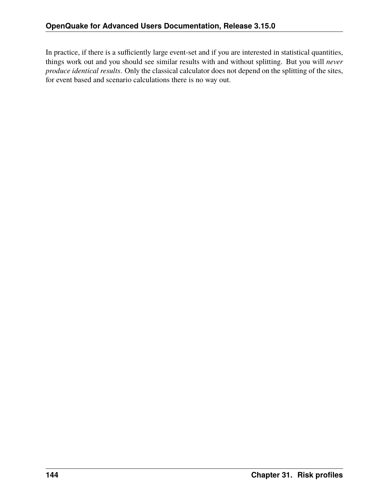In practice, if there is a sufficiently large event-set and if you are interested in statistical quantities, things work out and you should see similar results with and without splitting. But you will *never produce identical results*. Only the classical calculator does not depend on the splitting of the sites, for event based and scenario calculations there is no way out.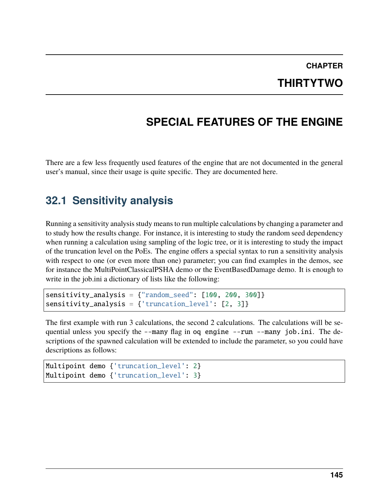#### **CHAPTER THIRTYTWO**

# **SPECIAL FEATURES OF THE ENGINE**

There are a few less frequently used features of the engine that are not documented in the general user's manual, since their usage is quite specific. They are documented here.

### **32.1 Sensitivity analysis**

Running a sensitivity analysis study means to run multiple calculations by changing a parameter and to study how the results change. For instance, it is interesting to study the random seed dependency when running a calculation using sampling of the logic tree, or it is interesting to study the impact of the truncation level on the PoEs. The engine offers a special syntax to run a sensitivity analysis with respect to one (or even more than one) parameter; you can find examples in the demos, see for instance the MultiPointClassicalPSHA demo or the EventBasedDamage demo. It is enough to write in the job.ini a dictionary of lists like the following:

```
sensitivity_analysis = {"random_seed": [100, 200, 300]}
sensitivity_analysis = {\text{t'truncation\_level': [2, 3]}}
```
The first example with run 3 calculations, the second 2 calculations. The calculations will be sequential unless you specify the --many flag in oq engine --run --many job.ini. The descriptions of the spawned calculation will be extended to include the parameter, so you could have descriptions as follows:

```
Multipoint demo {'truncation_level': 2}
Multipoint demo {'truncation_level': 3}
```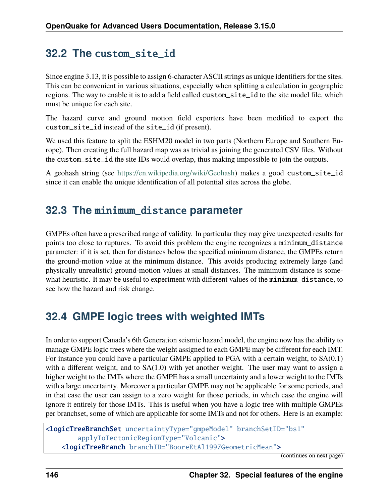### **32.2 The** custom\_site\_id

Since engine 3.13, it is possible to assign 6-character ASCII strings as unique identifiers for the sites. This can be convenient in various situations, especially when splitting a calculation in geographic regions. The way to enable it is to add a field called custom\_site\_id to the site model file, which must be unique for each site.

The hazard curve and ground motion field exporters have been modified to export the custom\_site\_id instead of the site\_id (if present).

We used this feature to split the ESHM20 model in two parts (Northern Europe and Southern Europe). Then creating the full hazard map was as trivial as joining the generated CSV files. Without the custom\_site\_id the site IDs would overlap, thus making impossible to join the outputs.

A geohash string (see [https://en.wikipedia.org/wiki/Geohash\)](https://en.wikipedia.org/wiki/Geohash) makes a good custom\_site\_id since it can enable the unique identification of all potential sites across the globe.

### **32.3 The** minimum\_distance **parameter**

GMPEs often have a prescribed range of validity. In particular they may give unexpected results for points too close to ruptures. To avoid this problem the engine recognizes a minimum\_distance parameter: if it is set, then for distances below the specified minimum distance, the GMPEs return the ground-motion value at the minimum distance. This avoids producing extremely large (and physically unrealistic) ground-motion values at small distances. The minimum distance is somewhat heuristic. It may be useful to experiment with different values of the minimum\_distance, to see how the hazard and risk change.

## **32.4 GMPE logic trees with weighted IMTs**

In order to support Canada's 6th Generation seismic hazard model, the engine now has the ability to manage GMPE logic trees where the weight assigned to each GMPE may be different for each IMT. For instance you could have a particular GMPE applied to PGA with a certain weight, to SA(0.1) with a different weight, and to SA(1.0) with yet another weight. The user may want to assign a higher weight to the IMTs where the GMPE has a small uncertainty and a lower weight to the IMTs with a large uncertainty. Moreover a particular GMPE may not be applicable for some periods, and in that case the user can assign to a zero weight for those periods, in which case the engine will ignore it entirely for those IMTs. This is useful when you have a logic tree with multiple GMPEs per branchset, some of which are applicable for some IMTs and not for others. Here is an example:

```
<logicTreeBranchSet uncertaintyType="gmpeModel" branchSetID="bs1"
        applyToTectonicRegionType="Volcanic">
    <logicTreeBranch branchID="BooreEtAl1997GeometricMean">
```
(continues on next page)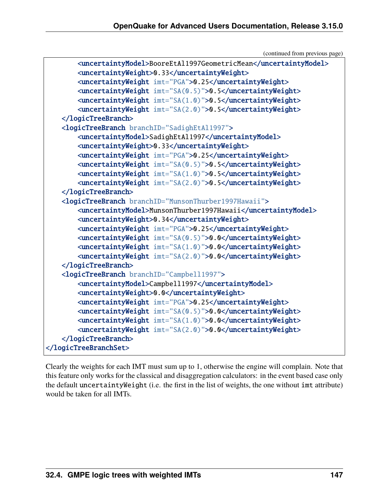(continued from previous page)

```
<uncertaintyModel>BooreEtAl1997GeometricMean</uncertaintyModel>
        <uncertaintyWeight>0.33</uncertaintyWeight>
        <uncertaintyWeight imt="PGA">0.25</uncertaintyWeight>
        <uncertaintyWeight imt="SA(0.5)">0.5</uncertaintyWeight>
        <uncertaintyWeight imt="SA(1.0)">0.5</uncertaintyWeight>
        <uncertaintyWeight imt="SA(2.0)">0.5</uncertaintyWeight>
   </logicTreeBranch>
   <logicTreeBranch branchID="SadighEtAl1997">
        <uncertaintyModel>SadighEtAl1997</uncertaintyModel>
       <uncertaintyWeight>0.33</uncertaintyWeight>
        <uncertaintyWeight imt="PGA">0.25</uncertaintyWeight>
        <uncertaintyWeight imt="SA(0.5)">0.5</uncertaintyWeight>
        <uncertaintyWeight imt="SA(1.0)">0.5</uncertaintyWeight>
        <uncertaintyWeight imt="SA(2.0)">0.5</uncertaintyWeight>
   </logicTreeBranch>
   <logicTreeBranch branchID="MunsonThurber1997Hawaii">
        <uncertaintyModel>MunsonThurber1997Hawaii</uncertaintyModel>
        <uncertaintyWeight>0.34</uncertaintyWeight>
        <uncertaintyWeight imt="PGA">0.25</uncertaintyWeight>
        <uncertaintyWeight imt="SA(0.5)">0.0</uncertaintyWeight>
        <uncertaintyWeight imt="SA(1.0)">0.0</uncertaintyWeight>
        <uncertaintyWeight imt="SA(2.0)">0.0</uncertaintyWeight>
   </logicTreeBranch>
   <logicTreeBranch branchID="Campbell1997">
        <uncertaintyModel>Campbell1997</uncertaintyModel>
        <uncertaintyWeight>0.0</uncertaintyWeight>
        <uncertaintyWeight imt="PGA">0.25</uncertaintyWeight>
        <uncertaintyWeight imt="SA(0.5)">0.0</uncertaintyWeight>
       <uncertaintyWeight imt="SA(1.0)">0.0</uncertaintyWeight>
        <uncertaintyWeight imt="SA(2.0)">0.0</uncertaintyWeight>
   </logicTreeBranch>
</logicTreeBranchSet>
```
Clearly the weights for each IMT must sum up to 1, otherwise the engine will complain. Note that this feature only works for the classical and disaggregation calculators: in the event based case only the default uncertaintyWeight (i.e. the first in the list of weights, the one without imt attribute) would be taken for all IMTs.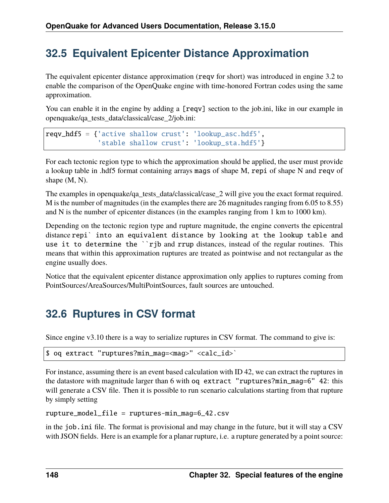# **32.5 Equivalent Epicenter Distance Approximation**

The equivalent epicenter distance approximation (reqv for short) was introduced in engine 3.2 to enable the comparison of the OpenQuake engine with time-honored Fortran codes using the same approximation.

You can enable it in the engine by adding a [reqv] section to the job.ini, like in our example in openquake/qa\_tests\_data/classical/case\_2/job.ini:

```
reqv_hdf5 = {'active shallow crust': 'lookup_asc.hdf5',
             'stable shallow crust': 'lookup_sta.hdf5'}
```
For each tectonic region type to which the approximation should be applied, the user must provide a lookup table in .hdf5 format containing arrays mags of shape M, repi of shape N and reqv of shape (M, N).

The examples in openquake/qa\_tests\_data/classical/case\_2 will give you the exact format required. M is the number of magnitudes (in the examples there are 26 magnitudes ranging from 6.05 to 8.55) and N is the number of epicenter distances (in the examples ranging from 1 km to 1000 km).

Depending on the tectonic region type and rupture magnitude, the engine converts the epicentral distance repi` into an equivalent distance by looking at the lookup table and use it to determine the ``rjb and rrup distances, instead of the regular routines. This means that within this approximation ruptures are treated as pointwise and not rectangular as the engine usually does.

Notice that the equivalent epicenter distance approximation only applies to ruptures coming from PointSources/AreaSources/MultiPointSources, fault sources are untouched.

# **32.6 Ruptures in CSV format**

Since engine v3.10 there is a way to serialize ruptures in CSV format. The command to give is:

```
$ oq extract "ruptures?min_mag=<mag>" <calc_id>`
```
For instance, assuming there is an event based calculation with ID 42, we can extract the ruptures in the datastore with magnitude larger than 6 with oq extract "ruptures?min\_mag=6" 42: this will generate a CSV file. Then it is possible to run scenario calculations starting from that rupture by simply setting

rupture\_model\_file = ruptures-min\_mag=6\_42.csv

in the job.ini file. The format is provisional and may change in the future, but it will stay a CSV with JSON fields. Here is an example for a planar rupture, i.e. a rupture generated by a point source: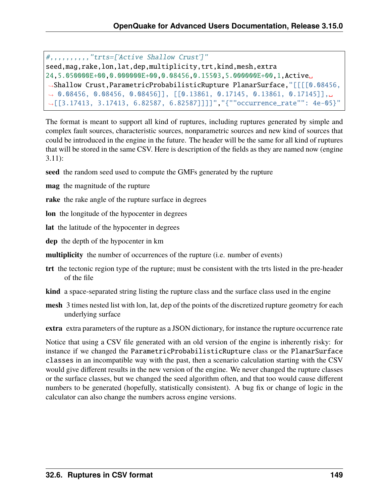```
#,,,,,,,,,,"trts=['Active Shallow Crust']"
seed,mag,rake,lon,lat,dep,multiplicity,trt,kind,mesh,extra
24,5.050000E+00,0.000000E+00,0.08456,0.15503,5.000000E+00,1,Active␣
˓→Shallow Crust,ParametricProbabilisticRupture PlanarSurface,"[[[[0.08456,
˓→ 0.08456, 0.08456, 0.08456]], [[0.13861, 0.17145, 0.13861, 0.17145]],␣
˓→[[3.17413, 3.17413, 6.82587, 6.82587]]]]","{""occurrence_rate"": 4e-05}"
```
The format is meant to support all kind of ruptures, including ruptures generated by simple and complex fault sources, characteristic sources, nonparametric sources and new kind of sources that could be introduced in the engine in the future. The header will be the same for all kind of ruptures that will be stored in the same CSV. Here is description of the fields as they are named now (engine 3.11):

- **seed** the random seed used to compute the GMFs generated by the rupture
- **mag** the magnitude of the rupture
- **rake** the rake angle of the rupture surface in degrees
- **lon** the longitude of the hypocenter in degrees
- **lat** the latitude of the hypocenter in degrees
- **dep** the depth of the hypocenter in km
- **multiplicity** the number of occurrences of the rupture (i.e. number of events)
- **trt** the tectonic region type of the rupture; must be consistent with the trts listed in the pre-header of the file
- **kind** a space-separated string listing the rupture class and the surface class used in the engine
- **mesh** 3 times nested list with lon, lat, dep of the points of the discretized rupture geometry for each underlying surface

**extra** extra parameters of the rupture as a JSON dictionary, for instance the rupture occurrence rate

Notice that using a CSV file generated with an old version of the engine is inherently risky: for instance if we changed the ParametricProbabilisticRupture class or the PlanarSurface classes in an incompatible way with the past, then a scenario calculation starting with the CSV would give different results in the new version of the engine. We never changed the rupture classes or the surface classes, but we changed the seed algorithm often, and that too would cause different numbers to be generated (hopefully, statistically consistent). A bug fix or change of logic in the calculator can also change the numbers across engine versions.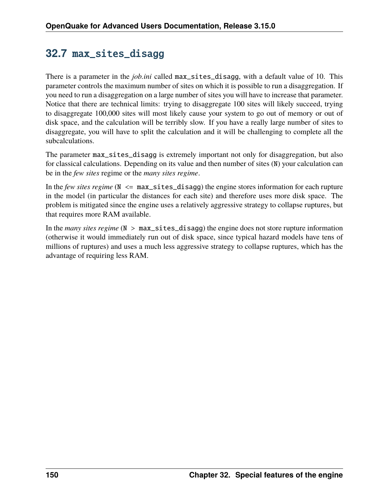## **32.7** max\_sites\_disagg

There is a parameter in the *job.ini* called max\_sites\_disagg, with a default value of 10. This parameter controls the maximum number of sites on which it is possible to run a disaggregation. If you need to run a disaggregation on a large number of sites you will have to increase that parameter. Notice that there are technical limits: trying to disaggregate 100 sites will likely succeed, trying to disaggregate 100,000 sites will most likely cause your system to go out of memory or out of disk space, and the calculation will be terribly slow. If you have a really large number of sites to disaggregate, you will have to split the calculation and it will be challenging to complete all the subcalculations.

The parameter max\_sites\_disagg is extremely important not only for disaggregation, but also for classical calculations. Depending on its value and then number of sites (N) your calculation can be in the *few sites* regime or the *many sites regime*.

In the *few sites regime* (N <= max\_sites\_disagg) the engine stores information for each rupture in the model (in particular the distances for each site) and therefore uses more disk space. The problem is mitigated since the engine uses a relatively aggressive strategy to collapse ruptures, but that requires more RAM available.

In the *many sites regime* (N > max\_sites\_disagg) the engine does not store rupture information (otherwise it would immediately run out of disk space, since typical hazard models have tens of millions of ruptures) and uses a much less aggressive strategy to collapse ruptures, which has the advantage of requiring less RAM.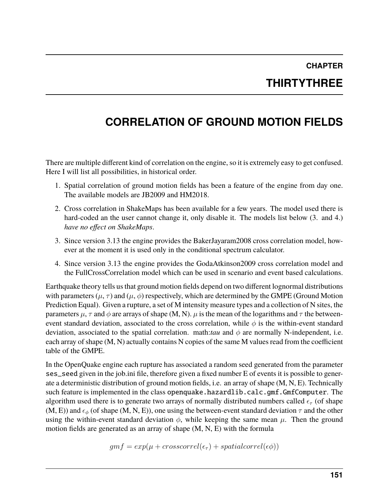# **CHAPTER THIRTYTHREE**

# **CORRELATION OF GROUND MOTION FIELDS**

There are multiple different kind of correlation on the engine, so it is extremely easy to get confused. Here I will list all possibilities, in historical order.

- 1. Spatial correlation of ground motion fields has been a feature of the engine from day one. The available models are JB2009 and HM2018.
- 2. Cross correlation in ShakeMaps has been available for a few years. The model used there is hard-coded an the user cannot change it, only disable it. The models list below (3. and 4.) *have no effect on ShakeMaps*.
- 3. Since version 3.13 the engine provides the BakerJayaram2008 cross correlation model, however at the moment it is used only in the conditional spectrum calculator.
- 4. Since version 3.13 the engine provides the GodaAtkinson2009 cross correlation model and the FullCrossCorrelation model which can be used in scenario and event based calculations.

Earthquake theory tells us that ground motion fields depend on two different lognormal distributions with parameters ( $\mu$ ,  $\tau$ ) and ( $\mu$ ,  $\phi$ ) respectively, which are determined by the GMPE (Ground Motion Prediction Equal). Given a rupture, a set of M intensity measure types and a collection of N sites, the parameters  $\mu$ ,  $\tau$  and  $\phi$  are arrays of shape (M, N).  $\mu$  is the mean of the logarithms and  $\tau$  the betweenevent standard deviation, associated to the cross correlation, while  $\phi$  is the within-event standard deviation, associated to the spatial correlation. math:*tau* and  $\phi$  are normally N-independent, i.e. each array of shape (M, N) actually contains N copies of the same M values read from the coefficient table of the GMPE.

In the OpenQuake engine each rupture has associated a random seed generated from the parameter ses\_seed given in the job.ini file, therefore given a fixed number E of events it is possible to generate a deterministic distribution of ground motion fields, i.e. an array of shape (M, N, E). Technically such feature is implemented in the class openquake.hazardlib.calc.gmf.GmfComputer. The algorithm used there is to generate two arrays of normally distributed numbers called  $\epsilon_{\tau}$  (of shape  $(M, E)$ ) and  $\epsilon_{\phi}$  (of shape  $(M, N, E)$ ), one using the between-event standard deviation  $\tau$  and the other using the within-event standard deviation  $\phi$ , while keeping the same mean  $\mu$ . Then the ground motion fields are generated as an array of shape (M, N, E) with the formula

$$
gmf = exp(\mu + crosscorrel(\epsilon_{\tau}) + spatialcorrel(\epsilon \phi))
$$